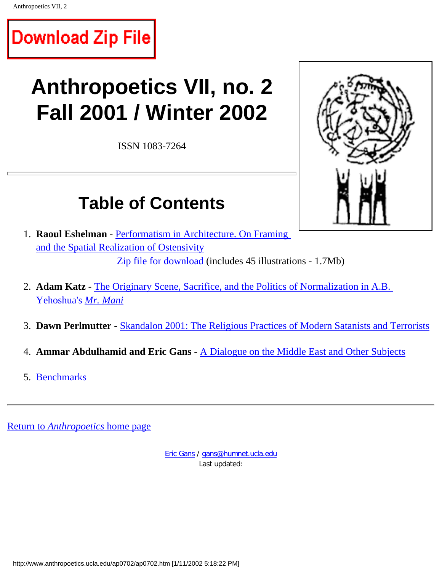

# **Anthropoetics VII, no. 2 Fall 2001 / Winter 2002**

ISSN 1083-7264

## **Table of Contents**



- 1. **Raoul Eshelman** - [Performatism in Architecture. On Framing](#page-1-0) [and the Spatial Realization of Ostensivity](#page-1-0) [Zip file for download](http://www.anthropoetics.ucla.edu/ap0702/arch2.zip) (includes 45 illustrations - 1.7Mb)
- 2. **Adam Katz** - [The Originary Scene, Sacrifice, and the Politics of Normalization in A.B.](#page-24-0) [Yehoshua's](#page-24-0) *Mr. Mani*
- 3. **Dawn Perlmutter** - [Skandalon 2001: The Religious Practices of Modern Satanists and Terrorists](#page-40-0)
- 4. **Ammar Abdulhamid and Eric Gans** - [A Dialogue on the Middle East and Other Subjects](#page-87-0)
- 5. [Benchmarks](#page-112-0)

Return to *[Anthropoetics](http://www.anthropoetics.ucla.edu/home.html)* home page

[Eric Gans](http://www.french.ucla.edu/faculty/gans/home.html) / [gans@humnet.ucla.edu](mailto:gans@humnet.ucla.edu) Last updated: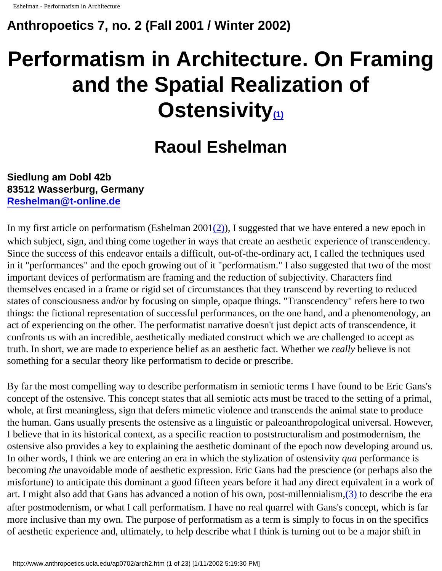## <span id="page-1-0"></span>**Anthropoetics 7, no. 2 (Fall 2001 / Winter 2002)**

# **Performatism in Architecture. On Framing and the Spatial Realization of Ostensivity[\(1\)](#page-21-0)**

## **Raoul Eshelman**

<span id="page-1-1"></span>**Siedlung am Dobl 42b 83512 Wasserburg, Germany [Reshelman@t-online.de](mailto:Reshelman@t-online.de)**

<span id="page-1-2"></span>In my first article on performatism (Eshelman  $2001(2)$  $2001(2)$ ), I suggested that we have entered a new epoch in which subject, sign, and thing come together in ways that create an aesthetic experience of transcendency. Since the success of this endeavor entails a difficult, out-of-the-ordinary act, I called the techniques used in it "performances" and the epoch growing out of it "performatism." I also suggested that two of the most important devices of performatism are framing and the reduction of subjectivity. Characters find themselves encased in a frame or rigid set of circumstances that they transcend by reverting to reduced states of consciousness and/or by focusing on simple, opaque things. "Transcendency" refers here to two things: the fictional representation of successful performances, on the one hand, and a phenomenology, an act of experiencing on the other. The performatist narrative doesn't just depict acts of transcendence, it confronts us with an incredible, aesthetically mediated construct which we are challenged to accept as truth. In short, we are made to experience belief as an aesthetic fact. Whether we *really* believe is not something for a secular theory like performatism to decide or prescribe.

<span id="page-1-3"></span>By far the most compelling way to describe performatism in semiotic terms I have found to be Eric Gans's concept of the ostensive. This concept states that all semiotic acts must be traced to the setting of a primal, whole, at first meaningless, sign that defers mimetic violence and transcends the animal state to produce the human. Gans usually presents the ostensive as a linguistic or paleoanthropological universal. However, I believe that in its historical context, as a specific reaction to poststructuralism and postmodernism, the ostensive also provides a key to explaining the aesthetic dominant of the epoch now developing around us. In other words, I think we are entering an era in which the stylization of ostensivity *qua* performance is becoming *the* unavoidable mode of aesthetic expression. Eric Gans had the prescience (or perhaps also the misfortune) to anticipate this dominant a good fifteen years before it had any direct equivalent in a work of art. I might also add that Gans has advanced a notion of his own, post-millennialism, $(3)$  to describe the era after postmodernism, or what I call performatism. I have no real quarrel with Gans's concept, which is far more inclusive than my own. The purpose of performatism as a term is simply to focus in on the specifics of aesthetic experience and, ultimately, to help describe what I think is turning out to be a major shift in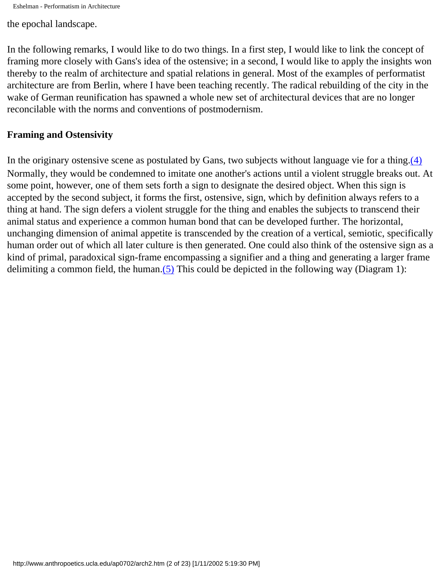the epochal landscape.

In the following remarks, I would like to do two things. In a first step, I would like to link the concept of framing more closely with Gans's idea of the ostensive; in a second, I would like to apply the insights won thereby to the realm of architecture and spatial relations in general. Most of the examples of performatist architecture are from Berlin, where I have been teaching recently. The radical rebuilding of the city in the wake of German reunification has spawned a whole new set of architectural devices that are no longer reconcilable with the norms and conventions of postmodernism.

#### **Framing and Ostensivity**

<span id="page-2-1"></span><span id="page-2-0"></span>In the originary ostensive scene as postulated by Gans, two subjects without language vie for a thing.[\(4\)](#page-22-1) Normally, they would be condemned to imitate one another's actions until a violent struggle breaks out. At some point, however, one of them sets forth a sign to designate the desired object. When this sign is accepted by the second subject, it forms the first, ostensive, sign, which by definition always refers to a thing at hand. The sign defers a violent struggle for the thing and enables the subjects to transcend their animal status and experience a common human bond that can be developed further. The horizontal, unchanging dimension of animal appetite is transcended by the creation of a vertical, semiotic, specifically human order out of which all later culture is then generated. One could also think of the ostensive sign as a kind of primal, paradoxical sign-frame encompassing a signifier and a thing and generating a larger frame delimiting a common field, the human[.\(5\)](#page-22-2) This could be depicted in the following way (Diagram 1):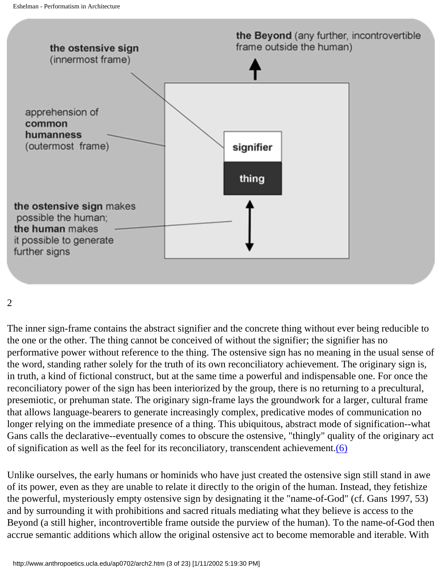

## $\mathfrak{D}$

The inner sign-frame contains the abstract signifier and the concrete thing without ever being reducible to the one or the other. The thing cannot be conceived of without the signifier; the signifier has no performative power without reference to the thing. The ostensive sign has no meaning in the usual sense of the word, standing rather solely for the truth of its own reconciliatory achievement. The originary sign is, in truth, a kind of fictional construct, but at the same time a powerful and indispensable one. For once the reconciliatory power of the sign has been interiorized by the group, there is no returning to a precultural, presemiotic, or prehuman state. The originary sign-frame lays the groundwork for a larger, cultural frame that allows language-bearers to generate increasingly complex, predicative modes of communication no longer relying on the immediate presence of a thing. This ubiquitous, abstract mode of signification--what Gans calls the declarative--eventually comes to obscure the ostensive, "thingly" quality of the originary act of signification as well as the feel for its reconciliatory, transcendent achievement[.\(6\)](#page-22-3)

<span id="page-3-0"></span>Unlike ourselves, the early humans or hominids who have just created the ostensive sign still stand in awe of its power, even as they are unable to relate it directly to the origin of the human. Instead, they fetishize the powerful, mysteriously empty ostensive sign by designating it the "name-of-God" (cf. Gans 1997, 53) and by surrounding it with prohibitions and sacred rituals mediating what they believe is access to the Beyond (a still higher, incontrovertible frame outside the purview of the human). To the name-of-God then accrue semantic additions which allow the original ostensive act to become memorable and iterable. With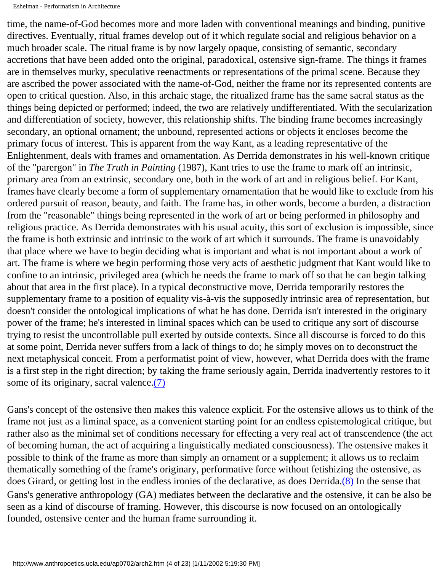time, the name-of-God becomes more and more laden with conventional meanings and binding, punitive directives. Eventually, ritual frames develop out of it which regulate social and religious behavior on a much broader scale. The ritual frame is by now largely opaque, consisting of semantic, secondary accretions that have been added onto the original, paradoxical, ostensive sign-frame. The things it frames are in themselves murky, speculative reenactments or representations of the primal scene. Because they are ascribed the power associated with the name-of-God, neither the frame nor its represented contents are open to critical question. Also, in this archaic stage, the ritualized frame has the same sacral status as the things being depicted or performed; indeed, the two are relatively undifferentiated. With the secularization and differentiation of society, however, this relationship shifts. The binding frame becomes increasingly secondary, an optional ornament; the unbound, represented actions or objects it encloses become the primary focus of interest. This is apparent from the way Kant, as a leading representative of the Enlightenment, deals with frames and ornamentation. As Derrida demonstrates in his well-known critique of the "parergon" in *The Truth in Painting* (1987), Kant tries to use the frame to mark off an intrinsic, primary area from an extrinsic, secondary one, both in the work of art and in religious belief. For Kant, frames have clearly become a form of supplementary ornamentation that he would like to exclude from his ordered pursuit of reason, beauty, and faith. The frame has, in other words, become a burden, a distraction from the "reasonable" things being represented in the work of art or being performed in philosophy and religious practice. As Derrida demonstrates with his usual acuity, this sort of exclusion is impossible, since the frame is both extrinsic and intrinsic to the work of art which it surrounds. The frame is unavoidably that place where we have to begin deciding what is important and what is not important about a work of art. The frame is where we begin performing those very acts of aesthetic judgment that Kant would like to confine to an intrinsic, privileged area (which he needs the frame to mark off so that he can begin talking about that area in the first place). In a typical deconstructive move, Derrida temporarily restores the supplementary frame to a position of equality vis-à-vis the supposedly intrinsic area of representation, but doesn't consider the ontological implications of what he has done. Derrida isn't interested in the originary power of the frame; he's interested in liminal spaces which can be used to critique any sort of discourse trying to resist the uncontrollable pull exerted by outside contexts. Since all discourse is forced to do this at some point, Derrida never suffers from a lack of things to do; he simply moves on to deconstruct the next metaphysical conceit. From a performatist point of view, however, what Derrida does with the frame is a first step in the right direction; by taking the frame seriously again, Derrida inadvertently restores to it some of its originary, sacral valence.<sup>[\(7\)](#page-22-4)</sup>

<span id="page-4-1"></span><span id="page-4-0"></span>Gans's concept of the ostensive then makes this valence explicit. For the ostensive allows us to think of the frame not just as a liminal space, as a convenient starting point for an endless epistemological critique, but rather also as the minimal set of conditions necessary for effecting a very real act of transcendence (the act of becoming human, the act of acquiring a linguistically mediated consciousness). The ostensive makes it possible to think of the frame as more than simply an ornament or a supplement; it allows us to reclaim thematically something of the frame's originary, performative force without fetishizing the ostensive, as does Girard, or getting lost in the endless ironies of the declarative, as does Derrida.[\(8\)](#page-22-5) In the sense that Gans's generative anthropology (GA) mediates between the declarative and the ostensive, it can be also be seen as a kind of discourse of framing. However, this discourse is now focused on an ontologically founded, ostensive center and the human frame surrounding it.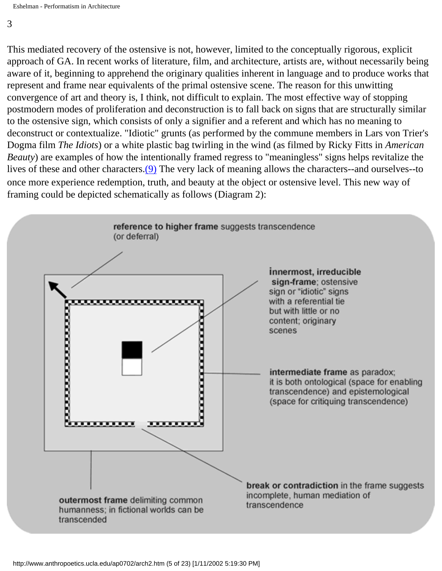This mediated recovery of the ostensive is not, however, limited to the conceptually rigorous, explicit approach of GA. In recent works of literature, film, and architecture, artists are, without necessarily being aware of it, beginning to apprehend the originary qualities inherent in language and to produce works that represent and frame near equivalents of the primal ostensive scene. The reason for this unwitting convergence of art and theory is, I think, not difficult to explain. The most effective way of stopping postmodern modes of proliferation and deconstruction is to fall back on signs that are structurally similar to the ostensive sign, which consists of only a signifier and a referent and which has no meaning to deconstruct or contextualize. "Idiotic" grunts (as performed by the commune members in Lars von Trier's Dogma film *The Idiots*) or a white plastic bag twirling in the wind (as filmed by Ricky Fitts in *American Beauty*) are examples of how the intentionally framed regress to "meaningless" signs helps revitalize the lives of these and other characters.[\(9\)](#page-22-6) The very lack of meaning allows the characters--and ourselves--to once more experience redemption, truth, and beauty at the object or ostensive level. This new way of framing could be depicted schematically as follows (Diagram 2):

<span id="page-5-0"></span>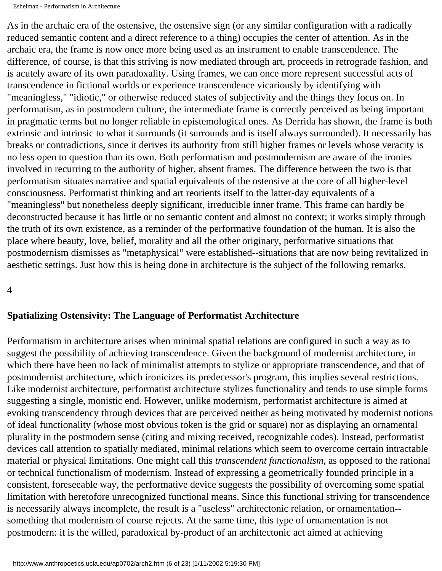As in the archaic era of the ostensive, the ostensive sign (or any similar configuration with a radically reduced semantic content and a direct reference to a thing) occupies the center of attention. As in the archaic era, the frame is now once more being used as an instrument to enable transcendence. The difference, of course, is that this striving is now mediated through art, proceeds in retrograde fashion, and is acutely aware of its own paradoxality. Using frames, we can once more represent successful acts of transcendence in fictional worlds or experience transcendence vicariously by identifying with "meaningless," "idiotic," or otherwise reduced states of subjectivity and the things they focus on. In performatism, as in postmodern culture, the intermediate frame is correctly perceived as being important in pragmatic terms but no longer reliable in epistemological ones. As Derrida has shown, the frame is both extrinsic and intrinsic to what it surrounds (it surrounds and is itself always surrounded). It necessarily has breaks or contradictions, since it derives its authority from still higher frames or levels whose veracity is no less open to question than its own. Both performatism and postmodernism are aware of the ironies involved in recurring to the authority of higher, absent frames. The difference between the two is that performatism situates narrative and spatial equivalents of the ostensive at the core of all higher-level consciousness. Performatist thinking and art reorients itself to the latter-day equivalents of a "meaningless" but nonetheless deeply significant, irreducible inner frame. This frame can hardly be deconstructed because it has little or no semantic content and almost no context; it works simply through the truth of its own existence, as a reminder of the performative foundation of the human. It is also the place where beauty, love, belief, morality and all the other originary, performative situations that postmodernism dismisses as "metaphysical" were established--situations that are now being revitalized in aesthetic settings. Just how this is being done in architecture is the subject of the following remarks.

4

#### **Spatializing Ostensivity: The Language of Performatist Architecture**

Performatism in architecture arises when minimal spatial relations are configured in such a way as to suggest the possibility of achieving transcendence. Given the background of modernist architecture, in which there have been no lack of minimalist attempts to stylize or appropriate transcendence, and that of postmodernist architecture, which ironicizes its predecessor's program, this implies several restrictions. Like modernist architecture, performatist architecture stylizes functionality and tends to use simple forms suggesting a single, monistic end. However, unlike modernism, performatist architecture is aimed at evoking transcendency through devices that are perceived neither as being motivated by modernist notions of ideal functionality (whose most obvious token is the grid or square) nor as displaying an ornamental plurality in the postmodern sense (citing and mixing received, recognizable codes). Instead, performatist devices call attention to spatially mediated, minimal relations which seem to overcome certain intractable material or physical limitations. One might call this *transcendent functionalism*, as opposed to the rational or technical functionalism of modernism. Instead of expressing a geometrically founded principle in a consistent, foreseeable way, the performative device suggests the possibility of overcoming some spatial limitation with heretofore unrecognized functional means. Since this functional striving for transcendence is necessarily always incomplete, the result is a "useless" architectonic relation, or ornamentation- something that modernism of course rejects. At the same time, this type of ornamentation is not postmodern: it is the willed, paradoxical by-product of an architectonic act aimed at achieving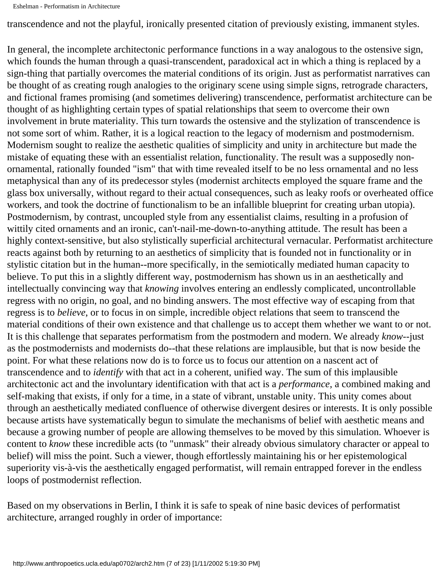Eshelman - Performatism in Architecture

transcendence and not the playful, ironically presented citation of previously existing, immanent styles.

In general, the incomplete architectonic performance functions in a way analogous to the ostensive sign, which founds the human through a quasi-transcendent, paradoxical act in which a thing is replaced by a sign-thing that partially overcomes the material conditions of its origin. Just as performatist narratives can be thought of as creating rough analogies to the originary scene using simple signs, retrograde characters, and fictional frames promising (and sometimes delivering) transcendence, performatist architecture can be thought of as highlighting certain types of spatial relationships that seem to overcome their own involvement in brute materiality. This turn towards the ostensive and the stylization of transcendence is not some sort of whim. Rather, it is a logical reaction to the legacy of modernism and postmodernism. Modernism sought to realize the aesthetic qualities of simplicity and unity in architecture but made the mistake of equating these with an essentialist relation, functionality. The result was a supposedly nonornamental, rationally founded "ism" that with time revealed itself to be no less ornamental and no less metaphysical than any of its predecessor styles (modernist architects employed the square frame and the glass box universally, without regard to their actual consequences, such as leaky roofs or overheated office workers, and took the doctrine of functionalism to be an infallible blueprint for creating urban utopia). Postmodernism, by contrast, uncoupled style from any essentialist claims, resulting in a profusion of wittily cited ornaments and an ironic, can't-nail-me-down-to-anything attitude. The result has been a highly context-sensitive, but also stylistically superficial architectural vernacular. Performatist architecture reacts against both by returning to an aesthetics of simplicity that is founded not in functionality or in stylistic citation but in the human--more specifically, in the semiotically mediated human capacity to believe. To put this in a slightly different way, postmodernism has shown us in an aesthetically and intellectually convincing way that *knowing* involves entering an endlessly complicated, uncontrollable regress with no origin, no goal, and no binding answers. The most effective way of escaping from that regress is to *believe*, or to focus in on simple, incredible object relations that seem to transcend the material conditions of their own existence and that challenge us to accept them whether we want to or not. It is this challenge that separates performatism from the postmodern and modern. We already *know*--just as the postmodernists and modernists do--that these relations are implausible, but that is now beside the point. For what these relations now do is to force us to focus our attention on a nascent act of transcendence and to *identify* with that act in a coherent, unified way. The sum of this implausible architectonic act and the involuntary identification with that act is a *performance*, a combined making and self-making that exists, if only for a time, in a state of vibrant, unstable unity. This unity comes about through an aesthetically mediated confluence of otherwise divergent desires or interests. It is only possible because artists have systematically begun to simulate the mechanisms of belief with aesthetic means and because a growing number of people are allowing themselves to be moved by this simulation. Whoever is content to *know* these incredible acts (to "unmask" their already obvious simulatory character or appeal to belief) will miss the point. Such a viewer, though effortlessly maintaining his or her epistemological superiority vis-à-vis the aesthetically engaged performatist, will remain entrapped forever in the endless loops of postmodernist reflection.

Based on my observations in Berlin, I think it is safe to speak of nine basic devices of performatist architecture, arranged roughly in order of importance: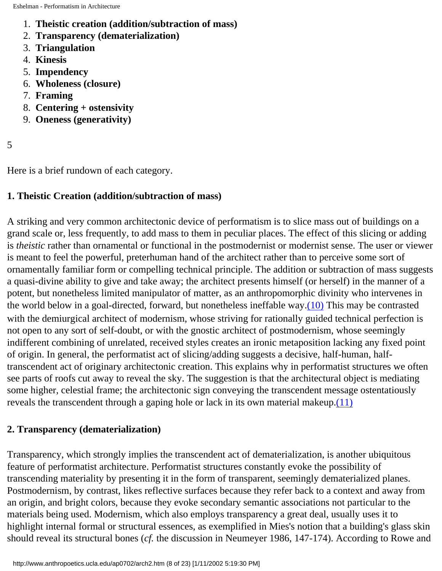- 1. **Theistic creation (addition/subtraction of mass)**
- 2. **Transparency (dematerialization)**
- 3. **Triangulation**
- 4. **Kinesis**
- 5. **Impendency**
- 6. **Wholeness (closure)**
- 7. **Framing**
- 8. **Centering + ostensivity**
- 9. **Oneness (generativity)**
- 5

Here is a brief rundown of each category.

## **1. Theistic Creation (addition/subtraction of mass)**

<span id="page-8-0"></span>A striking and very common architectonic device of performatism is to slice mass out of buildings on a grand scale or, less frequently, to add mass to them in peculiar places. The effect of this slicing or adding is *theistic* rather than ornamental or functional in the postmodernist or modernist sense. The user or viewer is meant to feel the powerful, preterhuman hand of the architect rather than to perceive some sort of ornamentally familiar form or compelling technical principle. The addition or subtraction of mass suggests a quasi-divine ability to give and take away; the architect presents himself (or herself) in the manner of a potent, but nonetheless limited manipulator of matter, as an anthropomorphic divinity who intervenes in the world below in a goal-directed, forward, but nonetheless ineffable way.[\(10\)](#page-22-7) This may be contrasted with the demiurgical architect of modernism, whose striving for rationally guided technical perfection is not open to any sort of self-doubt, or with the gnostic architect of postmodernism, whose seemingly indifferent combining of unrelated, received styles creates an ironic metaposition lacking any fixed point of origin. In general, the performatist act of slicing/adding suggests a decisive, half-human, halftranscendent act of originary architectonic creation. This explains why in performatist structures we often see parts of roofs cut away to reveal the sky. The suggestion is that the architectural object is mediating some higher, celestial frame; the architectonic sign conveying the transcendent message ostentatiously reveals the transcendent through a gaping hole or lack in its own material makeup. $(11)$ 

## <span id="page-8-1"></span>**2. Transparency (dematerialization)**

Transparency, which strongly implies the transcendent act of dematerialization, is another ubiquitous feature of performatist architecture. Performatist structures constantly evoke the possibility of transcending materiality by presenting it in the form of transparent, seemingly dematerialized planes. Postmodernism, by contrast, likes reflective surfaces because they refer back to a context and away from an origin, and bright colors, because they evoke secondary semantic associations not particular to the materials being used. Modernism, which also employs transparency a great deal, usually uses it to highlight internal formal or structural essences, as exemplified in Mies's notion that a building's glass skin should reveal its structural bones (*cf.* the discussion in Neumeyer 1986, 147-174). According to Rowe and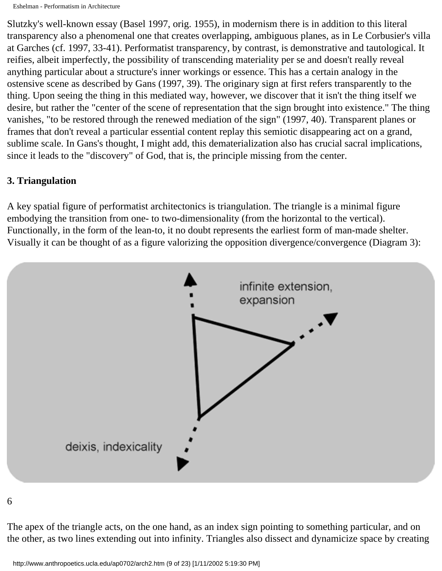Slutzky's well-known essay (Basel 1997, orig. 1955), in modernism there is in addition to this literal transparency also a phenomenal one that creates overlapping, ambiguous planes, as in Le Corbusier's villa at Garches (cf. 1997, 33-41). Performatist transparency, by contrast, is demonstrative and tautological. It reifies, albeit imperfectly, the possibility of transcending materiality per se and doesn't really reveal anything particular about a structure's inner workings or essence. This has a certain analogy in the ostensive scene as described by Gans (1997, 39). The originary sign at first refers transparently to the thing. Upon seeing the thing in this mediated way, however, we discover that it isn't the thing itself we desire, but rather the "center of the scene of representation that the sign brought into existence." The thing vanishes, "to be restored through the renewed mediation of the sign" (1997, 40). Transparent planes or frames that don't reveal a particular essential content replay this semiotic disappearing act on a grand, sublime scale. In Gans's thought, I might add, this dematerialization also has crucial sacral implications, since it leads to the "discovery" of God, that is, the principle missing from the center.

## **3. Triangulation**

A key spatial figure of performatist architectonics is triangulation. The triangle is a minimal figure embodying the transition from one- to two-dimensionality (from the horizontal to the vertical). Functionally, in the form of the lean-to, it no doubt represents the earliest form of man-made shelter. Visually it can be thought of as a figure valorizing the opposition divergence/convergence (Diagram 3):



6

The apex of the triangle acts, on the one hand, as an index sign pointing to something particular, and on the other, as two lines extending out into infinity. Triangles also dissect and dynamicize space by creating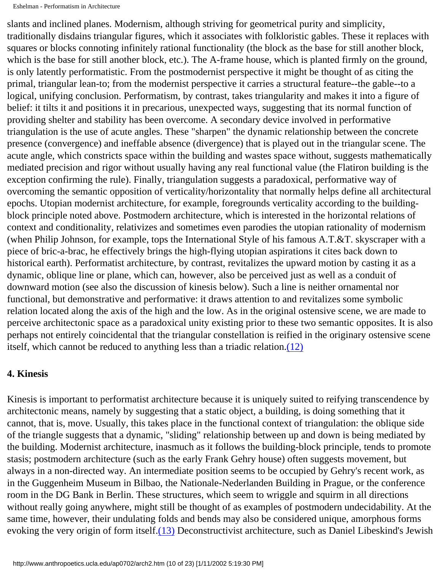slants and inclined planes. Modernism, although striving for geometrical purity and simplicity, traditionally disdains triangular figures, which it associates with folkloristic gables. These it replaces with squares or blocks connoting infinitely rational functionality (the block as the base for still another block, which is the base for still another block, etc.). The A-frame house, which is planted firmly on the ground, is only latently performatistic. From the postmodernist perspective it might be thought of as citing the primal, triangular lean-to; from the modernist perspective it carries a structural feature--the gable--to a logical, unifying conclusion. Performatism, by contrast, takes triangularity and makes it into a figure of belief: it tilts it and positions it in precarious, unexpected ways, suggesting that its normal function of providing shelter and stability has been overcome. A secondary device involved in performative triangulation is the use of acute angles. These "sharpen" the dynamic relationship between the concrete presence (convergence) and ineffable absence (divergence) that is played out in the triangular scene. The acute angle, which constricts space within the building and wastes space without, suggests mathematically mediated precision and rigor without usually having any real functional value (the Flatiron building is the exception confirming the rule). Finally, triangulation suggests a paradoxical, performative way of overcoming the semantic opposition of verticality/horizontality that normally helps define all architectural epochs. Utopian modernist architecture, for example, foregrounds verticality according to the buildingblock principle noted above. Postmodern architecture, which is interested in the horizontal relations of context and conditionality, relativizes and sometimes even parodies the utopian rationality of modernism (when Philip Johnson, for example, tops the International Style of his famous A.T.&T. skyscraper with a piece of bric-a-brac, he effectively brings the high-flying utopian aspirations it cites back down to historical earth). Performatist architecture, by contrast, revitalizes the upward motion by casting it as a dynamic, oblique line or plane, which can, however, also be perceived just as well as a conduit of downward motion (see also the discussion of kinesis below). Such a line is neither ornamental nor functional, but demonstrative and performative: it draws attention to and revitalizes some symbolic relation located along the axis of the high and the low. As in the original ostensive scene, we are made to perceive architectonic space as a paradoxical unity existing prior to these two semantic opposites. It is also perhaps not entirely coincidental that the triangular constellation is reified in the originary ostensive scene itself, which cannot be reduced to anything less than a triadic relation[.\(12\)](#page-22-9)

#### <span id="page-10-0"></span>**4. Kinesis**

<span id="page-10-1"></span>Kinesis is important to performatist architecture because it is uniquely suited to reifying transcendence by architectonic means, namely by suggesting that a static object, a building, is doing something that it cannot, that is, move. Usually, this takes place in the functional context of triangulation: the oblique side of the triangle suggests that a dynamic, "sliding" relationship between up and down is being mediated by the building. Modernist architecture, inasmuch as it follows the building-block principle, tends to promote stasis; postmodern architecture (such as the early Frank Gehry house) often suggests movement, but always in a non-directed way. An intermediate position seems to be occupied by Gehry's recent work, as in the Guggenheim Museum in Bilbao, the Nationale-Nederlanden Building in Prague, or the conference room in the DG Bank in Berlin. These structures, which seem to wriggle and squirm in all directions without really going anywhere, might still be thought of as examples of postmodern undecidability. At the same time, however, their undulating folds and bends may also be considered unique, amorphous forms evoking the very origin of form itself[.\(13\)](#page-23-0) Deconstructivist architecture, such as Daniel Libeskind's Jewish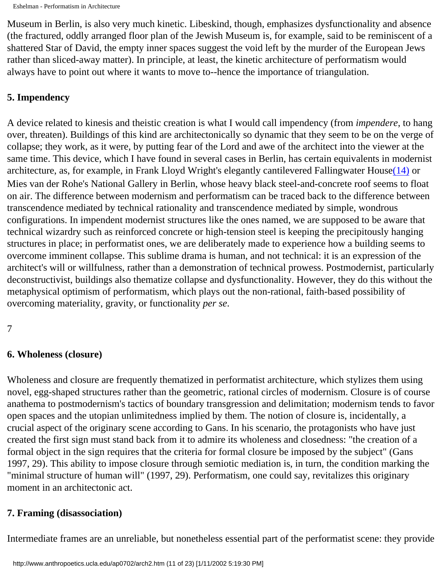Museum in Berlin, is also very much kinetic. Libeskind, though, emphasizes dysfunctionality and absence (the fractured, oddly arranged floor plan of the Jewish Museum is, for example, said to be reminiscent of a shattered Star of David, the empty inner spaces suggest the void left by the murder of the European Jews rather than sliced-away matter). In principle, at least, the kinetic architecture of performatism would always have to point out where it wants to move to--hence the importance of triangulation.

#### **5. Impendency**

<span id="page-11-0"></span>A device related to kinesis and theistic creation is what I would call impendency (from *impendere*, to hang over, threaten). Buildings of this kind are architectonically so dynamic that they seem to be on the verge of collapse; they work, as it were, by putting fear of the Lord and awe of the architect into the viewer at the same time. This device, which I have found in several cases in Berlin, has certain equivalents in modernist architecture, as, for example, in Frank Lloyd Wright's elegantly cantilevered Fallingwater Hous[e\(14\)](#page-23-1) or Mies van der Rohe's National Gallery in Berlin, whose heavy black steel-and-concrete roof seems to float on air. The difference between modernism and performatism can be traced back to the difference between transcendence mediated by technical rationality and transcendence mediated by simple, wondrous configurations. In impendent modernist structures like the ones named, we are supposed to be aware that technical wizardry such as reinforced concrete or high-tension steel is keeping the precipitously hanging structures in place; in performatist ones, we are deliberately made to experience how a building seems to overcome imminent collapse. This sublime drama is human, and not technical: it is an expression of the architect's will or willfulness, rather than a demonstration of technical prowess. Postmodernist, particularly deconstructivist, buildings also thematize collapse and dysfunctionality. However, they do this without the metaphysical optimism of performatism, which plays out the non-rational, faith-based possibility of overcoming materiality, gravity, or functionality *per se*.

## 7

## **6. Wholeness (closure)**

Wholeness and closure are frequently thematized in performatist architecture, which stylizes them using novel, egg-shaped structures rather than the geometric, rational circles of modernism. Closure is of course anathema to postmodernism's tactics of boundary transgression and delimitation; modernism tends to favor open spaces and the utopian unlimitedness implied by them. The notion of closure is, incidentally, a crucial aspect of the originary scene according to Gans. In his scenario, the protagonists who have just created the first sign must stand back from it to admire its wholeness and closedness: "the creation of a formal object in the sign requires that the criteria for formal closure be imposed by the subject" (Gans 1997, 29). This ability to impose closure through semiotic mediation is, in turn, the condition marking the "minimal structure of human will" (1997, 29). Performatism, one could say, revitalizes this originary moment in an architectonic act.

## **7. Framing (disassociation)**

Intermediate frames are an unreliable, but nonetheless essential part of the performatist scene: they provide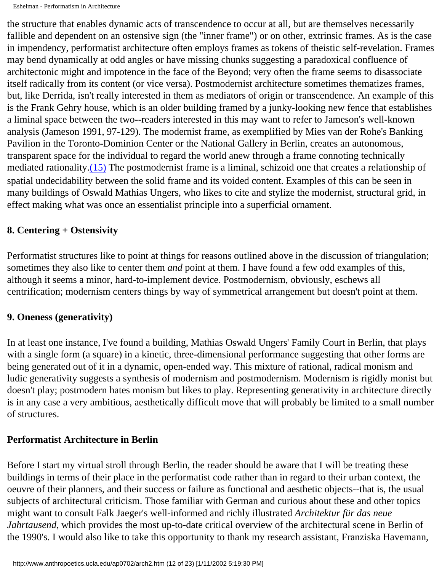the structure that enables dynamic acts of transcendence to occur at all, but are themselves necessarily fallible and dependent on an ostensive sign (the "inner frame") or on other, extrinsic frames. As is the case in impendency, performatist architecture often employs frames as tokens of theistic self-revelation. Frames may bend dynamically at odd angles or have missing chunks suggesting a paradoxical confluence of architectonic might and impotence in the face of the Beyond; very often the frame seems to disassociate itself radically from its content (or vice versa). Postmodernist architecture sometimes thematizes frames, but, like Derrida, isn't really interested in them as mediators of origin or transcendence. An example of this is the Frank Gehry house, which is an older building framed by a junky-looking new fence that establishes a liminal space between the two--readers interested in this may want to refer to Jameson's well-known analysis (Jameson 1991, 97-129). The modernist frame, as exemplified by Mies van der Rohe's Banking Pavilion in the Toronto-Dominion Center or the National Gallery in Berlin, creates an autonomous, transparent space for the individual to regard the world anew through a frame connoting technically mediated rationality[.\(15\)](#page-23-2) The postmodernist frame is a liminal, schizoid one that creates a relationship of spatial undecidability between the solid frame and its voided content. Examples of this can be seen in many buildings of Oswald Mathias Ungers, who likes to cite and stylize the modernist, structural grid, in effect making what was once an essentialist principle into a superficial ornament.

## <span id="page-12-0"></span>**8. Centering + Ostensivity**

Performatist structures like to point at things for reasons outlined above in the discussion of triangulation; sometimes they also like to center them *and* point at them. I have found a few odd examples of this, although it seems a minor, hard-to-implement device. Postmodernism, obviously, eschews all centrification; modernism centers things by way of symmetrical arrangement but doesn't point at them.

#### **9. Oneness (generativity)**

In at least one instance, I've found a building, Mathias Oswald Ungers' Family Court in Berlin, that plays with a single form (a square) in a kinetic, three-dimensional performance suggesting that other forms are being generated out of it in a dynamic, open-ended way. This mixture of rational, radical monism and ludic generativity suggests a synthesis of modernism and postmodernism. Modernism is rigidly monist but doesn't play; postmodern hates monism but likes to play. Representing generativity in architecture directly is in any case a very ambitious, aesthetically difficult move that will probably be limited to a small number of structures.

## **Performatist Architecture in Berlin**

Before I start my virtual stroll through Berlin, the reader should be aware that I will be treating these buildings in terms of their place in the performatist code rather than in regard to their urban context, the oeuvre of their planners, and their success or failure as functional and aesthetic objects--that is, the usual subjects of architectural criticism. Those familiar with German and curious about these and other topics might want to consult Falk Jaeger's well-informed and richly illustrated *Architektur für das neue Jahrtausend*, which provides the most up-to-date critical overview of the architectural scene in Berlin of the 1990's. I would also like to take this opportunity to thank my research assistant, Franziska Havemann,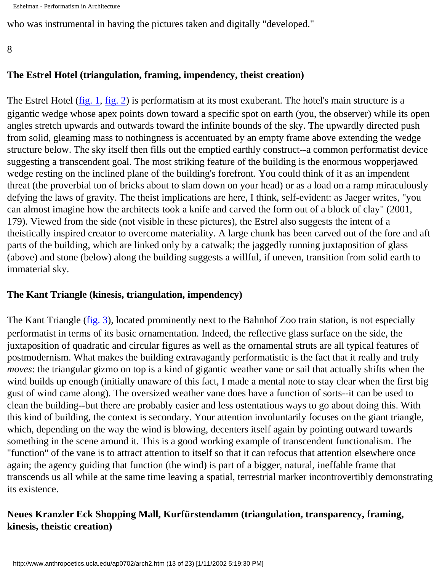```
Eshelman - Performatism in Architecture
```
who was instrumental in having the pictures taken and digitally "developed."

#### 8

## **The Estrel Hotel (triangulation, framing, impendency, theist creation)**

The Estrel Hotel [\(fig. 1](http://www.anthropoetics.ucla.edu/ap0702/Estrel01.jpg), [fig. 2\)](http://www.anthropoetics.ucla.edu/ap0702/Estrel05.jpg) is performatism at its most exuberant. The hotel's main structure is a gigantic wedge whose apex points down toward a specific spot on earth (you, the observer) while its open angles stretch upwards and outwards toward the infinite bounds of the sky. The upwardly directed push from solid, gleaming mass to nothingness is accentuated by an empty frame above extending the wedge structure below. The sky itself then fills out the emptied earthly construct--a common performatist device suggesting a transcendent goal. The most striking feature of the building is the enormous wopperjawed wedge resting on the inclined plane of the building's forefront. You could think of it as an impendent threat (the proverbial ton of bricks about to slam down on your head) or as a load on a ramp miraculously defying the laws of gravity. The theist implications are here, I think, self-evident: as Jaeger writes, "you can almost imagine how the architects took a knife and carved the form out of a block of clay" (2001, 179). Viewed from the side (not visible in these pictures), the Estrel also suggests the intent of a theistically inspired creator to overcome materiality. A large chunk has been carved out of the fore and aft parts of the building, which are linked only by a catwalk; the jaggedly running juxtaposition of glass (above) and stone (below) along the building suggests a willful, if uneven, transition from solid earth to immaterial sky.

## **The Kant Triangle (kinesis, triangulation, impendency)**

The Kant Triangle [\(fig. 3](http://www.anthropoetics.ucla.edu/ap0702/img09.jpg)), located prominently next to the Bahnhof Zoo train station, is not especially performatist in terms of its basic ornamentation. Indeed, the reflective glass surface on the side, the juxtaposition of quadratic and circular figures as well as the ornamental struts are all typical features of postmodernism. What makes the building extravagantly performatistic is the fact that it really and truly *moves*: the triangular gizmo on top is a kind of gigantic weather vane or sail that actually shifts when the wind builds up enough (initially unaware of this fact, I made a mental note to stay clear when the first big gust of wind came along). The oversized weather vane does have a function of sorts--it can be used to clean the building--but there are probably easier and less ostentatious ways to go about doing this. With this kind of building, the context is secondary. Your attention involuntarily focuses on the giant triangle, which, depending on the way the wind is blowing, decenters itself again by pointing outward towards something in the scene around it. This is a good working example of transcendent functionalism. The "function" of the vane is to attract attention to itself so that it can refocus that attention elsewhere once again; the agency guiding that function (the wind) is part of a bigger, natural, ineffable frame that transcends us all while at the same time leaving a spatial, terrestrial marker incontrovertibly demonstrating its existence.

## **Neues Kranzler Eck Shopping Mall, Kurfürstendamm (triangulation, transparency, framing, kinesis, theistic creation)**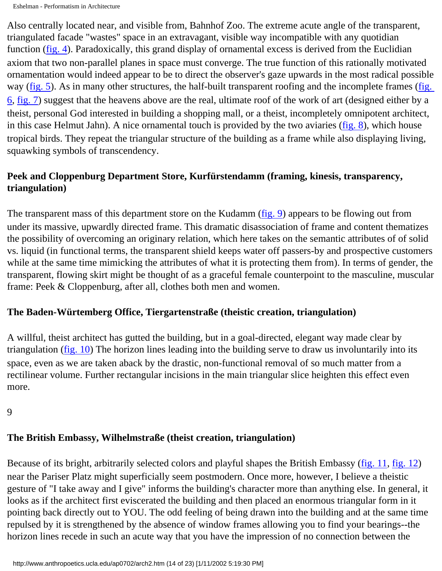Also centrally located near, and visible from, Bahnhof Zoo. The extreme acute angle of the transparent, triangulated facade "wastes" space in an extravagant, visible way incompatible with any quotidian function ([fig. 4](http://www.anthropoetics.ucla.edu/ap0702/img23.jpg)). Paradoxically, this grand display of ornamental excess is derived from the Euclidian axiom that two non-parallel planes in space must converge. The true function of this rationally motivated ornamentation would indeed appear to be to direct the observer's gaze upwards in the most radical possible way ([fig. 5](http://www.anthropoetics.ucla.edu/ap0702/img24.jpg)). As in many other structures, the half-built transparent roofing and the incomplete frames (fig. [6,](http://www.anthropoetics.ucla.edu/ap0702/img21.jpg) [fig. 7\)](http://www.anthropoetics.ucla.edu/ap0702/img08.jpg) suggest that the heavens above are the real, ultimate roof of the work of art (designed either by a theist, personal God interested in building a shopping mall, or a theist, incompletely omnipotent architect, in this case Helmut Jahn). A nice ornamental touch is provided by the two aviaries [\(fig. 8](http://www.anthropoetics.ucla.edu/ap0702/img17.jpg)), which house tropical birds. They repeat the triangular structure of the building as a frame while also displaying living, squawking symbols of transcendency.

## **Peek and Cloppenburg Department Store, Kurfürstendamm (framing, kinesis, transparency, triangulation)**

The transparent mass of this department store on the Kudamm [\(fig. 9](http://www.anthropoetics.ucla.edu/ap0702/img14.jpg)) appears to be flowing out from under its massive, upwardly directed frame. This dramatic disassociation of frame and content thematizes the possibility of overcoming an originary relation, which here takes on the semantic attributes of of solid vs. liquid (in functional terms, the transparent shield keeps water off passers-by and prospective customers while at the same time mimicking the attributes of what it is protecting them from). In terms of gender, the transparent, flowing skirt might be thought of as a graceful female counterpoint to the masculine, muscular frame: Peek & Cloppenburg, after all, clothes both men and women.

## **The Baden-Würtemberg Office, Tiergartenstraße (theistic creation, triangulation)**

A willful, theist architect has gutted the building, but in a goal-directed, elegant way made clear by triangulation ([fig. 10\)](http://www.anthropoetics.ucla.edu/ap0702/BadW1.jpg) The horizon lines leading into the building serve to draw us involuntarily into its space, even as we are taken aback by the drastic, non-functional removal of so much matter from a rectilinear volume. Further rectangular incisions in the main triangular slice heighten this effect even more.

9

## **The British Embassy, Wilhelmstraße (theist creation, triangulation)**

Because of its bright, arbitrarily selected colors and playful shapes the British Embassy [\(fig. 11](http://www.anthropoetics.ucla.edu/ap0702/img02.jpg), [fig. 12](http://www.anthropoetics.ucla.edu/ap0702/img20.jpg)) near the Pariser Platz might superficially seem postmodern. Once more, however, I believe a theistic gesture of "I take away and I give" informs the building's character more than anything else. In general, it looks as if the architect first eviscerated the building and then placed an enormous triangular form in it pointing back directly out to YOU. The odd feeling of being drawn into the building and at the same time repulsed by it is strengthened by the absence of window frames allowing you to find your bearings--the horizon lines recede in such an acute way that you have the impression of no connection between the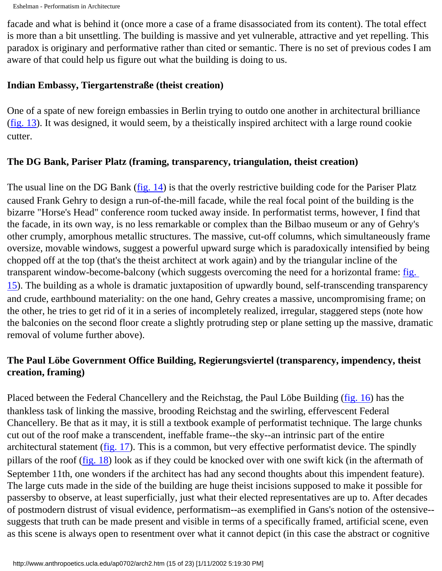facade and what is behind it (once more a case of a frame disassociated from its content). The total effect is more than a bit unsettling. The building is massive and yet vulnerable, attractive and yet repelling. This paradox is originary and performative rather than cited or semantic. There is no set of previous codes I am aware of that could help us figure out what the building is doing to us.

## **Indian Embassy, Tiergartenstraße (theist creation)**

One of a spate of new foreign embassies in Berlin trying to outdo one another in architectural brilliance [\(fig. 13\)](http://www.anthropoetics.ucla.edu/ap0702/IBot1.jpg). It was designed, it would seem, by a theistically inspired architect with a large round cookie cutter.

## **The DG Bank, Pariser Platz (framing, transparency, triangulation, theist creation)**

The usual line on the DG Bank ([fig. 14\)](http://www.anthropoetics.ucla.edu/ap0702/img07.jpg) is that the overly restrictive building code for the Pariser Platz caused Frank Gehry to design a run-of-the-mill facade, while the real focal point of the building is the bizarre "Horse's Head" conference room tucked away inside. In performatist terms, however, I find that the facade, in its own way, is no less remarkable or complex than the Bilbao museum or any of Gehry's other crumply, amorphous metallic structures. The massive, cut-off columns, which simultaneously frame oversize, movable windows, suggest a powerful upward surge which is paradoxically intensified by being chopped off at the top (that's the theist architect at work again) and by the triangular incline of the transparent window-become-balcony (which suggests overcoming the need for a horizontal frame: [fig.](http://www.anthropoetics.ucla.edu/ap0702/img16.jpg) [15\)](http://www.anthropoetics.ucla.edu/ap0702/img16.jpg). The building as a whole is dramatic juxtaposition of upwardly bound, self-transcending transparency and crude, earthbound materiality: on the one hand, Gehry creates a massive, uncompromising frame; on the other, he tries to get rid of it in a series of incompletely realized, irregular, staggered steps (note how the balconies on the second floor create a slightly protruding step or plane setting up the massive, dramatic removal of volume further above).

## **The Paul Löbe Government Office Building, Regierungsviertel (transparency, impendency, theist creation, framing)**

Placed between the Federal Chancellery and the Reichstag, the Paul Löbe Building ([fig. 16](http://www.anthropoetics.ucla.edu/ap0702/img22.jpg)) has the thankless task of linking the massive, brooding Reichstag and the swirling, effervescent Federal Chancellery. Be that as it may, it is still a textbook example of performatist technique. The large chunks cut out of the roof make a transcendent, ineffable frame--the sky--an intrinsic part of the entire architectural statement  $(fig. 17)$ . This is a common, but very effective performatist device. The spindly pillars of the roof [\(fig. 18](http://www.anthropoetics.ucla.edu/ap0702/img03.jpg)) look as if they could be knocked over with one swift kick (in the aftermath of September 11th, one wonders if the architect has had any second thoughts about this impendent feature). The large cuts made in the side of the building are huge theist incisions supposed to make it possible for passersby to observe, at least superficially, just what their elected representatives are up to. After decades of postmodern distrust of visual evidence, performatism--as exemplified in Gans's notion of the ostensive- suggests that truth can be made present and visible in terms of a specifically framed, artificial scene, even as this scene is always open to resentment over what it cannot depict (in this case the abstract or cognitive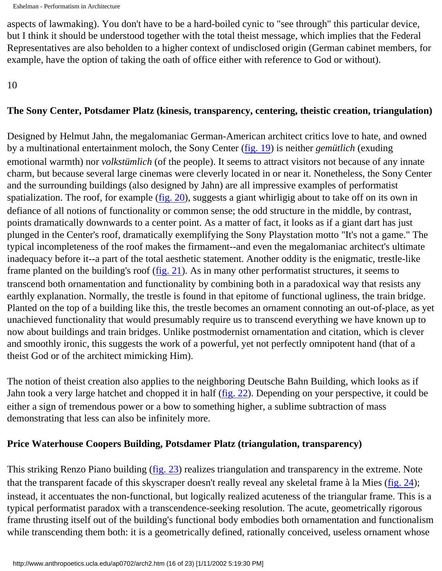aspects of lawmaking). You don't have to be a hard-boiled cynic to "see through" this particular device, but I think it should be understood together with the total theist message, which implies that the Federal Representatives are also beholden to a higher context of undisclosed origin (German cabinet members, for example, have the option of taking the oath of office either with reference to God or without).

10

#### **The Sony Center, Potsdamer Platz (kinesis, transparency, centering, theistic creation, triangulation)**

Designed by Helmut Jahn, the megalomaniac German-American architect critics love to hate, and owned by a multinational entertainment moloch, the Sony Center ([fig. 19\)](http://www.anthropoetics.ucla.edu/ap0702/img11.jpg) is neither *gemütlich* (exuding emotional warmth) nor *volkstümlich* (of the people). It seems to attract visitors not because of any innate charm, but because several large cinemas were cleverly located in or near it. Nonetheless, the Sony Center and the surrounding buildings (also designed by Jahn) are all impressive examples of performatist spatialization. The roof, for example ([fig. 20\)](http://www.anthropoetics.ucla.edu/ap0702/img18.jpg), suggests a giant whirligig about to take off on its own in defiance of all notions of functionality or common sense; the odd structure in the middle, by contrast, points dramatically downwards to a center point. As a matter of fact, it looks as if a giant dart has just plunged in the Center's roof, dramatically exemplifying the Sony Playstation motto "It's not a game." The typical incompleteness of the roof makes the firmament--and even the megalomaniac architect's ultimate inadequacy before it--a part of the total aesthetic statement. Another oddity is the enigmatic, trestle-like frame planted on the building's roof ([fig. 21\)](http://www.anthropoetics.ucla.edu/ap0702/img13.jpg). As in many other performatist structures, it seems to transcend both ornamentation and functionality by combining both in a paradoxical way that resists any earthly explanation. Normally, the trestle is found in that epitome of functional ugliness, the train bridge. Planted on the top of a building like this, the trestle becomes an ornament connoting an out-of-place, as yet unachieved functionality that would presumably require us to transcend everything we have known up to now about buildings and train bridges. Unlike postmodernist ornamentation and citation, which is clever and smoothly ironic, this suggests the work of a powerful, yet not perfectly omnipotent hand (that of a theist God or of the architect mimicking Him).

The notion of theist creation also applies to the neighboring Deutsche Bahn Building, which looks as if Jahn took a very large hatchet and chopped it in half [\(fig. 22](http://www.anthropoetics.ucla.edu/ap0702/img19.jpg)). Depending on your perspective, it could be either a sign of tremendous power or a bow to something higher, a sublime subtraction of mass demonstrating that less can also be infinitely more.

## **Price Waterhouse Coopers Building, Potsdamer Platz (triangulation, transparency)**

This striking Renzo Piano building [\(fig. 23](http://www.anthropoetics.ucla.edu/ap0702/img26.jpg)) realizes triangulation and transparency in the extreme. Note that the transparent facade of this skyscraper doesn't really reveal any skeletal frame à la Mies [\(fig. 24](http://www.anthropoetics.ucla.edu/ap0702/img27.jpg)); instead, it accentuates the non-functional, but logically realized acuteness of the triangular frame. This is a typical performatist paradox with a transcendence-seeking resolution. The acute, geometrically rigorous frame thrusting itself out of the building's functional body embodies both ornamentation and functionalism while transcending them both: it is a geometrically defined, rationally conceived, useless ornament whose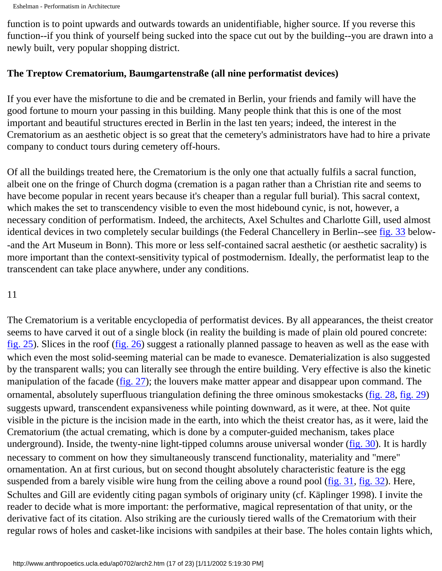function is to point upwards and outwards towards an unidentifiable, higher source. If you reverse this function--if you think of yourself being sucked into the space cut out by the building--you are drawn into a newly built, very popular shopping district.

#### **The Treptow Crematorium, Baumgartenstraße (all nine performatist devices)**

If you ever have the misfortune to die and be cremated in Berlin, your friends and family will have the good fortune to mourn your passing in this building. Many people think that this is one of the most important and beautiful structures erected in Berlin in the last ten years; indeed, the interest in the Crematorium as an aesthetic object is so great that the cemetery's administrators have had to hire a private company to conduct tours during cemetery off-hours.

Of all the buildings treated here, the Crematorium is the only one that actually fulfils a sacral function, albeit one on the fringe of Church dogma (cremation is a pagan rather than a Christian rite and seems to have become popular in recent years because it's cheaper than a regular full burial). This sacral context, which makes the set to transcendency visible to even the most hidebound cynic, is not, however, a necessary condition of performatism. Indeed, the architects, Axel Schultes and Charlotte Gill, used almost identical devices in two completely secular buildings (the Federal Chancellery in Berlin--see [fig. 33](http://www.anthropoetics.ucla.edu/ap0702/img10.jpg) below- -and the Art Museum in Bonn). This more or less self-contained sacral aesthetic (or aesthetic sacrality) is more important than the context-sensitivity typical of postmodernism. Ideally, the performatist leap to the transcendent can take place anywhere, under any conditions.

#### 11

The Crematorium is a veritable encyclopedia of performatist devices. By all appearances, the theist creator seems to have carved it out of a single block (in reality the building is made of plain old poured concrete: [fig. 25\)](http://www.anthropoetics.ucla.edu/ap0702/krema17.jpg). Slices in the roof ([fig. 26\)](http://www.anthropoetics.ucla.edu/ap0702/krema09.jpg) suggest a rationally planned passage to heaven as well as the ease with which even the most solid-seeming material can be made to evanesce. Dematerialization is also suggested by the transparent walls; you can literally see through the entire building. Very effective is also the kinetic manipulation of the facade ([fig. 27\)](http://www.anthropoetics.ucla.edu/ap0702/krema10.jpg); the louvers make matter appear and disappear upon command. The ornamental, absolutely superfluous triangulation defining the three ominous smokestacks [\(fig. 28](http://www.anthropoetics.ucla.edu/ap0702/krema14.jpg), [fig. 29](http://www.anthropoetics.ucla.edu/ap0702/krema15.jpg)) suggests upward, transcendent expansiveness while pointing downward, as it were, at thee. Not quite visible in the picture is the incision made in the earth, into which the theist creator has, as it were, laid the Crematorium (the actual cremating, which is done by a computer-guided mechanism, takes place underground). Inside, the twenty-nine light-tipped columns arouse universal wonder ([fig. 30\)](http://www.anthropoetics.ucla.edu/ap0702/krema01.jpg). It is hardly necessary to comment on how they simultaneously transcend functionality, materiality and "mere" ornamentation. An at first curious, but on second thought absolutely characteristic feature is the egg suspended from a barely visible wire hung from the ceiling above a round pool [\(fig. 31](http://www.anthropoetics.ucla.edu/ap0702/krema03.jpg), [fig. 32](http://www.anthropoetics.ucla.edu/ap0702/krema04.jpg)). Here, Schultes and Gill are evidently citing pagan symbols of originary unity (cf. Käplinger 1998). I invite the reader to decide what is more important: the performative, magical representation of that unity, or the derivative fact of its citation. Also striking are the curiously tiered walls of the Crematorium with their regular rows of holes and casket-like incisions with sandpiles at their base. The holes contain lights which,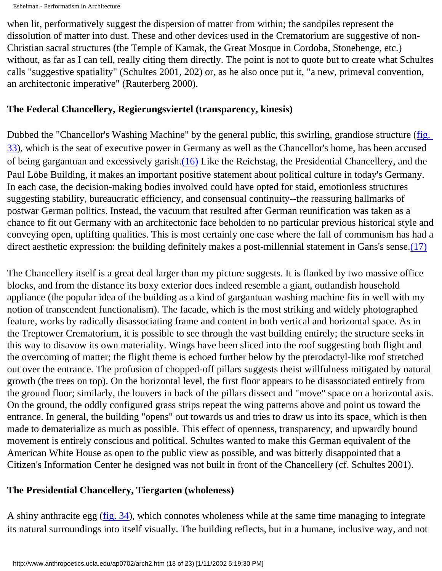when lit, performatively suggest the dispersion of matter from within; the sandpiles represent the dissolution of matter into dust. These and other devices used in the Crematorium are suggestive of non-Christian sacral structures (the Temple of Karnak, the Great Mosque in Cordoba, Stonehenge, etc.) without, as far as I can tell, really citing them directly. The point is not to quote but to create what Schultes calls "suggestive spatiality" (Schultes 2001, 202) or, as he also once put it, "a new, primeval convention, an architectonic imperative" (Rauterberg 2000).

## **The Federal Chancellery, Regierungsviertel (transparency, kinesis)**

Dubbed the "Chancellor's Washing Machine" by the general public, this swirling, grandiose structure [\(fig.](http://www.anthropoetics.ucla.edu/ap0702/img10.jpg) [33\)](http://www.anthropoetics.ucla.edu/ap0702/img10.jpg), which is the seat of executive power in Germany as well as the Chancellor's home, has been accused of being gargantuan and excessively garish.[\(16\)](#page-23-3) Like the Reichstag, the Presidential Chancellery, and the Paul Löbe Building, it makes an important positive statement about political culture in today's Germany. In each case, the decision-making bodies involved could have opted for staid, emotionless structures suggesting stability, bureaucratic efficiency, and consensual continuity--the reassuring hallmarks of postwar German politics. Instead, the vacuum that resulted after German reunification was taken as a chance to fit out Germany with an architectonic face beholden to no particular previous historical style and conveying open, uplifting qualities. This is most certainly one case where the fall of communism has had a direct aesthetic expression: the building definitely makes a post-millennial statement in Gans's sense.[\(17\)](#page-23-4)

<span id="page-18-0"></span>The Chancellery itself is a great deal larger than my picture suggests. It is flanked by two massive office blocks, and from the distance its boxy exterior does indeed resemble a giant, outlandish household appliance (the popular idea of the building as a kind of gargantuan washing machine fits in well with my notion of transcendent functionalism). The facade, which is the most striking and widely photographed feature, works by radically disassociating frame and content in both vertical and horizontal space. As in the Treptower Crematorium, it is possible to see through the vast building entirely; the structure seeks in this way to disavow its own materiality. Wings have been sliced into the roof suggesting both flight and the overcoming of matter; the flight theme is echoed further below by the pterodactyl-like roof stretched out over the entrance. The profusion of chopped-off pillars suggests theist willfulness mitigated by natural growth (the trees on top). On the horizontal level, the first floor appears to be disassociated entirely from the ground floor; similarly, the louvers in back of the pillars dissect and "move" space on a horizontal axis. On the ground, the oddly configured grass strips repeat the wing patterns above and point us toward the entrance. In general, the building "opens" out towards us and tries to draw us into its space, which is then made to dematerialize as much as possible. This effect of openness, transparency, and upwardly bound movement is entirely conscious and political. Schultes wanted to make this German equivalent of the American White House as open to the public view as possible, and was bitterly disappointed that a Citizen's Information Center he designed was not built in front of the Chancellery (cf. Schultes 2001).

## **The Presidential Chancellery, Tiergarten (wholeness)**

A shiny anthracite egg ([fig. 34\)](http://www.anthropoetics.ucla.edu/ap0702/BPras1.jpg), which connotes wholeness while at the same time managing to integrate its natural surroundings into itself visually. The building reflects, but in a humane, inclusive way, and not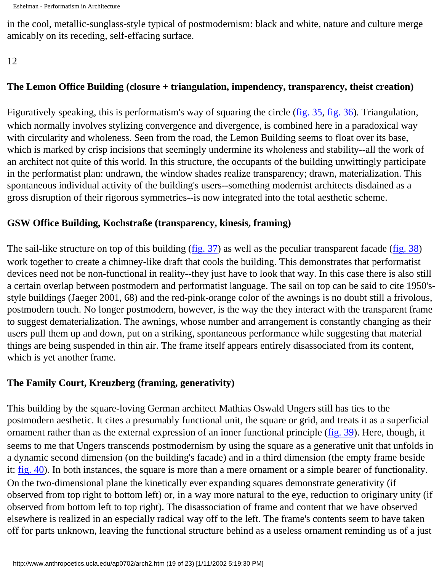in the cool, metallic-sunglass-style typical of postmodernism: black and white, nature and culture merge amicably on its receding, self-effacing surface.

## 12

## **The Lemon Office Building (closure + triangulation, impendency, transparency, theist creation)**

Figuratively speaking, this is performatism's way of squaring the circle [\(fig. 35](http://www.anthropoetics.ucla.edu/ap0702/zitro1.jpg), [fig. 36](http://www.anthropoetics.ucla.edu/ap0702/zitro2.jpg)). Triangulation, which normally involves stylizing convergence and divergence, is combined here in a paradoxical way with circularity and wholeness. Seen from the road, the Lemon Building seems to float over its base, which is marked by crisp incisions that seemingly undermine its wholeness and stability--all the work of an architect not quite of this world. In this structure, the occupants of the building unwittingly participate in the performatist plan: undrawn, the window shades realize transparency; drawn, materialization. This spontaneous individual activity of the building's users--something modernist architects disdained as a gross disruption of their rigorous symmetries--is now integrated into the total aesthetic scheme.

## **GSW Office Building, Kochstraße (transparency, kinesis, framing)**

The sail-like structure on top of this building ([fig. 37\)](http://www.anthropoetics.ucla.edu/ap0702/segel04.jpg) as well as the peculiar transparent facade [\(fig. 38](http://www.anthropoetics.ucla.edu/ap0702/segel01.jpg)) work together to create a chimney-like draft that cools the building. This demonstrates that performatist devices need not be non-functional in reality--they just have to look that way. In this case there is also still a certain overlap between postmodern and performatist language. The sail on top can be said to cite 1950'sstyle buildings (Jaeger 2001, 68) and the red-pink-orange color of the awnings is no doubt still a frivolous, postmodern touch. No longer postmodern, however, is the way the they interact with the transparent frame to suggest dematerialization. The awnings, whose number and arrangement is constantly changing as their users pull them up and down, put on a striking, spontaneous performance while suggesting that material things are being suspended in thin air. The frame itself appears entirely disassociated from its content, which is yet another frame.

## **The Family Court, Kreuzberg (framing, generativity)**

This building by the square-loving German architect Mathias Oswald Ungers still has ties to the postmodern aesthetic. It cites a presumably functional unit, the square or grid, and treats it as a superficial ornament rather than as the external expression of an inner functional principle [\(fig. 39](http://www.anthropoetics.ucla.edu/ap0702/geri5.jpg)). Here, though, it seems to me that Ungers transcends postmodernism by using the square as a generative unit that unfolds in a dynamic second dimension (on the building's facade) and in a third dimension (the empty frame beside it: [fig. 40\)](http://www.anthropoetics.ucla.edu/ap0702/geri3.jpg). In both instances, the square is more than a mere ornament or a simple bearer of functionality. On the two-dimensional plane the kinetically ever expanding squares demonstrate generativity (if observed from top right to bottom left) or, in a way more natural to the eye, reduction to originary unity (if observed from bottom left to top right). The disassociation of frame and content that we have observed elsewhere is realized in an especially radical way off to the left. The frame's contents seem to have taken off for parts unknown, leaving the functional structure behind as a useless ornament reminding us of a just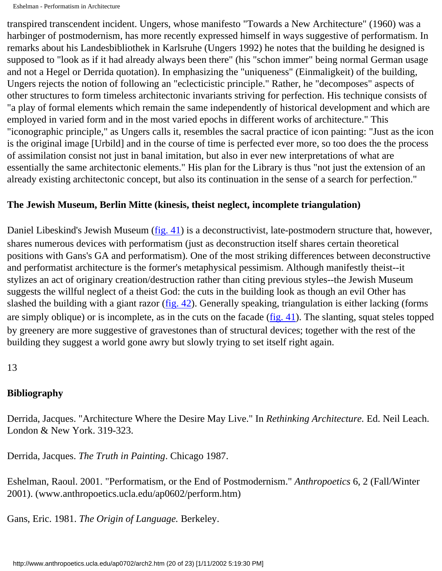transpired transcendent incident. Ungers, whose manifesto "Towards a New Architecture" (1960) was a harbinger of postmodernism, has more recently expressed himself in ways suggestive of performatism. In remarks about his Landesbibliothek in Karlsruhe (Ungers 1992) he notes that the building he designed is supposed to "look as if it had already always been there" (his "schon immer" being normal German usage and not a Hegel or Derrida quotation). In emphasizing the "uniqueness" (Einmaligkeit) of the building, Ungers rejects the notion of following an "eclecticistic principle." Rather, he "decomposes" aspects of other structures to form timeless architectonic invariants striving for perfection. His technique consists of "a play of formal elements which remain the same independently of historical development and which are employed in varied form and in the most varied epochs in different works of architecture." This "iconographic principle," as Ungers calls it, resembles the sacral practice of icon painting: "Just as the icon is the original image [Urbild] and in the course of time is perfected ever more, so too does the the process of assimilation consist not just in banal imitation, but also in ever new interpretations of what are essentially the same architectonic elements." His plan for the Library is thus "not just the extension of an already existing architectonic concept, but also its continuation in the sense of a search for perfection."

#### **The Jewish Museum, Berlin Mitte (kinesis, theist neglect, incomplete triangulation)**

Daniel Libeskind's Jewish Museum [\(fig. 41](http://www.anthropoetics.ucla.edu/ap0702/jmuseum02.jpg)) is a deconstructivist, late-postmodern structure that, however, shares numerous devices with performatism (just as deconstruction itself shares certain theoretical positions with Gans's GA and performatism). One of the most striking differences between deconstructive and performatist architecture is the former's metaphysical pessimism. Although manifestly theist--it stylizes an act of originary creation/destruction rather than citing previous styles--the Jewish Museum suggests the willful neglect of a theist God: the cuts in the building look as though an evil Other has slashed the building with a giant razor [\(fig. 42](http://www.anthropoetics.ucla.edu/ap0702/jmuseum07.jpg)). Generally speaking, triangulation is either lacking (forms are simply oblique) or is incomplete, as in the cuts on the facade ([fig. 41\)](http://www.anthropoetics.ucla.edu/ap0702/jmuseum02.jpg). The slanting, squat steles topped by greenery are more suggestive of gravestones than of structural devices; together with the rest of the building they suggest a world gone awry but slowly trying to set itself right again.

13

#### **Bibliography**

Derrida, Jacques. "Architecture Where the Desire May Live." In *Rethinking Architecture.* Ed. Neil Leach. London & New York. 319-323.

Derrida, Jacques. *The Truth in Painting*. Chicago 1987.

Eshelman, Raoul. 2001. "Performatism, or the End of Postmodernism." *Anthropoetics* 6, 2 (Fall/Winter 2001). (www.anthropoetics.ucla.edu/ap0602/perform.htm)

Gans, Eric. 1981. *The Origin of Language.* Berkeley.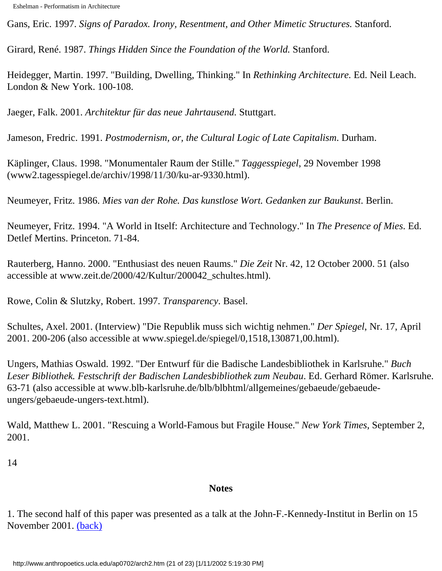Gans, Eric. 1997. *Signs of Paradox. Irony, Resentment, and Other Mimetic Structures.* Stanford.

Girard, René. 1987. *Things Hidden Since the Foundation of the World.* Stanford.

Heidegger, Martin. 1997. "Building, Dwelling, Thinking." In *Rethinking Architecture.* Ed. Neil Leach. London & New York. 100-108.

Jaeger, Falk. 2001. *Architektur für das neue Jahrtausend.* Stuttgart.

Jameson, Fredric. 1991. *Postmodernism, or, the Cultural Logic of Late Capitalism*. Durham.

Käplinger, Claus. 1998. "Monumentaler Raum der Stille." *Taggesspiegel*, 29 November 1998 (www2.tagesspiegel.de/archiv/1998/11/30/ku-ar-9330.html).

Neumeyer, Fritz. 1986. *Mies van der Rohe. Das kunstlose Wort. Gedanken zur Baukunst*. Berlin.

Neumeyer, Fritz. 1994. "A World in Itself: Architecture and Technology." In *The Presence of Mies*. Ed. Detlef Mertins. Princeton. 71-84.

Rauterberg, Hanno. 2000. "Enthusiast des neuen Raums." *Die Zeit* Nr. 42, 12 October 2000. 51 (also accessible at www.zeit.de/2000/42/Kultur/200042\_schultes.html).

Rowe, Colin & Slutzky, Robert. 1997. *Transparency*. Basel.

Schultes, Axel. 2001. (Interview) "Die Republik muss sich wichtig nehmen." *Der Spiegel*, Nr. 17, April 2001. 200-206 (also accessible at www.spiegel.de/spiegel/0,1518,130871,00.html).

Ungers, Mathias Oswald. 1992. "Der Entwurf für die Badische Landesbibliothek in Karlsruhe." *Buch Leser Bibliothek. Festschrift der Badischen Landesbibliothek zum Neubau*. Ed. Gerhard Römer. Karlsruhe. 63-71 (also accessible at www.blb-karlsruhe.de/blb/blbhtml/allgemeines/gebaeude/gebaeudeungers/gebaeude-ungers-text.html).

Wald, Matthew L. 2001. "Rescuing a World-Famous but Fragile House." *New York Times*, September 2, 2001.

14

#### **Notes**

<span id="page-21-1"></span><span id="page-21-0"></span>1. The second half of this paper was presented as a talk at the John-F.-Kennedy-Institut in Berlin on 15 November 2001. [\(back\)](#page-1-1)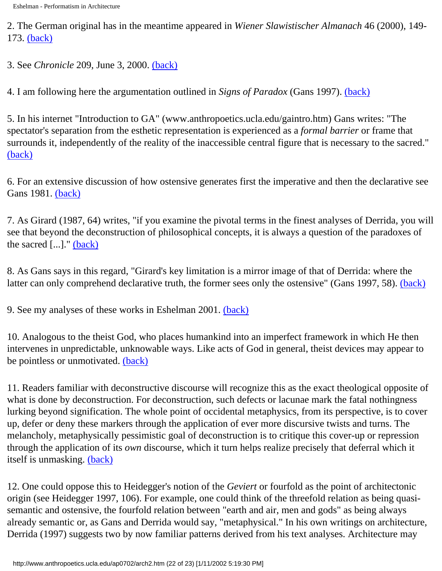2. The German original has in the meantime appeared in *Wiener Slawistischer Almanach* 46 (2000), 149- 173. [\(back\)](#page-1-2)

<span id="page-22-1"></span><span id="page-22-0"></span>3. See *Chronicle* 209, June 3, 2000. [\(back\)](#page-1-3)

<span id="page-22-2"></span>4. I am following here the argumentation outlined in *Signs of Paradox* (Gans 1997). [\(back\)](#page-2-0)

5. In his internet "Introduction to GA" (www.anthropoetics.ucla.edu/gaintro.htm) Gans writes: "The spectator's separation from the esthetic representation is experienced as a *formal barrier* or frame that surrounds it, independently of the reality of the inaccessible central figure that is necessary to the sacred." [\(back\)](#page-2-1)

<span id="page-22-3"></span>6. For an extensive discussion of how ostensive generates first the imperative and then the declarative see Gans 1981. [\(back\)](#page-3-0)

<span id="page-22-4"></span>7. As Girard (1987, 64) writes, "if you examine the pivotal terms in the finest analyses of Derrida, you will see that beyond the deconstruction of philosophical concepts, it is always a question of the paradoxes of the sacred [...]." [\(back\)](#page-4-0)

<span id="page-22-5"></span>8. As Gans says in this regard, "Girard's key limitation is a mirror image of that of Derrida: where the latter can only comprehend declarative truth, the former sees only the ostensive" (Gans 1997, 58). [\(back\)](#page-4-1)

<span id="page-22-7"></span><span id="page-22-6"></span>9. See my analyses of these works in Eshelman 2001. [\(back\)](#page-5-0)

10. Analogous to the theist God, who places humankind into an imperfect framework in which He then intervenes in unpredictable, unknowable ways. Like acts of God in general, theist devices may appear to be pointless or unmotivated. [\(back\)](#page-8-0)

<span id="page-22-8"></span>11. Readers familiar with deconstructive discourse will recognize this as the exact theological opposite of what is done by deconstruction. For deconstruction, such defects or lacunae mark the fatal nothingness lurking beyond signification. The whole point of occidental metaphysics, from its perspective, is to cover up, defer or deny these markers through the application of ever more discursive twists and turns. The melancholy, metaphysically pessimistic goal of deconstruction is to critique this cover-up or repression through the application of its *own* discourse, which it turn helps realize precisely that deferral which it itself is unmasking. [\(back\)](#page-8-1)

<span id="page-22-9"></span>12. One could oppose this to Heidegger's notion of the *Geviert* or fourfold as the point of architectonic origin (see Heidegger 1997, 106). For example, one could think of the threefold relation as being quasisemantic and ostensive, the fourfold relation between "earth and air, men and gods" as being always already semantic or, as Gans and Derrida would say, "metaphysical." In his own writings on architecture, Derrida (1997) suggests two by now familiar patterns derived from his text analyses. Architecture may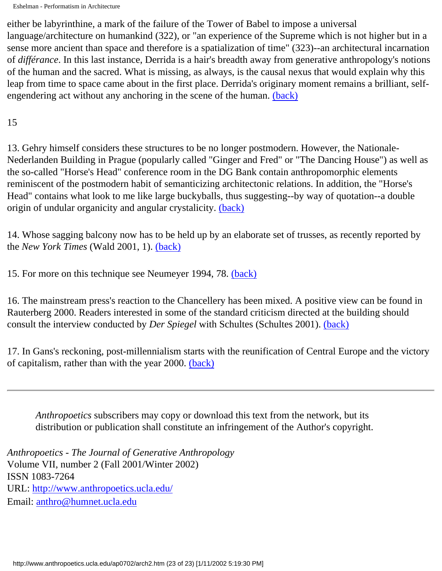either be labyrinthine, a mark of the failure of the Tower of Babel to impose a universal language/architecture on humankind (322), or "an experience of the Supreme which is not higher but in a sense more ancient than space and therefore is a spatialization of time" (323)--an architectural incarnation of *différance*. In this last instance, Derrida is a hair's breadth away from generative anthropology's notions of the human and the sacred. What is missing, as always, is the causal nexus that would explain why this leap from time to space came about in the first place. Derrida's originary moment remains a brilliant, selfengendering act without any anchoring in the scene of the human. [\(back\)](#page-10-0)

<span id="page-23-0"></span>15

13. Gehry himself considers these structures to be no longer postmodern. However, the Nationale-Nederlanden Building in Prague (popularly called "Ginger and Fred" or "The Dancing House") as well as the so-called "Horse's Head" conference room in the DG Bank contain anthropomorphic elements reminiscent of the postmodern habit of semanticizing architectonic relations. In addition, the "Horse's Head" contains what look to me like large buckyballs, thus suggesting--by way of quotation--a double origin of undular organicity and angular crystalicity. [\(back\)](#page-10-1)

<span id="page-23-1"></span>14. Whose sagging balcony now has to be held up by an elaborate set of trusses, as recently reported by the *New York Times* (Wald 2001, 1). [\(back\)](#page-11-0)

<span id="page-23-3"></span><span id="page-23-2"></span>15. For more on this technique see Neumeyer 1994, 78. [\(back\)](#page-12-0)

16. The mainstream press's reaction to the Chancellery has been mixed. A positive view can be found in Rauterberg 2000. Readers interested in some of the standard criticism directed at the building should consult the interview conducted by *Der Spiegel* with Schultes (Schultes 2001). [\(back\)](#page-1-0)

<span id="page-23-4"></span>17. In Gans's reckoning, post-millennialism starts with the reunification of Central Europe and the victory of capitalism, rather than with the year 2000. [\(back\)](#page-18-0)

*Anthropoetics* subscribers may copy or download this text from the network, but its distribution or publication shall constitute an infringement of the Author's copyright.

*Anthropoetics - The Journal of Generative Anthropology* Volume VII, number 2 (Fall 2001/Winter 2002) ISSN 1083-7264 URL: <http://www.anthropoetics.ucla.edu/> Email: [anthro@humnet.ucla.edu](mailto:anthro@humnet.ucla.edu)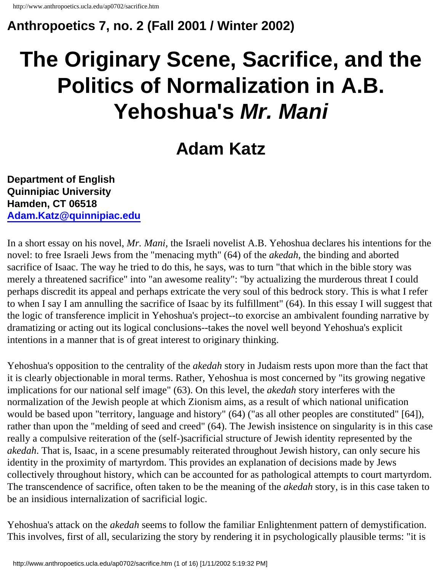## <span id="page-24-0"></span>**Anthropoetics 7, no. 2 (Fall 2001 / Winter 2002)**

# **The Originary Scene, Sacrifice, and the Politics of Normalization in A.B. Yehoshua's Mr. Mani**

## **Adam Katz**

**Department of English Quinnipiac University Hamden, CT 06518 [Adam.Katz@quinnipiac.edu](mailto:Adam.Katz@quinnipiac.edu)**

In a short essay on his novel, *Mr. Mani*, the Israeli novelist A.B. Yehoshua declares his intentions for the novel: to free Israeli Jews from the "menacing myth" (64) of the *akedah*, the binding and aborted sacrifice of Isaac. The way he tried to do this, he says, was to turn "that which in the bible story was merely a threatened sacrifice" into "an awesome reality": "by actualizing the murderous threat I could perhaps discredit its appeal and perhaps extricate the very soul of this bedrock story. This is what I refer to when I say I am annulling the sacrifice of Isaac by its fulfillment" (64). In this essay I will suggest that the logic of transference implicit in Yehoshua's project--to exorcise an ambivalent founding narrative by dramatizing or acting out its logical conclusions--takes the novel well beyond Yehoshua's explicit intentions in a manner that is of great interest to originary thinking.

Yehoshua's opposition to the centrality of the *akedah* story in Judaism rests upon more than the fact that it is clearly objectionable in moral terms. Rather, Yehoshua is most concerned by "its growing negative implications for our national self image" (63). On this level, the *akedah* story interferes with the normalization of the Jewish people at which Zionism aims, as a result of which national unification would be based upon "territory, language and history" (64) ("as all other peoples are constituted" [64]), rather than upon the "melding of seed and creed" (64). The Jewish insistence on singularity is in this case really a compulsive reiteration of the (self-)sacrificial structure of Jewish identity represented by the *akedah*. That is, Isaac, in a scene presumably reiterated throughout Jewish history, can only secure his identity in the proximity of martyrdom. This provides an explanation of decisions made by Jews collectively throughout history, which can be accounted for as pathological attempts to court martyrdom. The transcendence of sacrifice, often taken to be the meaning of the *akedah* story, is in this case taken to be an insidious internalization of sacrificial logic.

Yehoshua's attack on the *akedah* seems to follow the familiar Enlightenment pattern of demystification. This involves, first of all, secularizing the story by rendering it in psychologically plausible terms: "it is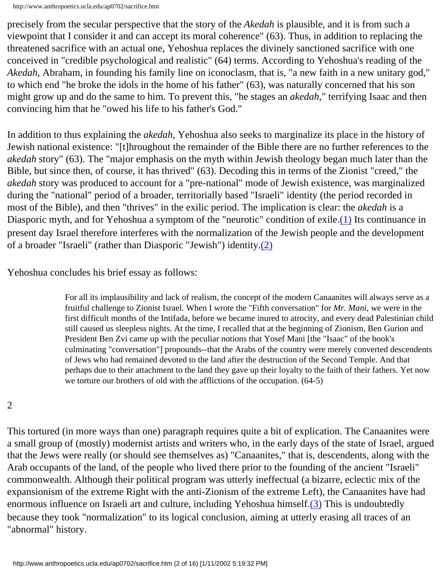http://www.anthropoetics.ucla.edu/ap0702/sacrifice.htm

precisely from the secular perspective that the story of the *Akedah* is plausible, and it is from such a viewpoint that I consider it and can accept its moral coherence" (63). Thus, in addition to replacing the threatened sacrifice with an actual one, Yehoshua replaces the divinely sanctioned sacrifice with one conceived in "credible psychological and realistic" (64) terms. According to Yehoshua's reading of the *Akedah*, Abraham, in founding his family line on iconoclasm, that is, "a new faith in a new unitary god," to which end "he broke the idols in the home of his father" (63), was naturally concerned that his son might grow up and do the same to him. To prevent this, "he stages an *akedah*," terrifying Isaac and then convincing him that he "owed his life to his father's God."

In addition to thus explaining the *akedah*, Yehoshua also seeks to marginalize its place in the history of Jewish national existence: "[t]hroughout the remainder of the Bible there are no further references to the *akedah* story" (63). The "major emphasis on the myth within Jewish theology began much later than the Bible, but since then, of course, it has thrived" (63). Decoding this in terms of the Zionist "creed," the *akedah* story was produced to account for a "pre-national" mode of Jewish existence, was marginalized during the "national" period of a broader, territorially based "Israeli" identity (the period recorded in most of the Bible), and then "thrives" in the exilic period. The implication is clear: the *akedah* is a Diasporic myth, and for Yehoshua a symptom of the "neurotic" condition of exile.<sup>[\(1\)](#page-36-0)</sup> Its continuance in present day Israel therefore interferes with the normalization of the Jewish people and the development of a broader "Israeli" (rather than Diasporic "Jewish") identity[.\(2\)](#page-36-1)

Yehoshua concludes his brief essay as follows:

For all its implausibility and lack of realism, the concept of the modern Canaanites will always serve as a fruitful challenge to Zionist Israel. When I wrote the "Fifth conversation" for *Mr. Mani*, we were in the first difficult months of the Intifada, before we became inured to atrocity, and every dead Palestinian child still caused us sleepless nights. At the time, I recalled that at the beginning of Zionism, Ben Gurion and President Ben Zvi came up with the peculiar notions that Yosef Mani [the "Isaac" of the book's culminating "conversation"] propounds--that the Arabs of the country were merely converted descendents of Jews who had remained devoted to the land after the destruction of the Second Temple. And that perhaps due to their attachment to the land they gave up their loyalty to the faith of their fathers. Yet now we torture our brothers of old with the afflictions of the occupation. (64-5)

## 2

This tortured (in more ways than one) paragraph requires quite a bit of explication. The Canaanites were a small group of (mostly) modernist artists and writers who, in the early days of the state of Israel, argued that the Jews were really (or should see themselves as) "Canaanites," that is, descendents, along with the Arab occupants of the land, of the people who lived there prior to the founding of the ancient "Israeli" commonwealth. Although their political program was utterly ineffectual (a bizarre, eclectic mix of the expansionism of the extreme Right with the anti-Zionism of the extreme Left), the Canaanites have had enormous influence on Israeli art and culture, including Yehoshua himself.[\(3\)](#page-36-2) This is undoubtedly because they took "normalization" to its logical conclusion, aiming at utterly erasing all traces of an "abnormal" history.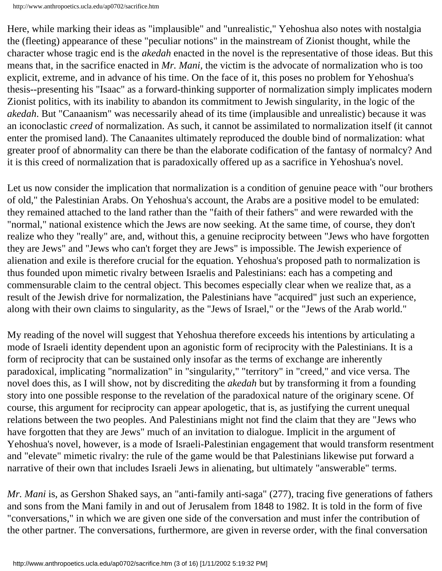Here, while marking their ideas as "implausible" and "unrealistic," Yehoshua also notes with nostalgia the (fleeting) appearance of these "peculiar notions" in the mainstream of Zionist thought, while the character whose tragic end is the *akedah* enacted in the novel is the representative of those ideas. But this means that, in the sacrifice enacted in *Mr. Mani,* the victim is the advocate of normalization who is too explicit, extreme, and in advance of his time. On the face of it, this poses no problem for Yehoshua's thesis--presenting his "Isaac" as a forward-thinking supporter of normalization simply implicates modern Zionist politics, with its inability to abandon its commitment to Jewish singularity, in the logic of the *akedah*. But "Canaanism" was necessarily ahead of its time (implausible and unrealistic) because it was an iconoclastic *creed* of normalization. As such, it cannot be assimilated to normalization itself (it cannot enter the promised land). The Canaanites ultimately reproduced the double bind of normalization: what greater proof of abnormality can there be than the elaborate codification of the fantasy of normalcy? And it is this creed of normalization that is paradoxically offered up as a sacrifice in Yehoshua's novel.

Let us now consider the implication that normalization is a condition of genuine peace with "our brothers of old," the Palestinian Arabs. On Yehoshua's account, the Arabs are a positive model to be emulated: they remained attached to the land rather than the "faith of their fathers" and were rewarded with the "normal," national existence which the Jews are now seeking. At the same time, of course, they don't realize who they "really" are, and, without this, a genuine reciprocity between "Jews who have forgotten they are Jews" and "Jews who can't forget they are Jews" is impossible. The Jewish experience of alienation and exile is therefore crucial for the equation. Yehoshua's proposed path to normalization is thus founded upon mimetic rivalry between Israelis and Palestinians: each has a competing and commensurable claim to the central object. This becomes especially clear when we realize that, as a result of the Jewish drive for normalization, the Palestinians have "acquired" just such an experience, along with their own claims to singularity, as the "Jews of Israel," or the "Jews of the Arab world."

My reading of the novel will suggest that Yehoshua therefore exceeds his intentions by articulating a mode of Israeli identity dependent upon an agonistic form of reciprocity with the Palestinians. It is a form of reciprocity that can be sustained only insofar as the terms of exchange are inherently paradoxical, implicating "normalization" in "singularity," "territory" in "creed," and vice versa. The novel does this, as I will show, not by discrediting the *akedah* but by transforming it from a founding story into one possible response to the revelation of the paradoxical nature of the originary scene. Of course, this argument for reciprocity can appear apologetic, that is, as justifying the current unequal relations between the two peoples. And Palestinians might not find the claim that they are "Jews who have forgotten that they are Jews" much of an invitation to dialogue. Implicit in the argument of Yehoshua's novel, however, is a mode of Israeli-Palestinian engagement that would transform resentment and "elevate" mimetic rivalry: the rule of the game would be that Palestinians likewise put forward a narrative of their own that includes Israeli Jews in alienating, but ultimately "answerable" terms.

*Mr. Mani* is, as Gershon Shaked says, an "anti-family anti-saga" (277), tracing five generations of fathers and sons from the Mani family in and out of Jerusalem from 1848 to 1982. It is told in the form of five "conversations," in which we are given one side of the conversation and must infer the contribution of the other partner. The conversations, furthermore, are given in reverse order, with the final conversation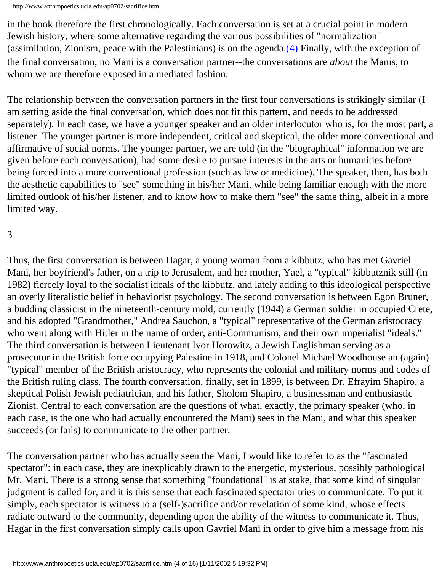http://www.anthropoetics.ucla.edu/ap0702/sacrifice.htm

in the book therefore the first chronologically. Each conversation is set at a crucial point in modern Jewish history, where some alternative regarding the various possibilities of "normalization" (assimilation, Zionism, peace with the Palestinians) is on the agenda.[\(4\)](#page-37-0) Finally, with the exception of the final conversation, no Mani is a conversation partner--the conversations are *about* the Manis, to whom we are therefore exposed in a mediated fashion.

The relationship between the conversation partners in the first four conversations is strikingly similar (I am setting aside the final conversation, which does not fit this pattern, and needs to be addressed separately). In each case, we have a younger speaker and an older interlocutor who is, for the most part, a listener. The younger partner is more independent, critical and skeptical, the older more conventional and affirmative of social norms. The younger partner, we are told (in the "biographical" information we are given before each conversation), had some desire to pursue interests in the arts or humanities before being forced into a more conventional profession (such as law or medicine). The speaker, then, has both the aesthetic capabilities to "see" something in his/her Mani, while being familiar enough with the more limited outlook of his/her listener, and to know how to make them "see" the same thing, albeit in a more limited way.

## 3

Thus, the first conversation is between Hagar, a young woman from a kibbutz, who has met Gavriel Mani, her boyfriend's father, on a trip to Jerusalem, and her mother, Yael, a "typical" kibbutznik still (in 1982) fiercely loyal to the socialist ideals of the kibbutz, and lately adding to this ideological perspective an overly literalistic belief in behaviorist psychology. The second conversation is between Egon Bruner, a budding classicist in the nineteenth-century mold, currently (1944) a German soldier in occupied Crete, and his adopted "Grandmother," Andrea Sauchon, a "typical" representative of the German aristocracy who went along with Hitler in the name of order, anti-Communism, and their own imperialist "ideals." The third conversation is between Lieutenant Ivor Horowitz, a Jewish Englishman serving as a prosecutor in the British force occupying Palestine in 1918, and Colonel Michael Woodhouse an (again) "typical" member of the British aristocracy, who represents the colonial and military norms and codes of the British ruling class. The fourth conversation, finally, set in 1899, is between Dr. Efrayim Shapiro, a skeptical Polish Jewish pediatrician, and his father, Sholom Shapiro, a businessman and enthusiastic Zionist. Central to each conversation are the questions of what, exactly, the primary speaker (who, in each case, is the one who had actually encountered the Mani) sees in the Mani, and what this speaker succeeds (or fails) to communicate to the other partner.

The conversation partner who has actually seen the Mani, I would like to refer to as the "fascinated spectator": in each case, they are inexplicably drawn to the energetic, mysterious, possibly pathological Mr. Mani. There is a strong sense that something "foundational" is at stake, that some kind of singular judgment is called for, and it is this sense that each fascinated spectator tries to communicate. To put it simply, each spectator is witness to a (self-)sacrifice and/or revelation of some kind, whose effects radiate outward to the community, depending upon the ability of the witness to communicate it. Thus, Hagar in the first conversation simply calls upon Gavriel Mani in order to give him a message from his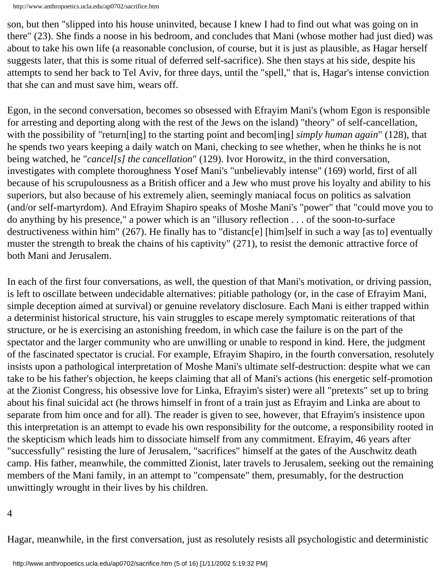son, but then "slipped into his house uninvited, because I knew I had to find out what was going on in there" (23). She finds a noose in his bedroom, and concludes that Mani (whose mother had just died) was about to take his own life (a reasonable conclusion, of course, but it is just as plausible, as Hagar herself suggests later, that this is some ritual of deferred self-sacrifice). She then stays at his side, despite his attempts to send her back to Tel Aviv, for three days, until the "spell," that is, Hagar's intense conviction that she can and must save him, wears off.

Egon, in the second conversation, becomes so obsessed with Efrayim Mani's (whom Egon is responsible for arresting and deporting along with the rest of the Jews on the island) "theory" of self-cancellation, with the possibility of "return[ing] to the starting point and becom[ing] *simply human again*" (128), that he spends two years keeping a daily watch on Mani, checking to see whether, when he thinks he is not being watched, he "*cancel[s] the cancellation*" (129). Ivor Horowitz, in the third conversation, investigates with complete thoroughness Yosef Mani's "unbelievably intense" (169) world, first of all because of his scrupulousness as a British officer and a Jew who must prove his loyalty and ability to his superiors, but also because of his extremely alien, seemingly maniacal focus on politics as salvation (and/or self-martyrdom). And Efrayim Shapiro speaks of Moshe Mani's "power" that "could move you to do anything by his presence," a power which is an "illusory reflection . . . of the soon-to-surface destructiveness within him" (267). He finally has to "distanc[e] [him]self in such a way [as to] eventually muster the strength to break the chains of his captivity" (271), to resist the demonic attractive force of both Mani and Jerusalem.

In each of the first four conversations, as well, the question of that Mani's motivation, or driving passion, is left to oscillate between undecidable alternatives: pitiable pathology (or, in the case of Efrayim Mani, simple deception aimed at survival) or genuine revelatory disclosure. Each Mani is either trapped within a determinist historical structure, his vain struggles to escape merely symptomatic reiterations of that structure, or he is exercising an astonishing freedom, in which case the failure is on the part of the spectator and the larger community who are unwilling or unable to respond in kind. Here, the judgment of the fascinated spectator is crucial. For example, Efrayim Shapiro, in the fourth conversation, resolutely insists upon a pathological interpretation of Moshe Mani's ultimate self-destruction: despite what we can take to be his father's objection, he keeps claiming that all of Mani's actions (his energetic self-promotion at the Zionist Congress, his obsessive love for Linka, Efrayim's sister) were all "pretexts" set up to bring about his final suicidal act (he throws himself in front of a train just as Efrayim and Linka are about to separate from him once and for all). The reader is given to see, however, that Efrayim's insistence upon this interpretation is an attempt to evade his own responsibility for the outcome, a responsibility rooted in the skepticism which leads him to dissociate himself from any commitment. Efrayim, 46 years after "successfully" resisting the lure of Jerusalem, "sacrifices" himself at the gates of the Auschwitz death camp. His father, meanwhile, the committed Zionist, later travels to Jerusalem, seeking out the remaining members of the Mani family, in an attempt to "compensate" them, presumably, for the destruction unwittingly wrought in their lives by his children.

#### 4

Hagar, meanwhile, in the first conversation, just as resolutely resists all psychologistic and deterministic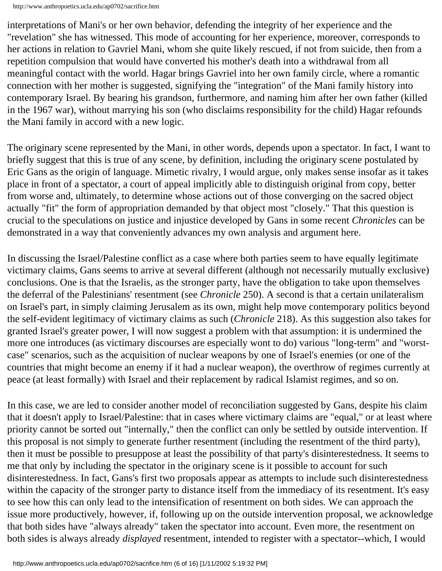http://www.anthropoetics.ucla.edu/ap0702/sacrifice.htm

interpretations of Mani's or her own behavior, defending the integrity of her experience and the "revelation" she has witnessed. This mode of accounting for her experience, moreover, corresponds to her actions in relation to Gavriel Mani, whom she quite likely rescued, if not from suicide, then from a repetition compulsion that would have converted his mother's death into a withdrawal from all meaningful contact with the world. Hagar brings Gavriel into her own family circle, where a romantic connection with her mother is suggested, signifying the "integration" of the Mani family history into contemporary Israel. By bearing his grandson, furthermore, and naming him after her own father (killed in the 1967 war), without marrying his son (who disclaims responsibility for the child) Hagar refounds the Mani family in accord with a new logic.

The originary scene represented by the Mani, in other words, depends upon a spectator. In fact, I want to briefly suggest that this is true of any scene, by definition, including the originary scene postulated by Eric Gans as the origin of language. Mimetic rivalry, I would argue, only makes sense insofar as it takes place in front of a spectator, a court of appeal implicitly able to distinguish original from copy, better from worse and, ultimately, to determine whose actions out of those converging on the sacred object actually "fit" the form of appropriation demanded by that object most "closely." That this question is crucial to the speculations on justice and injustice developed by Gans in some recent *Chronicles* can be demonstrated in a way that conveniently advances my own analysis and argument here.

In discussing the Israel/Palestine conflict as a case where both parties seem to have equally legitimate victimary claims, Gans seems to arrive at several different (although not necessarily mutually exclusive) conclusions. One is that the Israelis, as the stronger party, have the obligation to take upon themselves the deferral of the Palestinians' resentment (see *Chronicle* 250). A second is that a certain unilateralism on Israel's part, in simply claiming Jerusalem as its own, might help move contemporary politics beyond the self-evident legitimacy of victimary claims as such (*Chronicle* 218). As this suggestion also takes for granted Israel's greater power, I will now suggest a problem with that assumption: it is undermined the more one introduces (as victimary discourses are especially wont to do) various "long-term" and "worstcase" scenarios, such as the acquisition of nuclear weapons by one of Israel's enemies (or one of the countries that might become an enemy if it had a nuclear weapon), the overthrow of regimes currently at peace (at least formally) with Israel and their replacement by radical Islamist regimes, and so on.

In this case, we are led to consider another model of reconciliation suggested by Gans, despite his claim that it doesn't apply to Israel/Palestine: that in cases where victimary claims are "equal," or at least where priority cannot be sorted out "internally," then the conflict can only be settled by outside intervention. If this proposal is not simply to generate further resentment (including the resentment of the third party), then it must be possible to presuppose at least the possibility of that party's disinterestedness. It seems to me that only by including the spectator in the originary scene is it possible to account for such disinterestedness. In fact, Gans's first two proposals appear as attempts to include such disinterestedness within the capacity of the stronger party to distance itself from the immediacy of its resentment. It's easy to see how this can only lead to the intensification of resentment on both sides. We can approach the issue more productively, however, if, following up on the outside intervention proposal, we acknowledge that both sides have "always already" taken the spectator into account. Even more, the resentment on both sides is always already *displayed* resentment, intended to register with a spectator--which, I would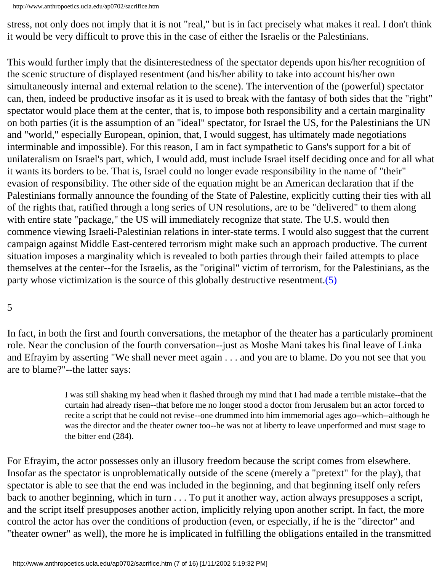http://www.anthropoetics.ucla.edu/ap0702/sacrifice.htm

stress, not only does not imply that it is not "real," but is in fact precisely what makes it real. I don't think it would be very difficult to prove this in the case of either the Israelis or the Palestinians.

This would further imply that the disinterestedness of the spectator depends upon his/her recognition of the scenic structure of displayed resentment (and his/her ability to take into account his/her own simultaneously internal and external relation to the scene). The intervention of the (powerful) spectator can, then, indeed be productive insofar as it is used to break with the fantasy of both sides that the "right" spectator would place them at the center, that is, to impose both responsibility and a certain marginality on both parties (it is the assumption of an "ideal" spectator, for Israel the US, for the Palestinians the UN and "world," especially European, opinion, that, I would suggest, has ultimately made negotiations interminable and impossible). For this reason, I am in fact sympathetic to Gans's support for a bit of unilateralism on Israel's part, which, I would add, must include Israel itself deciding once and for all what it wants its borders to be. That is, Israel could no longer evade responsibility in the name of "their" evasion of responsibility. The other side of the equation might be an American declaration that if the Palestinians formally announce the founding of the State of Palestine, explicitly cutting their ties with all of the rights that, ratified through a long series of UN resolutions, are to be "delivered" to them along with entire state "package," the US will immediately recognize that state. The U.S. would then commence viewing Israeli-Palestinian relations in inter-state terms. I would also suggest that the current campaign against Middle East-centered terrorism might make such an approach productive. The current situation imposes a marginality which is revealed to both parties through their failed attempts to place themselves at the center--for the Israelis, as the "original" victim of terrorism, for the Palestinians, as the party whose victimization is the source of this globally destructive resentment.[\(5\)](#page-37-1)

## 5

In fact, in both the first and fourth conversations, the metaphor of the theater has a particularly prominent role. Near the conclusion of the fourth conversation--just as Moshe Mani takes his final leave of Linka and Efrayim by asserting "We shall never meet again . . . and you are to blame. Do you not see that you are to blame?"--the latter says:

> I was still shaking my head when it flashed through my mind that I had made a terrible mistake--that the curtain had already risen--that before me no longer stood a doctor from Jerusalem but an actor forced to recite a script that he could not revise--one drummed into him immemorial ages ago--which--although he was the director and the theater owner too--he was not at liberty to leave unperformed and must stage to the bitter end (284).

For Efrayim, the actor possesses only an illusory freedom because the script comes from elsewhere. Insofar as the spectator is unproblematically outside of the scene (merely a "pretext" for the play), that spectator is able to see that the end was included in the beginning, and that beginning itself only refers back to another beginning, which in turn . . . To put it another way, action always presupposes a script, and the script itself presupposes another action, implicitly relying upon another script. In fact, the more control the actor has over the conditions of production (even, or especially, if he is the "director" and "theater owner" as well), the more he is implicated in fulfilling the obligations entailed in the transmitted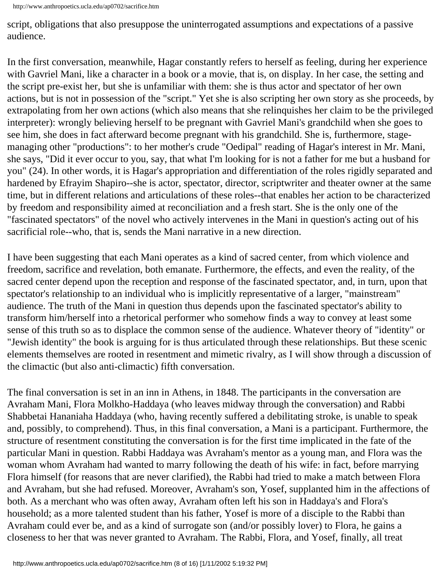script, obligations that also presuppose the uninterrogated assumptions and expectations of a passive audience.

In the first conversation, meanwhile, Hagar constantly refers to herself as feeling, during her experience with Gavriel Mani, like a character in a book or a movie, that is, on display. In her case, the setting and the script pre-exist her, but she is unfamiliar with them: she is thus actor and spectator of her own actions, but is not in possession of the "script." Yet she is also scripting her own story as she proceeds, by extrapolating from her own actions (which also means that she relinquishes her claim to be the privileged interpreter): wrongly believing herself to be pregnant with Gavriel Mani's grandchild when she goes to see him, she does in fact afterward become pregnant with his grandchild. She is, furthermore, stagemanaging other "productions": to her mother's crude "Oedipal" reading of Hagar's interest in Mr. Mani, she says, "Did it ever occur to you, say, that what I'm looking for is not a father for me but a husband for you" (24). In other words, it is Hagar's appropriation and differentiation of the roles rigidly separated and hardened by Efrayim Shapiro--she is actor, spectator, director, scriptwriter and theater owner at the same time, but in different relations and articulations of these roles--that enables her action to be characterized by freedom and responsibility aimed at reconciliation and a fresh start. She is the only one of the "fascinated spectators" of the novel who actively intervenes in the Mani in question's acting out of his sacrificial role--who, that is, sends the Mani narrative in a new direction.

I have been suggesting that each Mani operates as a kind of sacred center, from which violence and freedom, sacrifice and revelation, both emanate. Furthermore, the effects, and even the reality, of the sacred center depend upon the reception and response of the fascinated spectator, and, in turn, upon that spectator's relationship to an individual who is implicitly representative of a larger, "mainstream" audience. The truth of the Mani in question thus depends upon the fascinated spectator's ability to transform him/herself into a rhetorical performer who somehow finds a way to convey at least some sense of this truth so as to displace the common sense of the audience. Whatever theory of "identity" or "Jewish identity" the book is arguing for is thus articulated through these relationships. But these scenic elements themselves are rooted in resentment and mimetic rivalry, as I will show through a discussion of the climactic (but also anti-climactic) fifth conversation.

The final conversation is set in an inn in Athens, in 1848. The participants in the conversation are Avraham Mani, Flora Molkho-Haddaya (who leaves midway through the conversation) and Rabbi Shabbetai Hananiaha Haddaya (who, having recently suffered a debilitating stroke, is unable to speak and, possibly, to comprehend). Thus, in this final conversation, a Mani is a participant. Furthermore, the structure of resentment constituting the conversation is for the first time implicated in the fate of the particular Mani in question. Rabbi Haddaya was Avraham's mentor as a young man, and Flora was the woman whom Avraham had wanted to marry following the death of his wife: in fact, before marrying Flora himself (for reasons that are never clarified), the Rabbi had tried to make a match between Flora and Avraham, but she had refused. Moreover, Avraham's son, Yosef, supplanted him in the affections of both. As a merchant who was often away, Avraham often left his son in Haddaya's and Flora's household; as a more talented student than his father, Yosef is more of a disciple to the Rabbi than Avraham could ever be, and as a kind of surrogate son (and/or possibly lover) to Flora, he gains a closeness to her that was never granted to Avraham. The Rabbi, Flora, and Yosef, finally, all treat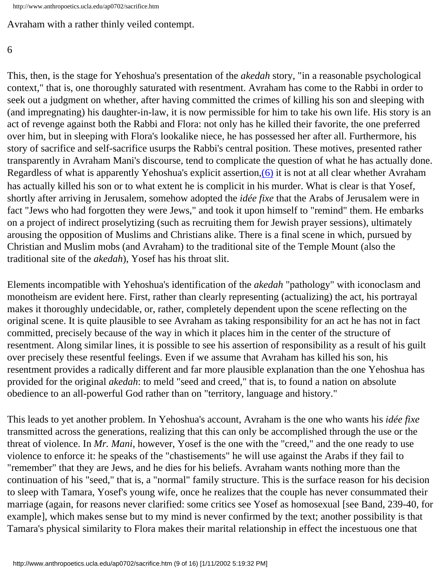```
http://www.anthropoetics.ucla.edu/ap0702/sacrifice.htm
```
Avraham with a rather thinly veiled contempt.

#### 6

This, then, is the stage for Yehoshua's presentation of the *akedah* story, "in a reasonable psychological context," that is, one thoroughly saturated with resentment. Avraham has come to the Rabbi in order to seek out a judgment on whether, after having committed the crimes of killing his son and sleeping with (and impregnating) his daughter-in-law, it is now permissible for him to take his own life. His story is an act of revenge against both the Rabbi and Flora: not only has he killed their favorite, the one preferred over him, but in sleeping with Flora's lookalike niece, he has possessed her after all. Furthermore, his story of sacrifice and self-sacrifice usurps the Rabbi's central position. These motives, presented rather transparently in Avraham Mani's discourse, tend to complicate the question of what he has actually done. Regardless of what is apparently Yehoshua's explicit assertion, (6) it is not at all clear whether Avraham has actually killed his son or to what extent he is complicit in his murder. What is clear is that Yosef, shortly after arriving in Jerusalem, somehow adopted the *idée fixe* that the Arabs of Jerusalem were in fact "Jews who had forgotten they were Jews," and took it upon himself to "remind" them. He embarks on a project of indirect proselytizing (such as recruiting them for Jewish prayer sessions), ultimately arousing the opposition of Muslims and Christians alike. There is a final scene in which, pursued by Christian and Muslim mobs (and Avraham) to the traditional site of the Temple Mount (also the traditional site of the *akedah*), Yosef has his throat slit.

Elements incompatible with Yehoshua's identification of the *akedah* "pathology" with iconoclasm and monotheism are evident here. First, rather than clearly representing (actualizing) the act, his portrayal makes it thoroughly undecidable, or, rather, completely dependent upon the scene reflecting on the original scene. It is quite plausible to see Avraham as taking responsibility for an act he has not in fact committed, precisely because of the way in which it places him in the center of the structure of resentment. Along similar lines, it is possible to see his assertion of responsibility as a result of his guilt over precisely these resentful feelings. Even if we assume that Avraham has killed his son, his resentment provides a radically different and far more plausible explanation than the one Yehoshua has provided for the original *akedah*: to meld "seed and creed," that is, to found a nation on absolute obedience to an all-powerful God rather than on "territory, language and history."

This leads to yet another problem. In Yehoshua's account, Avraham is the one who wants his *idée fixe* transmitted across the generations, realizing that this can only be accomplished through the use or the threat of violence. In *Mr. Mani*, however, Yosef is the one with the "creed," and the one ready to use violence to enforce it: he speaks of the "chastisements" he will use against the Arabs if they fail to "remember" that they are Jews, and he dies for his beliefs. Avraham wants nothing more than the continuation of his "seed," that is, a "normal" family structure. This is the surface reason for his decision to sleep with Tamara, Yosef's young wife, once he realizes that the couple has never consummated their marriage (again, for reasons never clarified: some critics see Yosef as homosexual [see Band, 239-40, for example], which makes sense but to my mind is never confirmed by the text; another possibility is that Tamara's physical similarity to Flora makes their marital relationship in effect the incestuous one that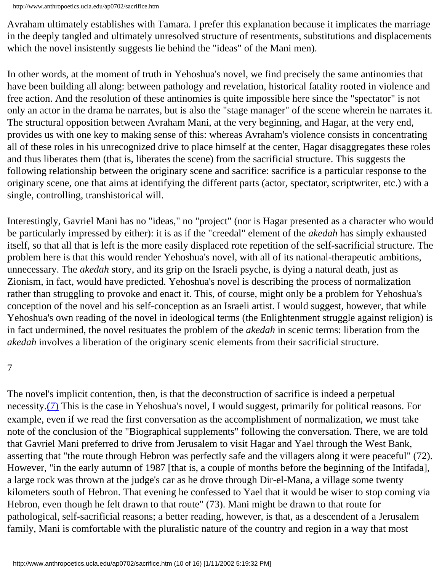http://www.anthropoetics.ucla.edu/ap0702/sacrifice.htm

Avraham ultimately establishes with Tamara. I prefer this explanation because it implicates the marriage in the deeply tangled and ultimately unresolved structure of resentments, substitutions and displacements which the novel insistently suggests lie behind the "ideas" of the Mani men).

In other words, at the moment of truth in Yehoshua's novel, we find precisely the same antinomies that have been building all along: between pathology and revelation, historical fatality rooted in violence and free action. And the resolution of these antinomies is quite impossible here since the "spectator" is not only an actor in the drama he narrates, but is also the "stage manager" of the scene wherein he narrates it. The structural opposition between Avraham Mani, at the very beginning, and Hagar, at the very end, provides us with one key to making sense of this: whereas Avraham's violence consists in concentrating all of these roles in his unrecognized drive to place himself at the center, Hagar disaggregates these roles and thus liberates them (that is, liberates the scene) from the sacrificial structure. This suggests the following relationship between the originary scene and sacrifice: sacrifice is a particular response to the originary scene, one that aims at identifying the different parts (actor, spectator, scriptwriter, etc.) with a single, controlling, transhistorical will.

Interestingly, Gavriel Mani has no "ideas," no "project" (nor is Hagar presented as a character who would be particularly impressed by either): it is as if the "creedal" element of the *akedah* has simply exhausted itself, so that all that is left is the more easily displaced rote repetition of the self-sacrificial structure. The problem here is that this would render Yehoshua's novel, with all of its national-therapeutic ambitions, unnecessary. The *akedah* story, and its grip on the Israeli psyche, is dying a natural death, just as Zionism, in fact, would have predicted. Yehoshua's novel is describing the process of normalization rather than struggling to provoke and enact it. This, of course, might only be a problem for Yehoshua's conception of the novel and his self-conception as an Israeli artist. I would suggest, however, that while Yehoshua's own reading of the novel in ideological terms (the Enlightenment struggle against religion) is in fact undermined, the novel resituates the problem of the *akedah* in scenic terms: liberation from the *akedah* involves a liberation of the originary scenic elements from their sacrificial structure.

## 7

The novel's implicit contention, then, is that the deconstruction of sacrifice is indeed a perpetual necessity.<sup>[\(7\)](#page-37-3)</sup> This is the case in Yehoshua's novel, I would suggest, primarily for political reasons. For example, even if we read the first conversation as the accomplishment of normalization, we must take note of the conclusion of the "Biographical supplements" following the conversation. There, we are told that Gavriel Mani preferred to drive from Jerusalem to visit Hagar and Yael through the West Bank, asserting that "the route through Hebron was perfectly safe and the villagers along it were peaceful" (72). However, "in the early autumn of 1987 [that is, a couple of months before the beginning of the Intifada], a large rock was thrown at the judge's car as he drove through Dir-el-Mana, a village some twenty kilometers south of Hebron. That evening he confessed to Yael that it would be wiser to stop coming via Hebron, even though he felt drawn to that route" (73). Mani might be drawn to that route for pathological, self-sacrificial reasons; a better reading, however, is that, as a descendent of a Jerusalem family, Mani is comfortable with the pluralistic nature of the country and region in a way that most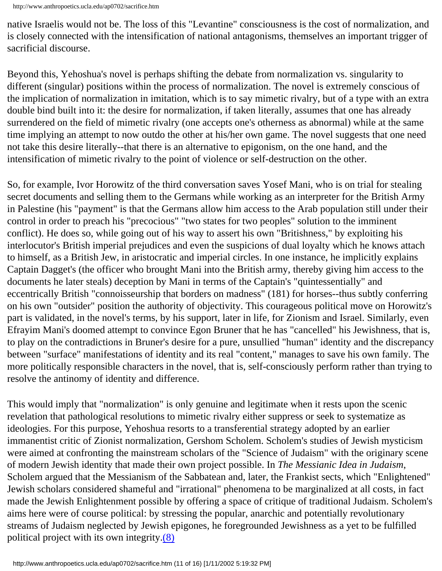native Israelis would not be. The loss of this "Levantine" consciousness is the cost of normalization, and is closely connected with the intensification of national antagonisms, themselves an important trigger of sacrificial discourse.

Beyond this, Yehoshua's novel is perhaps shifting the debate from normalization vs. singularity to different (singular) positions within the process of normalization. The novel is extremely conscious of the implication of normalization in imitation, which is to say mimetic rivalry, but of a type with an extra double bind built into it: the desire for normalization, if taken literally, assumes that one has already surrendered on the field of mimetic rivalry (one accepts one's otherness as abnormal) while at the same time implying an attempt to now outdo the other at his/her own game. The novel suggests that one need not take this desire literally--that there is an alternative to epigonism, on the one hand, and the intensification of mimetic rivalry to the point of violence or self-destruction on the other.

So, for example, Ivor Horowitz of the third conversation saves Yosef Mani, who is on trial for stealing secret documents and selling them to the Germans while working as an interpreter for the British Army in Palestine (his "payment" is that the Germans allow him access to the Arab population still under their control in order to preach his "precocious" "two states for two peoples" solution to the imminent conflict). He does so, while going out of his way to assert his own "Britishness," by exploiting his interlocutor's British imperial prejudices and even the suspicions of dual loyalty which he knows attach to himself, as a British Jew, in aristocratic and imperial circles. In one instance, he implicitly explains Captain Dagget's (the officer who brought Mani into the British army, thereby giving him access to the documents he later steals) deception by Mani in terms of the Captain's "quintessentially" and eccentrically British "connoisseurship that borders on madness" (181) for horses--thus subtly conferring on his own "outsider" position the authority of objectivity. This courageous political move on Horowitz's part is validated, in the novel's terms, by his support, later in life, for Zionism and Israel. Similarly, even Efrayim Mani's doomed attempt to convince Egon Bruner that he has "cancelled" his Jewishness, that is, to play on the contradictions in Bruner's desire for a pure, unsullied "human" identity and the discrepancy between "surface" manifestations of identity and its real "content," manages to save his own family. The more politically responsible characters in the novel, that is, self-consciously perform rather than trying to resolve the antinomy of identity and difference.

This would imply that "normalization" is only genuine and legitimate when it rests upon the scenic revelation that pathological resolutions to mimetic rivalry either suppress or seek to systematize as ideologies. For this purpose, Yehoshua resorts to a transferential strategy adopted by an earlier immanentist critic of Zionist normalization, Gershom Scholem. Scholem's studies of Jewish mysticism were aimed at confronting the mainstream scholars of the "Science of Judaism" with the originary scene of modern Jewish identity that made their own project possible. In *The Messianic Idea in Judaism*, Scholem argued that the Messianism of the Sabbatean and, later, the Frankist sects, which "Enlightened" Jewish scholars considered shameful and "irrational" phenomena to be marginalized at all costs, in fact made the Jewish Enlightenment possible by offering a space of critique of traditional Judaism. Scholem's aims here were of course political: by stressing the popular, anarchic and potentially revolutionary streams of Judaism neglected by Jewish epigones, he foregrounded Jewishness as a yet to be fulfilled political project with its own integrity[.\(8\)](#page-37-4)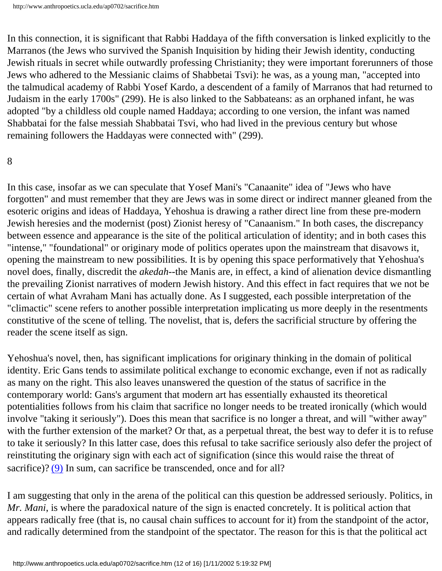In this connection, it is significant that Rabbi Haddaya of the fifth conversation is linked explicitly to the Marranos (the Jews who survived the Spanish Inquisition by hiding their Jewish identity, conducting Jewish rituals in secret while outwardly professing Christianity; they were important forerunners of those Jews who adhered to the Messianic claims of Shabbetai Tsvi): he was, as a young man, "accepted into the talmudical academy of Rabbi Yosef Kardo, a descendent of a family of Marranos that had returned to Judaism in the early 1700s" (299). He is also linked to the Sabbateans: as an orphaned infant, he was adopted "by a childless old couple named Haddaya; according to one version, the infant was named Shabbatai for the false messiah Shabbatai Tsvi, who had lived in the previous century but whose remaining followers the Haddayas were connected with" (299).

## 8

In this case, insofar as we can speculate that Yosef Mani's "Canaanite" idea of "Jews who have forgotten" and must remember that they are Jews was in some direct or indirect manner gleaned from the esoteric origins and ideas of Haddaya, Yehoshua is drawing a rather direct line from these pre-modern Jewish heresies and the modernist (post) Zionist heresy of "Canaanism." In both cases, the discrepancy between essence and appearance is the site of the political articulation of identity; and in both cases this "intense," "foundational" or originary mode of politics operates upon the mainstream that disavows it, opening the mainstream to new possibilities. It is by opening this space performatively that Yehoshua's novel does, finally, discredit the *akedah*--the Manis are, in effect, a kind of alienation device dismantling the prevailing Zionist narratives of modern Jewish history. And this effect in fact requires that we not be certain of what Avraham Mani has actually done. As I suggested, each possible interpretation of the "climactic" scene refers to another possible interpretation implicating us more deeply in the resentments constitutive of the scene of telling. The novelist, that is, defers the sacrificial structure by offering the reader the scene itself as sign.

Yehoshua's novel, then, has significant implications for originary thinking in the domain of political identity. Eric Gans tends to assimilate political exchange to economic exchange, even if not as radically as many on the right. This also leaves unanswered the question of the status of sacrifice in the contemporary world: Gans's argument that modern art has essentially exhausted its theoretical potentialities follows from his claim that sacrifice no longer needs to be treated ironically (which would involve "taking it seriously"). Does this mean that sacrifice is no longer a threat, and will "wither away" with the further extension of the market? Or that, as a perpetual threat, the best way to defer it is to refuse to take it seriously? In this latter case, does this refusal to take sacrifice seriously also defer the project of reinstituting the originary sign with each act of signification (since this would raise the threat of sacrifice)? [\(9\)](#page-37-5) In sum, can sacrifice be transcended, once and for all?

I am suggesting that only in the arena of the political can this question be addressed seriously. Politics, in *Mr. Mani*, is where the paradoxical nature of the sign is enacted concretely. It is political action that appears radically free (that is, no causal chain suffices to account for it) from the standpoint of the actor, and radically determined from the standpoint of the spectator. The reason for this is that the political act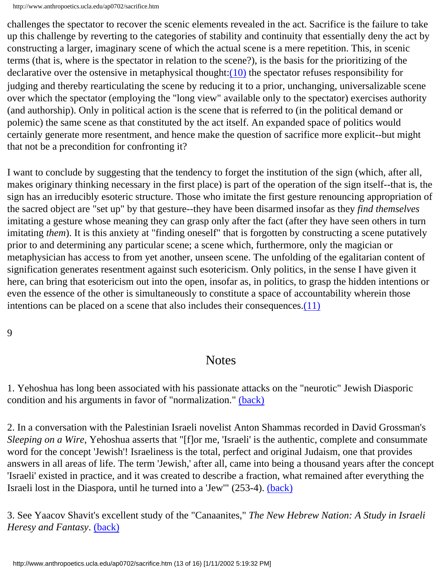<span id="page-36-0"></span>challenges the spectator to recover the scenic elements revealed in the act. Sacrifice is the failure to take up this challenge by reverting to the categories of stability and continuity that essentially deny the act by constructing a larger, imaginary scene of which the actual scene is a mere repetition. This, in scenic terms (that is, where is the spectator in relation to the scene?), is the basis for the prioritizing of the declarative over the ostensive in metaphysical thought: $(10)$  the spectator refuses responsibility for judging and thereby rearticulating the scene by reducing it to a prior, unchanging, universalizable scene over which the spectator (employing the "long view" available only to the spectator) exercises authority (and authorship). Only in political action is the scene that is referred to (in the political demand or polemic) the same scene as that constituted by the act itself. An expanded space of politics would certainly generate more resentment, and hence make the question of sacrifice more explicit--but might that not be a precondition for confronting it?

I want to conclude by suggesting that the tendency to forget the institution of the sign (which, after all, makes originary thinking necessary in the first place) is part of the operation of the sign itself--that is, the sign has an irreducibly esoteric structure. Those who imitate the first gesture renouncing appropriation of the sacred object are "set up" by that gesture--they have been disarmed insofar as they *find themselves* imitating a gesture whose meaning they can grasp only after the fact (after they have seen others in turn imitating *them*). It is this anxiety at "finding oneself" that is forgotten by constructing a scene putatively prior to and determining any particular scene; a scene which, furthermore, only the magician or metaphysician has access to from yet another, unseen scene. The unfolding of the egalitarian content of signification generates resentment against such esotericism. Only politics, in the sense I have given it here, can bring that esotericism out into the open, insofar as, in politics, to grasp the hidden intentions or even the essence of the other is simultaneously to constitute a space of accountability wherein those intentions can be placed on a scene that also includes their consequences.[\(11\)](#page-37-1)

<span id="page-36-1"></span>9

### **Notes**

1. Yehoshua has long been associated with his passionate attacks on the "neurotic" Jewish Diasporic condition and his arguments in favor of "normalization." [\(back\)](#page-25-0)

2. In a conversation with the Palestinian Israeli novelist Anton Shammas recorded in David Grossman's *Sleeping on a Wire*, Yehoshua asserts that "[f]or me, 'Israeli' is the authentic, complete and consummate word for the concept 'Jewish'! Israeliness is the total, perfect and original Judaism, one that provides answers in all areas of life. The term 'Jewish,' after all, came into being a thousand years after the concept 'Israeli' existed in practice, and it was created to describe a fraction, what remained after everything the Israeli lost in the Diaspora, until he turned into a 'Jew'" (253-4). [\(back\)](#page-25-1)

3. See Yaacov Shavit's excellent study of the "Canaanites," *The New Hebrew Nation: A Study in Israeli Heresy and Fantasy*. [\(back\)](#page-25-2)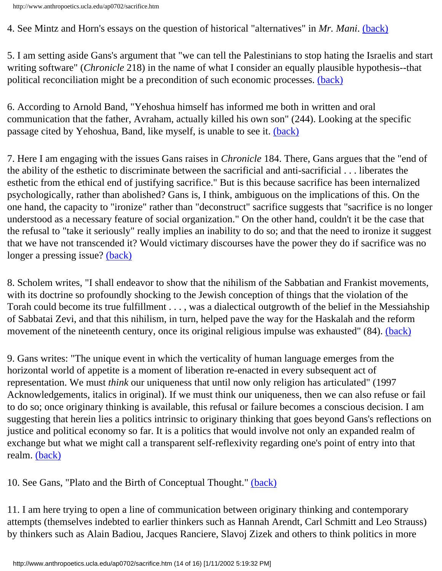4. See Mintz and Horn's essays on the question of historical "alternatives" in *Mr. Mani*. [\(back\)](#page-27-0)

5. I am setting aside Gans's argument that "we can tell the Palestinians to stop hating the Israelis and start writing software" (*Chronicle* 218) in the name of what I consider an equally plausible hypothesis--that political reconciliation might be a precondition of such economic processes. [\(back\)](#page-30-0)

6. According to Arnold Band, "Yehoshua himself has informed me both in written and oral communication that the father, Avraham, actually killed his own son" (244). Looking at the specific passage cited by Yehoshua, Band, like myself, is unable to see it. [\(back\)](#page-32-0)

7. Here I am engaging with the issues Gans raises in *Chronicle* 184. There, Gans argues that the "end of the ability of the esthetic to discriminate between the sacrificial and anti-sacrificial . . . liberates the esthetic from the ethical end of justifying sacrifice." But is this because sacrifice has been internalized psychologically, rather than abolished? Gans is, I think, ambiguous on the implications of this. On the one hand, the capacity to "ironize" rather than "deconstruct" sacrifice suggests that "sacrifice is no longer understood as a necessary feature of social organization." On the other hand, couldn't it be the case that the refusal to "take it seriously" really implies an inability to do so; and that the need to ironize it suggest that we have not transcended it? Would victimary discourses have the power they do if sacrifice was no longer a pressing issue? [\(back\)](#page-33-0)

8. Scholem writes, "I shall endeavor to show that the nihilism of the Sabbatian and Frankist movements, with its doctrine so profoundly shocking to the Jewish conception of things that the violation of the Torah could become its true fulfillment . . . , was a dialectical outgrowth of the belief in the Messiahship of Sabbatai Zevi, and that this nihilism, in turn, helped pave the way for the Haskalah and the reform movement of the nineteenth century, once its original religious impulse was exhausted" (84). [\(back\)](#page-34-0)

9. Gans writes: "The unique event in which the verticality of human language emerges from the horizontal world of appetite is a moment of liberation re-enacted in every subsequent act of representation. We must *think* our uniqueness that until now only religion has articulated" (1997 Acknowledgements, italics in original). If we must think our uniqueness, then we can also refuse or fail to do so; once originary thinking is available, this refusal or failure becomes a conscious decision. I am suggesting that herein lies a politics intrinsic to originary thinking that goes beyond Gans's reflections on justice and political economy so far. It is a politics that would involve not only an expanded realm of exchange but what we might call a transparent self-reflexivity regarding one's point of entry into that realm. [\(back\)](#page-35-0)

<span id="page-37-0"></span>10. See Gans, "Plato and the Birth of Conceptual Thought." [\(back\)](#page-36-0)

<span id="page-37-1"></span>11. I am here trying to open a line of communication between originary thinking and contemporary attempts (themselves indebted to earlier thinkers such as Hannah Arendt, Carl Schmitt and Leo Strauss) by thinkers such as Alain Badiou, Jacques Ranciere, Slavoj Zizek and others to think politics in more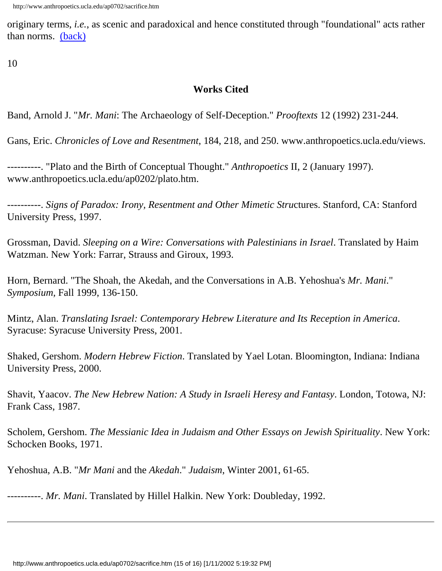originary terms, *i.e.*, as scenic and paradoxical and hence constituted through "foundational" acts rather than norms. [\(back\)](#page-36-1)

10

#### **Works Cited**

Band, Arnold J. "*Mr. Mani*: The Archaeology of Self-Deception." *Prooftexts* 12 (1992) 231-244.

Gans, Eric. *Chronicles of Love and Resentment*, 184, 218, and 250. www.anthropoetics.ucla.edu/views.

----------. "Plato and the Birth of Conceptual Thought." *Anthropoetics* II, 2 (January 1997). www.anthropoetics.ucla.edu/ap0202/plato.htm.

----------. *Signs of Paradox: Irony, Resentment and Other Mimetic Stru*ctures. Stanford, CA: Stanford University Press, 1997.

Grossman, David. *Sleeping on a Wire: Conversations with Palestinians in Israel*. Translated by Haim Watzman. New York: Farrar, Strauss and Giroux, 1993.

Horn, Bernard. "The Shoah, the Akedah, and the Conversations in A.B. Yehoshua's *Mr. Mani*." *Symposium,* Fall 1999, 136-150.

Mintz, Alan. *Translating Israel: Contemporary Hebrew Literature and Its Reception in America*. Syracuse: Syracuse University Press, 2001.

Shaked, Gershom. *Modern Hebrew Fiction*. Translated by Yael Lotan. Bloomington, Indiana: Indiana University Press, 2000.

Shavit, Yaacov. *The New Hebrew Nation: A Study in Israeli Heresy and Fantasy*. London, Totowa, NJ: Frank Cass, 1987.

Scholem, Gershom. *The Messianic Idea in Judaism and Other Essays on Jewish Spirituality*. New York: Schocken Books, 1971.

Yehoshua, A.B. "*Mr Mani* and the *Akedah*." *Judaism*, Winter 2001, 61-65.

----------. *Mr. Mani*. Translated by Hillel Halkin. New York: Doubleday, 1992.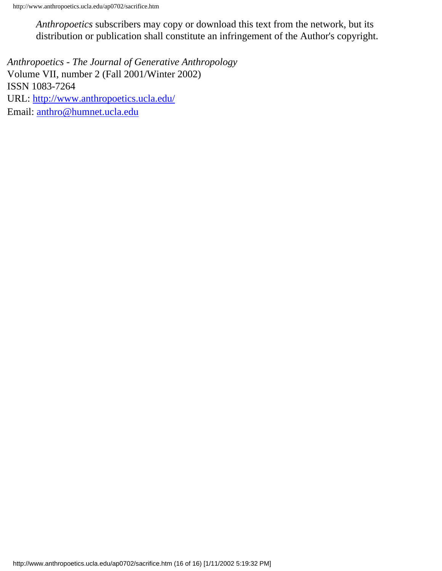*Anthropoetics* subscribers may copy or download this text from the network, but its distribution or publication shall constitute an infringement of the Author's copyright.

*Anthropoetics - The Journal of Generative Anthropology* Volume VII, number 2 (Fall 2001/Winter 2002) ISSN 1083-7264 URL:<http://www.anthropoetics.ucla.edu/> Email: [anthro@humnet.ucla.edu](mailto:anthro@humnet.ucla.edu)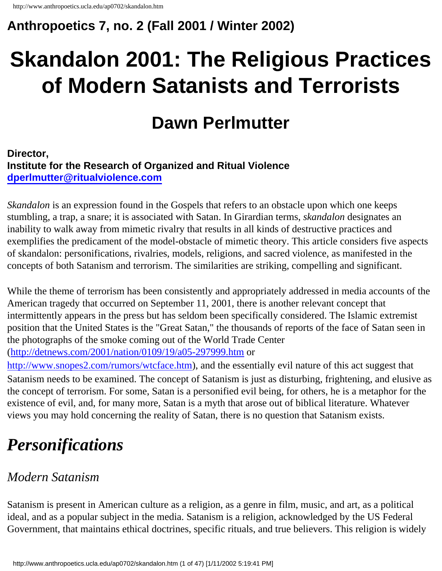## **Anthropoetics 7, no. 2 (Fall 2001 / Winter 2002)**

# **Skandalon 2001: The Religious Practices of Modern Satanists and Terrorists**

## **Dawn Perlmutter**

**Director, Institute for the Research of Organized and Ritual Violence [dperlmutter@ritualviolence.com](mailto:dperlmutter@ritualviolence.com)**

*Skandalon* is an expression found in the Gospels that refers to an obstacle upon which one keeps stumbling, a trap, a snare; it is associated with Satan. In Girardian terms, *skandalon* designates an inability to walk away from mimetic rivalry that results in all kinds of destructive practices and exemplifies the predicament of the model-obstacle of mimetic theory. This article considers five aspects of skandalon: personifications, rivalries, models, religions, and sacred violence, as manifested in the concepts of both Satanism and terrorism. The similarities are striking, compelling and significant.

While the theme of terrorism has been consistently and appropriately addressed in media accounts of the American tragedy that occurred on September 11, 2001, there is another relevant concept that intermittently appears in the press but has seldom been specifically considered. The Islamic extremist position that the United States is the "Great Satan," the thousands of reports of the face of Satan seen in the photographs of the smoke coming out of the World Trade Center

(<http://detnews.com/2001/nation/0109/19/a05-297999.htm> or

<http://www.snopes2.com/rumors/wtcface.htm>), and the essentially evil nature of this act suggest that Satanism needs to be examined. The concept of Satanism is just as disturbing, frightening, and elusive as the concept of terrorism. For some, Satan is a personified evil being, for others, he is a metaphor for the existence of evil, and, for many more, Satan is a myth that arose out of biblical literature. Whatever views you may hold concerning the reality of Satan, there is no question that Satanism exists.

## *Personifications*

### *Modern Satanism*

Satanism is present in American culture as a religion, as a genre in film, music, and art, as a political ideal, and as a popular subject in the media. Satanism is a religion, acknowledged by the US Federal Government, that maintains ethical doctrines, specific rituals, and true believers. This religion is widely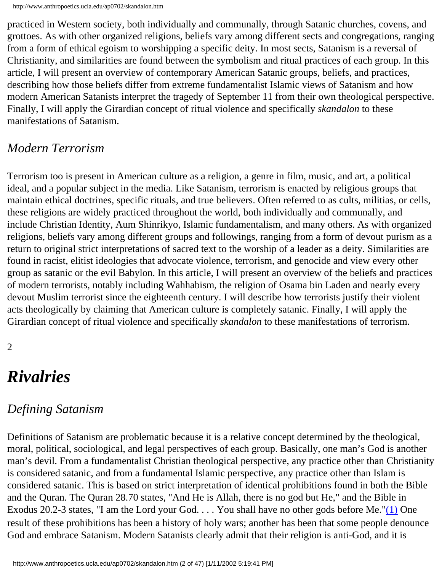practiced in Western society, both individually and communally, through Satanic churches, covens, and grottoes. As with other organized religions, beliefs vary among different sects and congregations, ranging from a form of ethical egoism to worshipping a specific deity. In most sects, Satanism is a reversal of Christianity, and similarities are found between the symbolism and ritual practices of each group. In this article, I will present an overview of contemporary American Satanic groups, beliefs, and practices, describing how those beliefs differ from extreme fundamentalist Islamic views of Satanism and how modern American Satanists interpret the tragedy of September 11 from their own theological perspective. Finally, I will apply the Girardian concept of ritual violence and specifically *skandalon* to these manifestations of Satanism.

#### *Modern Terrorism*

Terrorism too is present in American culture as a religion, a genre in film, music, and art, a political ideal, and a popular subject in the media. Like Satanism, terrorism is enacted by religious groups that maintain ethical doctrines, specific rituals, and true believers. Often referred to as cults, militias, or cells, these religions are widely practiced throughout the world, both individually and communally, and include Christian Identity, Aum Shinrikyo, Islamic fundamentalism, and many others. As with organized religions, beliefs vary among different groups and followings, ranging from a form of devout purism as a return to original strict interpretations of sacred text to the worship of a leader as a deity. Similarities are found in racist, elitist ideologies that advocate violence, terrorism, and genocide and view every other group as satanic or the evil Babylon. In this article, I will present an overview of the beliefs and practices of modern terrorists, notably including Wahhabism, the religion of Osama bin Laden and nearly every devout Muslim terrorist since the eighteenth century. I will describe how terrorists justify their violent acts theologically by claiming that American culture is completely satanic. Finally, I will apply the Girardian concept of ritual violence and specifically *skandalon* to these manifestations of terrorism.

2

## *Rivalries*

#### *Defining Satanism*

Definitions of Satanism are problematic because it is a relative concept determined by the theological, moral, political, sociological, and legal perspectives of each group. Basically, one man's God is another man's devil. From a fundamentalist Christian theological perspective, any practice other than Christianity is considered satanic, and from a fundamental Islamic perspective, any practice other than Islam is considered satanic. This is based on strict interpretation of identical prohibitions found in both the Bible and the Quran. The Quran 28.70 states, "And He is Allah, there is no god but He," and the Bible in Exodus 20.2-3 states, "I am the Lord your God. . . . You shall have no other gods before Me."[\(1\)](#page-82-0) One result of these prohibitions has been a history of holy wars; another has been that some people denounce God and embrace Satanism. Modern Satanists clearly admit that their religion is anti-God, and it is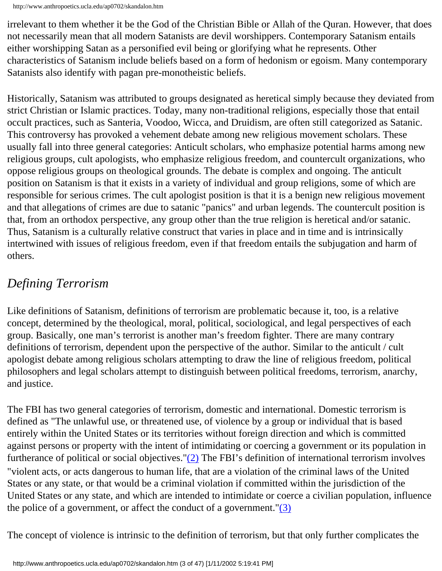http://www.anthropoetics.ucla.edu/ap0702/skandalon.htm

irrelevant to them whether it be the God of the Christian Bible or Allah of the Quran. However, that does not necessarily mean that all modern Satanists are devil worshippers. Contemporary Satanism entails either worshipping Satan as a personified evil being or glorifying what he represents. Other characteristics of Satanism include beliefs based on a form of hedonism or egoism. Many contemporary Satanists also identify with pagan pre-monotheistic beliefs.

Historically, Satanism was attributed to groups designated as heretical simply because they deviated from strict Christian or Islamic practices. Today, many non-traditional religions, especially those that entail occult practices, such as Santeria, Voodoo, Wicca, and Druidism, are often still categorized as Satanic. This controversy has provoked a vehement debate among new religious movement scholars. These usually fall into three general categories: Anticult scholars, who emphasize potential harms among new religious groups, cult apologists, who emphasize religious freedom, and countercult organizations, who oppose religious groups on theological grounds. The debate is complex and ongoing. The anticult position on Satanism is that it exists in a variety of individual and group religions, some of which are responsible for serious crimes. The cult apologist position is that it is a benign new religious movement and that allegations of crimes are due to satanic "panics" and urban legends. The countercult position is that, from an orthodox perspective, any group other than the true religion is heretical and/or satanic. Thus, Satanism is a culturally relative construct that varies in place and in time and is intrinsically intertwined with issues of religious freedom, even if that freedom entails the subjugation and harm of others.

## *Defining Terrorism*

Like definitions of Satanism, definitions of terrorism are problematic because it, too, is a relative concept, determined by the theological, moral, political, sociological, and legal perspectives of each group. Basically, one man's terrorist is another man's freedom fighter. There are many contrary definitions of terrorism, dependent upon the perspective of the author. Similar to the anticult / cult apologist debate among religious scholars attempting to draw the line of religious freedom, political philosophers and legal scholars attempt to distinguish between political freedoms, terrorism, anarchy, and justice.

The FBI has two general categories of terrorism, domestic and international. Domestic terrorism is defined as "The unlawful use, or threatened use, of violence by a group or individual that is based entirely within the United States or its territories without foreign direction and which is committed against persons or property with the intent of intimidating or coercing a government or its population in furtherance of political or social objectives." $(2)$  The FBI's definition of international terrorism involves "violent acts, or acts dangerous to human life, that are a violation of the criminal laws of the United States or any state, or that would be a criminal violation if committed within the jurisdiction of the United States or any state, and which are intended to intimidate or coerce a civilian population, influence the police of a government, or affect the conduct of a government." $(3)$ 

The concept of violence is intrinsic to the definition of terrorism, but that only further complicates the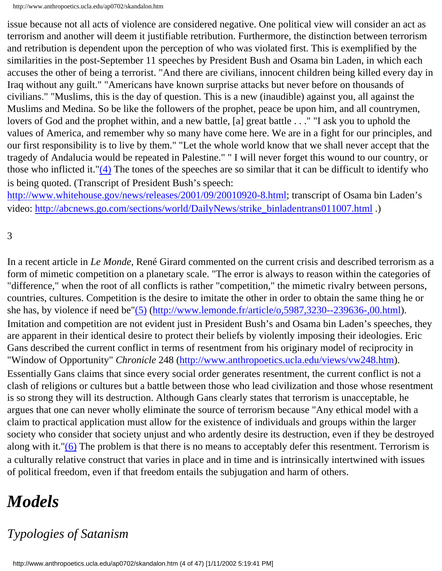```
http://www.anthropoetics.ucla.edu/ap0702/skandalon.htm
```
issue because not all acts of violence are considered negative. One political view will consider an act as terrorism and another will deem it justifiable retribution. Furthermore, the distinction between terrorism and retribution is dependent upon the perception of who was violated first. This is exemplified by the similarities in the post-September 11 speeches by President Bush and Osama bin Laden, in which each accuses the other of being a terrorist. "And there are civilians, innocent children being killed every day in Iraq without any guilt." "Americans have known surprise attacks but never before on thousands of civilians." "Muslims, this is the day of question. This is a new (inaudible) against you, all against the Muslims and Medina. So be like the followers of the prophet, peace be upon him, and all countrymen, lovers of God and the prophet within, and a new battle, [a] great battle . . ." "I ask you to uphold the values of America, and remember why so many have come here. We are in a fight for our principles, and our first responsibility is to live by them." "Let the whole world know that we shall never accept that the tragedy of Andalucia would be repeated in Palestine." " I will never forget this wound to our country, or those who inflicted it." $(4)$  The tones of the speeches are so similar that it can be difficult to identify who is being quoted. (Transcript of President Bush's speech:

[http://www.whitehouse.gov/news/releases/2001/09/20010920-8.html;](http://http//www.whitehouse.gov/news/releases/2001/09/20010920-8.html) transcript of Osama bin Laden's video: [http://abcnews.go.com/sections/world/DailyNews/strike\\_binladentrans011007.html](http://abcnews.go.com/sections/world/DailyNews/strike_binladentrans011007.html) .)

3

In a recent article in *Le Monde*, René Girard commented on the current crisis and described terrorism as a form of mimetic competition on a planetary scale. "The error is always to reason within the categories of "difference," when the root of all conflicts is rather "competition," the mimetic rivalry between persons, countries, cultures. Competition is the desire to imitate the other in order to obtain the same thing he or she has, by violence if need be["\(5\)](#page-82-4) (http://www.lemonde.fr/article/0,5987,3230--239636-,00.html). Imitation and competition are not evident just in President Bush's and Osama bin Laden's speeches, they are apparent in their identical desire to protect their beliefs by violently imposing their ideologies. Eric Gans described the current conflict in terms of resentment from his originary model of reciprocity in "Window of Opportunity" *Chronicle* 248 (<http://www.anthropoetics.ucla.edu/views/vw248.htm>). Essentially Gans claims that since every social order generates resentment, the current conflict is not a clash of religions or cultures but a battle between those who lead civilization and those whose resentment is so strong they will its destruction. Although Gans clearly states that terrorism is unacceptable, he argues that one can never wholly eliminate the source of terrorism because "Any ethical model with a claim to practical application must allow for the existence of individuals and groups within the larger society who consider that society unjust and who ardently desire its destruction, even if they be destroyed along with it." $(6)$  The problem is that there is no means to acceptably defer this resentment. Terrorism is a culturally relative construct that varies in place and in time and is intrinsically intertwined with issues of political freedom, even if that freedom entails the subjugation and harm of others.

## *Models*

## *Typologies of Satanism*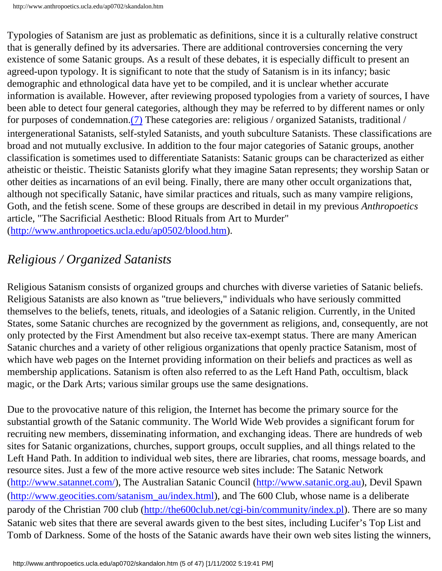Typologies of Satanism are just as problematic as definitions, since it is a culturally relative construct that is generally defined by its adversaries. There are additional controversies concerning the very existence of some Satanic groups. As a result of these debates, it is especially difficult to present an agreed-upon typology. It is significant to note that the study of Satanism is in its infancy; basic demographic and ethnological data have yet to be compiled, and it is unclear whether accurate information is available. However, after reviewing proposed typologies from a variety of sources, I have been able to detect four general categories, although they may be referred to by different names or only for purposes of condemnation[.\(7\)](#page-82-6) These categories are: religious / organized Satanists, traditional / intergenerational Satanists, self-styled Satanists, and youth subculture Satanists. These classifications are broad and not mutually exclusive. In addition to the four major categories of Satanic groups, another classification is sometimes used to differentiate Satanists: Satanic groups can be characterized as either atheistic or theistic. Theistic Satanists glorify what they imagine Satan represents; they worship Satan or other deities as incarnations of an evil being. Finally, there are many other occult organizations that, although not specifically Satanic, have similar practices and rituals, such as many vampire religions, Goth, and the fetish scene. Some of these groups are described in detail in my previous *Anthropoetics* article, "The Sacrificial Aesthetic: Blood Rituals from Art to Murder" (<http://www.anthropoetics.ucla.edu/ap0502/blood.htm>).

### *Religious / Organized Satanists*

Religious Satanism consists of organized groups and churches with diverse varieties of Satanic beliefs. Religious Satanists are also known as "true believers," individuals who have seriously committed themselves to the beliefs, tenets, rituals, and ideologies of a Satanic religion. Currently, in the United States, some Satanic churches are recognized by the government as religions, and, consequently, are not only protected by the First Amendment but also receive tax-exempt status. There are many American Satanic churches and a variety of other religious organizations that openly practice Satanism, most of which have web pages on the Internet providing information on their beliefs and practices as well as membership applications. Satanism is often also referred to as the Left Hand Path, occultism, black magic, or the Dark Arts; various similar groups use the same designations.

Due to the provocative nature of this religion, the Internet has become the primary source for the substantial growth of the Satanic community. The World Wide Web provides a significant forum for recruiting new members, disseminating information, and exchanging ideas. There are hundreds of web sites for Satanic organizations, churches, support groups, occult supplies, and all things related to the Left Hand Path. In addition to individual web sites, there are libraries, chat rooms, message boards, and resource sites. Just a few of the more active resource web sites include: The Satanic Network (<http://www.satannet.com/>), The Australian Satanic Council [\(http://www.satanic.org.au](http://www.satanic.org.au/)), Devil Spawn ([http://www.geocities.com/satanism\\_au/index.html\)](http://www.geocities.com/satanism_au/index.html), and The 600 Club, whose name is a deliberate parody of the Christian 700 club ([http://the600club.net/cgi-bin/community/index.pl\)](http://the600club.net/cgi-bin/community/index.pl). There are so many Satanic web sites that there are several awards given to the best sites, including Lucifer's Top List and Tomb of Darkness. Some of the hosts of the Satanic awards have their own web sites listing the winners,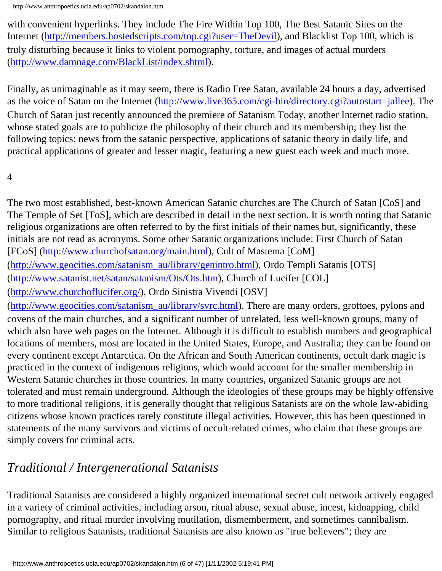```
http://www.anthropoetics.ucla.edu/ap0702/skandalon.htm
```
with convenient hyperlinks. They include The Fire Within Top 100, The Best Satanic Sites on the Internet (<http://members.hostedscripts.com/top.cgi?user=TheDevil>), and Blacklist Top 100, which is truly disturbing because it links to violent pornography, torture, and images of actual murders (<http://www.damnage.com/BlackList/index.shtml>).

Finally, as unimaginable as it may seem, there is Radio Free Satan, available 24 hours a day, advertised as the voice of Satan on the Internet [\(http://www.live365.com/cgi-bin/directory.cgi?autostart=jallee](http://www.live365.com/cgi-bin/directory.cgi?autostart=jallee)). The Church of Satan just recently announced the premiere of Satanism Today, another Internet radio station, whose stated goals are to publicize the philosophy of their church and its membership; they list the following topics: news from the satanic perspective, applications of satanic theory in daily life, and practical applications of greater and lesser magic, featuring a new guest each week and much more.

#### 4

The two most established, best-known American Satanic churches are The Church of Satan [CoS] and The Temple of Set [ToS], which are described in detail in the next section. It is worth noting that Satanic religious organizations are often referred to by the first initials of their names but, significantly, these initials are not read as acronyms. Some other Satanic organizations include: First Church of Satan [FCoS] [\(http://www.churchofsatan.org/main.html](http://www.churchofsatan.org/main.html)), Cult of Mastema [CoM] ([http://www.geocities.com/satanism\\_au/library/genintro.html](http://www.geocities.com/satanism_au/library/genintro.html)), Ordo Templi Satanis [OTS] (<http://www.satanist.net/satan/satanism/Ots/Ots.htm>), Church of Lucifer [COL] (<http://www.churchoflucifer.org/>), Ordo Sinistra Vivendi [OSV] ([http://www.geocities.com/satanism\\_au/library/svrc.html](http://www.geocities.com/satanism_au/library/svrc.html)). There are many orders, grottoes, pylons and covens of the main churches, and a significant number of unrelated, less well-known groups, many of which also have web pages on the Internet. Although it is difficult to establish numbers and geographical locations of members, most are located in the United States, Europe, and Australia; they can be found on every continent except Antarctica. On the African and South American continents, occult dark magic is practiced in the context of indigenous religions, which would account for the smaller membership in Western Satanic churches in those countries. In many countries, organized Satanic groups are not tolerated and must remain underground. Although the ideologies of these groups may be highly offensive to more traditional religions, it is generally thought that religious Satanists are on the whole law-abiding citizens whose known practices rarely constitute illegal activities. However, this has been questioned in statements of the many survivors and victims of occult-related crimes, who claim that these groups are simply covers for criminal acts.

### *Traditional / Intergenerational Satanists*

Traditional Satanists are considered a highly organized international secret cult network actively engaged in a variety of criminal activities, including arson, ritual abuse, sexual abuse, incest, kidnapping, child pornography, and ritual murder involving mutilation, dismemberment, and sometimes cannibalism. Similar to religious Satanists, traditional Satanists are also known as "true believers"; they are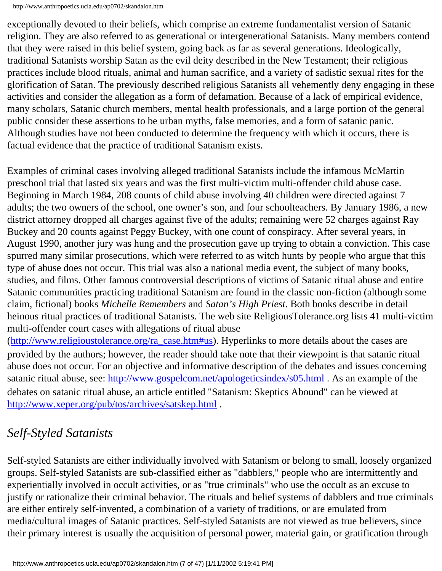http://www.anthropoetics.ucla.edu/ap0702/skandalon.htm

exceptionally devoted to their beliefs, which comprise an extreme fundamentalist version of Satanic religion. They are also referred to as generational or intergenerational Satanists. Many members contend that they were raised in this belief system, going back as far as several generations. Ideologically, traditional Satanists worship Satan as the evil deity described in the New Testament; their religious practices include blood rituals, animal and human sacrifice, and a variety of sadistic sexual rites for the glorification of Satan. The previously described religious Satanists all vehemently deny engaging in these activities and consider the allegation as a form of defamation. Because of a lack of empirical evidence, many scholars, Satanic church members, mental health professionals, and a large portion of the general public consider these assertions to be urban myths, false memories, and a form of satanic panic. Although studies have not been conducted to determine the frequency with which it occurs, there is factual evidence that the practice of traditional Satanism exists.

Examples of criminal cases involving alleged traditional Satanists include the infamous McMartin preschool trial that lasted six years and was the first multi-victim multi-offender child abuse case. Beginning in March 1984, 208 counts of child abuse involving 40 children were directed against 7 adults; the two owners of the school, one owner's son, and four schoolteachers. By January 1986, a new district attorney dropped all charges against five of the adults; remaining were 52 charges against Ray Buckey and 20 counts against Peggy Buckey, with one count of conspiracy. After several years, in August 1990, another jury was hung and the prosecution gave up trying to obtain a conviction. This case spurred many similar prosecutions, which were referred to as witch hunts by people who argue that this type of abuse does not occur. This trial was also a national media event, the subject of many books, studies, and films. Other famous controversial descriptions of victims of Satanic ritual abuse and entire Satanic communities practicing traditional Satanism are found in the classic non-fiction (although some claim, fictional) books *Michelle Remembers* and *Satan's High Priest*. Both books describe in detail heinous ritual practices of traditional Satanists. The web site ReligiousTolerance.org lists 41 multi-victim multi-offender court cases with allegations of ritual abuse

([http://www.religioustolerance.org/ra\\_case.htm#us](http://www.religioustolerance.org/ra_case.htm#us)). Hyperlinks to more details about the cases are provided by the authors; however, the reader should take note that their viewpoint is that satanic ritual abuse does not occur. For an objective and informative description of the debates and issues concerning satanic ritual abuse, see: <http://www.gospelcom.net/apologeticsindex/s05.html>. As an example of the debates on satanic ritual abuse, an article entitled "Satanism: Skeptics Abound" can be viewed at <http://www.xeper.org/pub/tos/archives/satskep.html> .

## *Self-Styled Satanists*

Self-styled Satanists are either individually involved with Satanism or belong to small, loosely organized groups. Self-styled Satanists are sub-classified either as "dabblers," people who are intermittently and experientially involved in occult activities, or as "true criminals" who use the occult as an excuse to justify or rationalize their criminal behavior. The rituals and belief systems of dabblers and true criminals are either entirely self-invented, a combination of a variety of traditions, or are emulated from media/cultural images of Satanic practices. Self-styled Satanists are not viewed as true believers, since their primary interest is usually the acquisition of personal power, material gain, or gratification through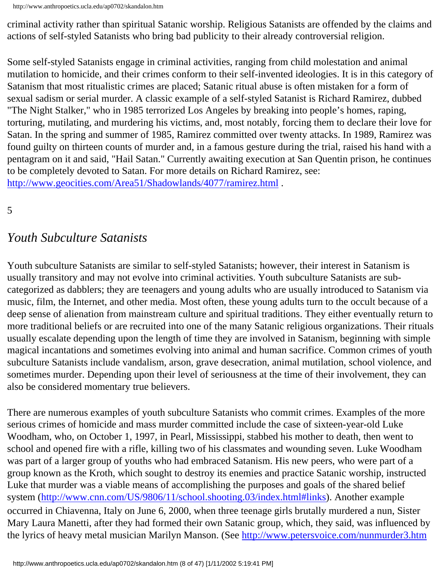http://www.anthropoetics.ucla.edu/ap0702/skandalon.htm

criminal activity rather than spiritual Satanic worship. Religious Satanists are offended by the claims and actions of self-styled Satanists who bring bad publicity to their already controversial religion.

Some self-styled Satanists engage in criminal activities, ranging from child molestation and animal mutilation to homicide, and their crimes conform to their self-invented ideologies. It is in this category of Satanism that most ritualistic crimes are placed; Satanic ritual abuse is often mistaken for a form of sexual sadism or serial murder. A classic example of a self-styled Satanist is Richard Ramirez, dubbed "The Night Stalker," who in 1985 terrorized Los Angeles by breaking into people's homes, raping, torturing, mutilating, and murdering his victims, and, most notably, forcing them to declare their love for Satan. In the spring and summer of 1985, Ramirez committed over twenty attacks. In 1989, Ramirez was found guilty on thirteen counts of murder and, in a famous gesture during the trial, raised his hand with a pentagram on it and said, "Hail Satan." Currently awaiting execution at San Quentin prison, he continues to be completely devoted to Satan. For more details on Richard Ramirez, see: <http://www.geocities.com/Area51/Shadowlands/4077/ramirez.html> .

#### 5

### *Youth Subculture Satanists*

Youth subculture Satanists are similar to self-styled Satanists; however, their interest in Satanism is usually transitory and may not evolve into criminal activities. Youth subculture Satanists are subcategorized as dabblers; they are teenagers and young adults who are usually introduced to Satanism via music, film, the Internet, and other media. Most often, these young adults turn to the occult because of a deep sense of alienation from mainstream culture and spiritual traditions. They either eventually return to more traditional beliefs or are recruited into one of the many Satanic religious organizations. Their rituals usually escalate depending upon the length of time they are involved in Satanism, beginning with simple magical incantations and sometimes evolving into animal and human sacrifice. Common crimes of youth subculture Satanists include vandalism, arson, grave desecration, animal mutilation, school violence, and sometimes murder. Depending upon their level of seriousness at the time of their involvement, they can also be considered momentary true believers.

There are numerous examples of youth subculture Satanists who commit crimes. Examples of the more serious crimes of homicide and mass murder committed include the case of sixteen-year-old Luke Woodham, who, on October 1, 1997, in Pearl, Mississippi, stabbed his mother to death, then went to school and opened fire with a rifle, killing two of his classmates and wounding seven. Luke Woodham was part of a larger group of youths who had embraced Satanism. His new peers, who were part of a group known as the Kroth, which sought to destroy its enemies and practice Satanic worship, instructed Luke that murder was a viable means of accomplishing the purposes and goals of the shared belief system [\(http://www.cnn.com/US/9806/11/school.shooting.03/index.html#links\)](http://www.cnn.com/US/9806/11/school.shooting.03/index.html#links). Another example occurred in Chiavenna, Italy on June 6, 2000, when three teenage girls brutally murdered a nun, Sister Mary Laura Manetti, after they had formed their own Satanic group, which, they said, was influenced by the lyrics of heavy metal musician Marilyn Manson. (See<http://www.petersvoice.com/nunmurder3.htm>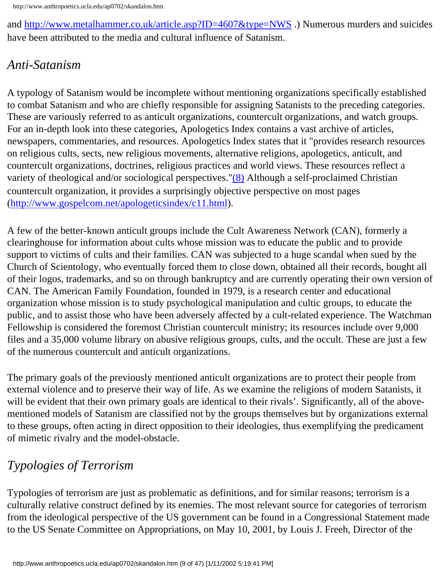and <http://www.metalhammer.co.uk/article.asp?ID=4607&type=NWS> .) Numerous murders and suicides have been attributed to the media and cultural influence of Satanism.

### *Anti-Satanism*

A typology of Satanism would be incomplete without mentioning organizations specifically established to combat Satanism and who are chiefly responsible for assigning Satanists to the preceding categories. These are variously referred to as anticult organizations, countercult organizations, and watch groups. For an in-depth look into these categories, Apologetics Index contains a vast archive of articles, newspapers, commentaries, and resources. Apologetics Index states that it "provides research resources on religious cults, sects, new religious movements, alternative religions, apologetics, anticult, and countercult organizations, doctrines, religious practices and world views. These resources reflect a variety of theological and/or sociological perspectives.["\(8\)](#page-83-0) Although a self-proclaimed Christian countercult organization, it provides a surprisingly objective perspective on most pages (<http://www.gospelcom.net/apologeticsindex/c11.html>).

A few of the better-known anticult groups include the Cult Awareness Network (CAN), formerly a clearinghouse for information about cults whose mission was to educate the public and to provide support to victims of cults and their families. CAN was subjected to a huge scandal when sued by the Church of Scientology, who eventually forced them to close down, obtained all their records, bought all of their logos, trademarks, and so on through bankruptcy and are currently operating their own version of CAN. The American Family Foundation, founded in 1979, is a research center and educational organization whose mission is to study psychological manipulation and cultic groups, to educate the public, and to assist those who have been adversely affected by a cult-related experience. The Watchman Fellowship is considered the foremost Christian countercult ministry; its resources include over 9,000 files and a 35,000 volume library on abusive religious groups, cults, and the occult. These are just a few of the numerous countercult and anticult organizations.

The primary goals of the previously mentioned anticult organizations are to protect their people from external violence and to preserve their way of life. As we examine the religions of modern Satanists, it will be evident that their own primary goals are identical to their rivals'. Significantly, all of the abovementioned models of Satanism are classified not by the groups themselves but by organizations external to these groups, often acting in direct opposition to their ideologies, thus exemplifying the predicament of mimetic rivalry and the model-obstacle.

## *Typologies of Terrorism*

Typologies of terrorism are just as problematic as definitions, and for similar reasons; terrorism is a culturally relative construct defined by its enemies. The most relevant source for categories of terrorism from the ideological perspective of the US government can be found in a Congressional Statement made to the US Senate Committee on Appropriations, on May 10, 2001, by Louis J. Freeh, Director of the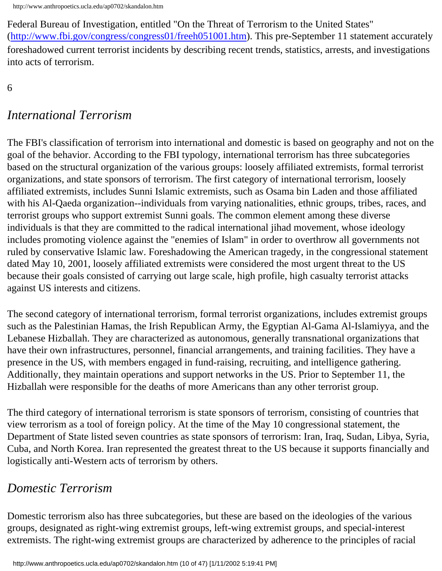Federal Bureau of Investigation, entitled "On the Threat of Terrorism to the United States" ([http://www.fbi.gov/congress/congress01/freeh051001.htm\)](http://www.fbi.gov/congress/congress01/freeh051001.htm). This pre-September 11 statement accurately foreshadowed current terrorist incidents by describing recent trends, statistics, arrests, and investigations into acts of terrorism.

#### 6

### *International Terrorism*

The FBI's classification of terrorism into international and domestic is based on geography and not on the goal of the behavior. According to the FBI typology, international terrorism has three subcategories based on the structural organization of the various groups: loosely affiliated extremists, formal terrorist organizations, and state sponsors of terrorism. The first category of international terrorism, loosely affiliated extremists, includes Sunni Islamic extremists, such as Osama bin Laden and those affiliated with his Al-Qaeda organization--individuals from varying nationalities, ethnic groups, tribes, races, and terrorist groups who support extremist Sunni goals. The common element among these diverse individuals is that they are committed to the radical international jihad movement, whose ideology includes promoting violence against the "enemies of Islam" in order to overthrow all governments not ruled by conservative Islamic law. Foreshadowing the American tragedy, in the congressional statement dated May 10, 2001, loosely affiliated extremists were considered the most urgent threat to the US because their goals consisted of carrying out large scale, high profile, high casualty terrorist attacks against US interests and citizens.

The second category of international terrorism, formal terrorist organizations, includes extremist groups such as the Palestinian Hamas, the Irish Republican Army, the Egyptian Al-Gama Al-Islamiyya, and the Lebanese Hizballah. They are characterized as autonomous, generally transnational organizations that have their own infrastructures, personnel, financial arrangements, and training facilities. They have a presence in the US, with members engaged in fund-raising, recruiting, and intelligence gathering. Additionally, they maintain operations and support networks in the US. Prior to September 11, the Hizballah were responsible for the deaths of more Americans than any other terrorist group.

The third category of international terrorism is state sponsors of terrorism, consisting of countries that view terrorism as a tool of foreign policy. At the time of the May 10 congressional statement, the Department of State listed seven countries as state sponsors of terrorism: Iran, Iraq, Sudan, Libya, Syria, Cuba, and North Korea. Iran represented the greatest threat to the US because it supports financially and logistically anti-Western acts of terrorism by others.

### *Domestic Terrorism*

Domestic terrorism also has three subcategories, but these are based on the ideologies of the various groups, designated as right-wing extremist groups, left-wing extremist groups, and special-interest extremists. The right-wing extremist groups are characterized by adherence to the principles of racial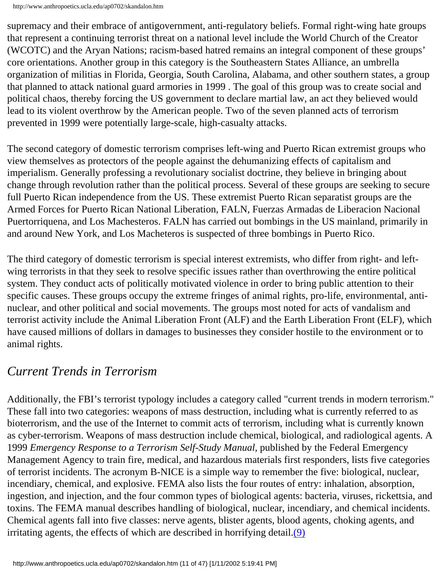supremacy and their embrace of antigovernment, anti-regulatory beliefs. Formal right-wing hate groups that represent a continuing terrorist threat on a national level include the World Church of the Creator (WCOTC) and the Aryan Nations; racism-based hatred remains an integral component of these groups' core orientations. Another group in this category is the Southeastern States Alliance, an umbrella organization of militias in Florida, Georgia, South Carolina, Alabama, and other southern states, a group that planned to attack national guard armories in 1999 . The goal of this group was to create social and political chaos, thereby forcing the US government to declare martial law, an act they believed would lead to its violent overthrow by the American people. Two of the seven planned acts of terrorism prevented in 1999 were potentially large-scale, high-casualty attacks.

The second category of domestic terrorism comprises left-wing and Puerto Rican extremist groups who view themselves as protectors of the people against the dehumanizing effects of capitalism and imperialism. Generally professing a revolutionary socialist doctrine, they believe in bringing about change through revolution rather than the political process. Several of these groups are seeking to secure full Puerto Rican independence from the US. These extremist Puerto Rican separatist groups are the Armed Forces for Puerto Rican National Liberation, FALN, Fuerzas Armadas de Liberacion Nacional Puertorriquena, and Los Machesteros. FALN has carried out bombings in the US mainland, primarily in and around New York, and Los Macheteros is suspected of three bombings in Puerto Rico.

The third category of domestic terrorism is special interest extremists, who differ from right- and leftwing terrorists in that they seek to resolve specific issues rather than overthrowing the entire political system. They conduct acts of politically motivated violence in order to bring public attention to their specific causes. These groups occupy the extreme fringes of animal rights, pro-life, environmental, antinuclear, and other political and social movements. The groups most noted for acts of vandalism and terrorist activity include the Animal Liberation Front (ALF) and the Earth Liberation Front (ELF), which have caused millions of dollars in damages to businesses they consider hostile to the environment or to animal rights.

#### *Current Trends in Terrorism*

Additionally, the FBI's terrorist typology includes a category called "current trends in modern terrorism." These fall into two categories: weapons of mass destruction, including what is currently referred to as bioterrorism, and the use of the Internet to commit acts of terrorism, including what is currently known as cyber-terrorism. Weapons of mass destruction include chemical, biological, and radiological agents. A 1999 *Emergency Response to a Terrorism Self-Study Manual*, published by the Federal Emergency Management Agency to train fire, medical, and hazardous materials first responders, lists five categories of terrorist incidents. The acronym B-NICE is a simple way to remember the five: biological, nuclear, incendiary, chemical, and explosive. FEMA also lists the four routes of entry: inhalation, absorption, ingestion, and injection, and the four common types of biological agents: bacteria, viruses, rickettsia, and toxins. The FEMA manual describes handling of biological, nuclear, incendiary, and chemical incidents. Chemical agents fall into five classes: nerve agents, blister agents, blood agents, choking agents, and irritating agents, the effects of which are described in horrifying detail.[\(9\)](#page-83-1)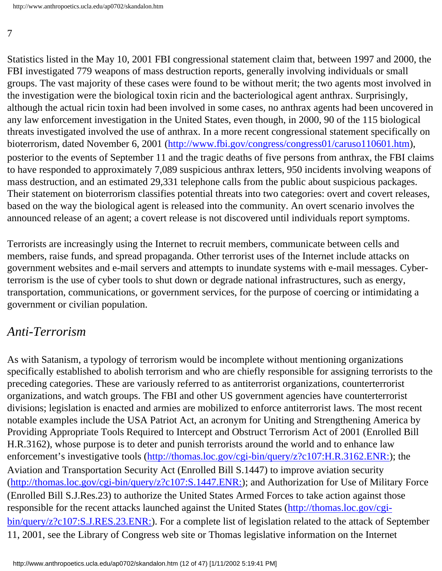Statistics listed in the May 10, 2001 FBI congressional statement claim that, between 1997 and 2000, the FBI investigated 779 weapons of mass destruction reports, generally involving individuals or small groups. The vast majority of these cases were found to be without merit; the two agents most involved in the investigation were the biological toxin ricin and the bacteriological agent anthrax. Surprisingly, although the actual ricin toxin had been involved in some cases, no anthrax agents had been uncovered in any law enforcement investigation in the United States, even though, in 2000, 90 of the 115 biological threats investigated involved the use of anthrax. In a more recent congressional statement specifically on bioterrorism, dated November 6, 2001 ([http://www.fbi.gov/congress/congress01/caruso110601.htm\)](http://www.fbi.gov/congress/congress01/caruso110601.htm), posterior to the events of September 11 and the tragic deaths of five persons from anthrax, the FBI claims to have responded to approximately 7,089 suspicious anthrax letters, 950 incidents involving weapons of mass destruction, and an estimated 29,331 telephone calls from the public about suspicious packages. Their statement on bioterrorism classifies potential threats into two categories: overt and covert releases, based on the way the biological agent is released into the community. An overt scenario involves the announced release of an agent; a covert release is not discovered until individuals report symptoms.

Terrorists are increasingly using the Internet to recruit members, communicate between cells and members, raise funds, and spread propaganda. Other terrorist uses of the Internet include attacks on government websites and e-mail servers and attempts to inundate systems with e-mail messages. Cyberterrorism is the use of cyber tools to shut down or degrade national infrastructures, such as energy, transportation, communications, or government services, for the purpose of coercing or intimidating a government or civilian population.

#### *Anti-Terrorism*

As with Satanism, a typology of terrorism would be incomplete without mentioning organizations specifically established to abolish terrorism and who are chiefly responsible for assigning terrorists to the preceding categories. These are variously referred to as antiterrorist organizations, counterterrorist organizations, and watch groups. The FBI and other US government agencies have counterterrorist divisions; legislation is enacted and armies are mobilized to enforce antiterrorist laws. The most recent notable examples include the USA Patriot Act, an acronym for Uniting and Strengthening America by Providing Appropriate Tools Required to Intercept and Obstruct Terrorism Act of 2001 (Enrolled Bill H.R.3162), whose purpose is to deter and punish terrorists around the world and to enhance law enforcement's investigative tools [\(http://thomas.loc.gov/cgi-bin/query/z?c107:H.R.3162.ENR:\)](http://thomas.loc.gov/cgi-bin/query/z?c107:H.R.3162.ENR:); the Aviation and Transportation Security Act (Enrolled Bill S.1447) to improve aviation security (<http://thomas.loc.gov/cgi-bin/query/z?c107:S.1447.ENR:>); and Authorization for Use of Military Force (Enrolled Bill S.J.Res.23) to authorize the United States Armed Forces to take action against those responsible for the recent attacks launched against the United States ([http://thomas.loc.gov/cgi](http://thomas.loc.gov/cgi-bin/query/z?c107:S.J.RES.23.ENR:)[bin/query/z?c107:S.J.RES.23.ENR:\)](http://thomas.loc.gov/cgi-bin/query/z?c107:S.J.RES.23.ENR:). For a complete list of legislation related to the attack of September 11, 2001, see the Library of Congress web site or Thomas legislative information on the Internet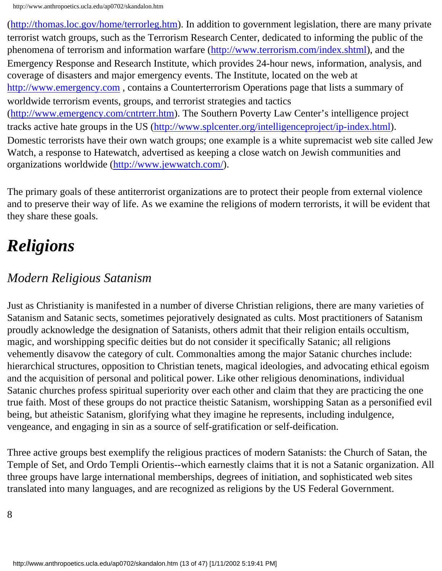http://www.anthropoetics.ucla.edu/ap0702/skandalon.htm

(<http://thomas.loc.gov/home/terrorleg.htm>). In addition to government legislation, there are many private terrorist watch groups, such as the Terrorism Research Center, dedicated to informing the public of the phenomena of terrorism and information warfare [\(http://www.terrorism.com/index.shtml](http://www.terrorism.com/index.shtml)), and the Emergency Response and Research Institute, which provides 24-hour news, information, analysis, and coverage of disasters and major emergency events. The Institute, located on the web at [http://www.emergency.com](http://www.emergency.com/) , contains a Counterterrorism Operations page that lists a summary of worldwide terrorism events, groups, and terrorist strategies and tactics (<http://www.emergency.com/cntrterr.htm>). The Southern Poverty Law Center's intelligence project tracks active hate groups in the US [\(http://www.splcenter.org/intelligenceproject/ip-index.html](http://www.splcenter.org/intelligenceproject/ip-index.html)). Domestic terrorists have their own watch groups; one example is a white supremacist web site called Jew Watch, a response to Hatewatch, advertised as keeping a close watch on Jewish communities and organizations worldwide (<http://www.jewwatch.com/>).

The primary goals of these antiterrorist organizations are to protect their people from external violence and to preserve their way of life. As we examine the religions of modern terrorists, it will be evident that they share these goals.

## *Religions*

#### *Modern Religious Satanism*

Just as Christianity is manifested in a number of diverse Christian religions, there are many varieties of Satanism and Satanic sects, sometimes pejoratively designated as cults. Most practitioners of Satanism proudly acknowledge the designation of Satanists, others admit that their religion entails occultism, magic, and worshipping specific deities but do not consider it specifically Satanic; all religions vehemently disavow the category of cult. Commonalties among the major Satanic churches include: hierarchical structures, opposition to Christian tenets, magical ideologies, and advocating ethical egoism and the acquisition of personal and political power. Like other religious denominations, individual Satanic churches profess spiritual superiority over each other and claim that they are practicing the one true faith. Most of these groups do not practice theistic Satanism, worshipping Satan as a personified evil being, but atheistic Satanism, glorifying what they imagine he represents, including indulgence, vengeance, and engaging in sin as a source of self-gratification or self-deification.

Three active groups best exemplify the religious practices of modern Satanists: the Church of Satan, the Temple of Set, and Ordo Templi Orientis--which earnestly claims that it is not a Satanic organization. All three groups have large international memberships, degrees of initiation, and sophisticated web sites translated into many languages, and are recognized as religions by the US Federal Government.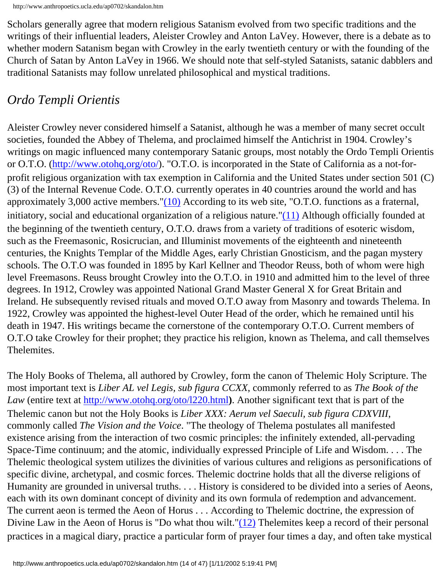Scholars generally agree that modern religious Satanism evolved from two specific traditions and the writings of their influential leaders, Aleister Crowley and Anton LaVey. However, there is a debate as to whether modern Satanism began with Crowley in the early twentieth century or with the founding of the Church of Satan by Anton LaVey in 1966. We should note that self-styled Satanists, satanic dabblers and traditional Satanists may follow unrelated philosophical and mystical traditions.

#### *Ordo Templi Orientis*

Aleister Crowley never considered himself a Satanist, although he was a member of many secret occult societies, founded the Abbey of Thelema, and proclaimed himself the Antichrist in 1904. Crowley's writings on magic influenced many contemporary Satanic groups, most notably the Ordo Templi Orientis or O.T.O. ([http://www.otohq,org/oto/\)](http://www.otohq.org/oto/). "O.T.O. is incorporated in the State of California as a not-forprofit religious organization with tax exemption in California and the United States under section 501 (C) (3) of the Internal Revenue Code. O.T.O. currently operates in 40 countries around the world and has approximately 3,000 active members."[\(10\)](#page-83-2) According to its web site, "O.T.O. functions as a fraternal, initiatory, social and educational organization of a religious nature.["\(11\)](#page-83-3) Although officially founded at the beginning of the twentieth century, O.T.O. draws from a variety of traditions of esoteric wisdom, such as the Freemasonic, Rosicrucian, and Illuminist movements of the eighteenth and nineteenth centuries, the Knights Templar of the Middle Ages, early Christian Gnosticism, and the pagan mystery schools. The O.T.O was founded in 1895 by Karl Kellner and Theodor Reuss, both of whom were high level Freemasons. Reuss brought Crowley into the O.T.O. in 1910 and admitted him to the level of three degrees. In 1912, Crowley was appointed National Grand Master General X for Great Britain and Ireland. He subsequently revised rituals and moved O.T.O away from Masonry and towards Thelema. In 1922, Crowley was appointed the highest-level Outer Head of the order, which he remained until his death in 1947. His writings became the cornerstone of the contemporary O.T.O. Current members of O.T.O take Crowley for their prophet; they practice his religion, known as Thelema, and call themselves Thelemites.

The Holy Books of Thelema, all authored by Crowley, form the canon of Thelemic Holy Scripture. The most important text is *Liber AL vel Legis, sub figura CCXX*, commonly referred to as *The Book of the Law* (entire text at <http://www.otohq.org/oto/l220.html>**)**. Another significant text that is part of the Thelemic canon but not the Holy Books is *Liber XXX: Aerum vel Saeculi, sub figura CDXVIII*, commonly called *The Vision and the Voice*. "The theology of Thelema postulates all manifested existence arising from the interaction of two cosmic principles: the infinitely extended, all-pervading Space-Time continuum; and the atomic, individually expressed Principle of Life and Wisdom. . . . The Thelemic theological system utilizes the divinities of various cultures and religions as personifications of specific divine, archetypal, and cosmic forces. Thelemic doctrine holds that all the diverse religions of Humanity are grounded in universal truths. . . . History is considered to be divided into a series of Aeons, each with its own dominant concept of divinity and its own formula of redemption and advancement. The current aeon is termed the Aeon of Horus . . . According to Thelemic doctrine, the expression of Divine Law in the Aeon of Horus is "Do what thou wilt."[\(12\)](#page-83-4) Thelemites keep a record of their personal practices in a magical diary, practice a particular form of prayer four times a day, and often take mystical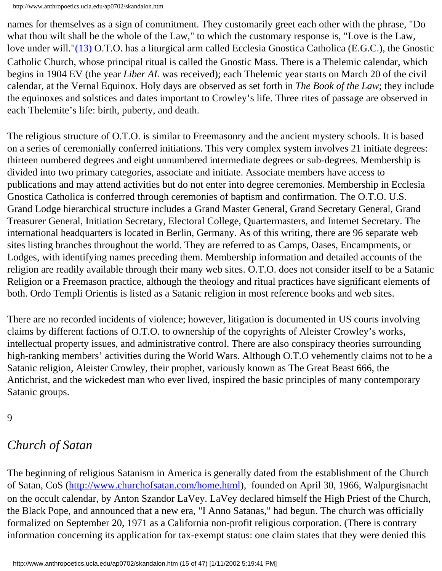http://www.anthropoetics.ucla.edu/ap0702/skandalon.htm

names for themselves as a sign of commitment. They customarily greet each other with the phrase, "Do what thou wilt shall be the whole of the Law," to which the customary response is, "Love is the Law, love under will."[\(13\)](#page-83-5) O.T.O. has a liturgical arm called Ecclesia Gnostica Catholica (E.G.C.), the Gnostic Catholic Church, whose principal ritual is called the Gnostic Mass. There is a Thelemic calendar, which begins in 1904 EV (the year *Liber AL* was received); each Thelemic year starts on March 20 of the civil calendar, at the Vernal Equinox. Holy days are observed as set forth in *The Book of the Law*; they include the equinoxes and solstices and dates important to Crowley's life. Three rites of passage are observed in each Thelemite's life: birth, puberty, and death.

The religious structure of O.T.O. is similar to Freemasonry and the ancient mystery schools. It is based on a series of ceremonially conferred initiations. This very complex system involves 21 initiate degrees: thirteen numbered degrees and eight unnumbered intermediate degrees or sub-degrees. Membership is divided into two primary categories, associate and initiate. Associate members have access to publications and may attend activities but do not enter into degree ceremonies. Membership in Ecclesia Gnostica Catholica is conferred through ceremonies of baptism and confirmation. The O.T.O. U.S. Grand Lodge hierarchical structure includes a Grand Master General, Grand Secretary General, Grand Treasurer General, Initiation Secretary, Electoral College, Quartermasters, and Internet Secretary. The international headquarters is located in Berlin, Germany. As of this writing, there are 96 separate web sites listing branches throughout the world. They are referred to as Camps, Oases, Encampments, or Lodges, with identifying names preceding them. Membership information and detailed accounts of the religion are readily available through their many web sites. O.T.O. does not consider itself to be a Satanic Religion or a Freemason practice, although the theology and ritual practices have significant elements of both. Ordo Templi Orientis is listed as a Satanic religion in most reference books and web sites.

There are no recorded incidents of violence; however, litigation is documented in US courts involving claims by different factions of O.T.O. to ownership of the copyrights of Aleister Crowley's works, intellectual property issues, and administrative control. There are also conspiracy theories surrounding high-ranking members' activities during the World Wars. Although O.T.O vehemently claims not to be a Satanic religion, Aleister Crowley, their prophet, variously known as The Great Beast 666, the Antichrist, and the wickedest man who ever lived, inspired the basic principles of many contemporary Satanic groups.

#### 9

#### *Church of Satan*

The beginning of religious Satanism in America is generally dated from the establishment of the Church of Satan, CoS (<http://www.churchofsatan.com/home.html>), founded on April 30, 1966, Walpurgisnacht on the occult calendar, by Anton Szandor LaVey. LaVey declared himself the High Priest of the Church, the Black Pope, and announced that a new era, "I Anno Satanas," had begun. The church was officially formalized on September 20, 1971 as a California non-profit religious corporation. (There is contrary information concerning its application for tax-exempt status: one claim states that they were denied this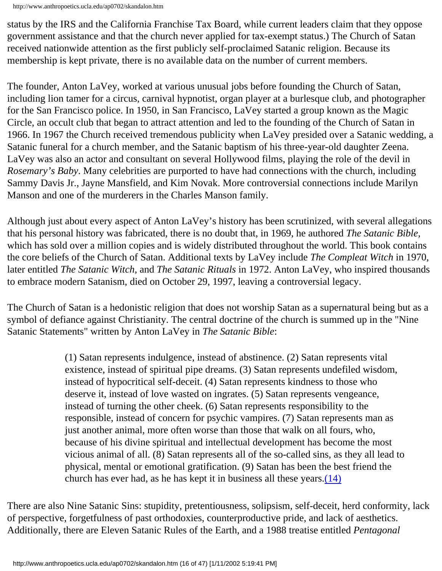http://www.anthropoetics.ucla.edu/ap0702/skandalon.htm

status by the IRS and the California Franchise Tax Board, while current leaders claim that they oppose government assistance and that the church never applied for tax-exempt status.) The Church of Satan received nationwide attention as the first publicly self-proclaimed Satanic religion. Because its membership is kept private, there is no available data on the number of current members.

The founder, Anton LaVey, worked at various unusual jobs before founding the Church of Satan, including lion tamer for a circus, carnival hypnotist, organ player at a burlesque club, and photographer for the San Francisco police. In 1950, in San Francisco, LaVey started a group known as the Magic Circle, an occult club that began to attract attention and led to the founding of the Church of Satan in 1966. In 1967 the Church received tremendous publicity when LaVey presided over a Satanic wedding, a Satanic funeral for a church member, and the Satanic baptism of his three-year-old daughter Zeena. LaVey was also an actor and consultant on several Hollywood films, playing the role of the devil in *Rosemary's Baby*. Many celebrities are purported to have had connections with the church, including Sammy Davis Jr., Jayne Mansfield, and Kim Novak. More controversial connections include Marilyn Manson and one of the murderers in the Charles Manson family.

Although just about every aspect of Anton LaVey's history has been scrutinized, with several allegations that his personal history was fabricated, there is no doubt that, in 1969, he authored *The Satanic Bible*, which has sold over a million copies and is widely distributed throughout the world. This book contains the core beliefs of the Church of Satan. Additional texts by LaVey include *The Compleat Witch* in 1970, later entitled *The Satanic Witch,* and *The Satanic Rituals* in 1972. Anton LaVey, who inspired thousands to embrace modern Satanism, died on October 29, 1997, leaving a controversial legacy.

The Church of Satan is a hedonistic religion that does not worship Satan as a supernatural being but as a symbol of defiance against Christianity. The central doctrine of the church is summed up in the "Nine Satanic Statements" written by Anton LaVey in *The Satanic Bible*:

> (1) Satan represents indulgence, instead of abstinence. (2) Satan represents vital existence, instead of spiritual pipe dreams. (3) Satan represents undefiled wisdom, instead of hypocritical self-deceit. (4) Satan represents kindness to those who deserve it, instead of love wasted on ingrates. (5) Satan represents vengeance, instead of turning the other cheek. (6) Satan represents responsibility to the responsible, instead of concern for psychic vampires. (7) Satan represents man as just another animal, more often worse than those that walk on all fours, who, because of his divine spiritual and intellectual development has become the most vicious animal of all. (8) Satan represents all of the so-called sins, as they all lead to physical, mental or emotional gratification. (9) Satan has been the best friend the church has ever had, as he has kept it in business all these years.[\(14\)](#page-83-6)

There are also Nine Satanic Sins: stupidity, pretentiousness, solipsism, self-deceit, herd conformity, lack of perspective, forgetfulness of past orthodoxies, counterproductive pride, and lack of aesthetics. Additionally, there are Eleven Satanic Rules of the Earth, and a 1988 treatise entitled *Pentagonal*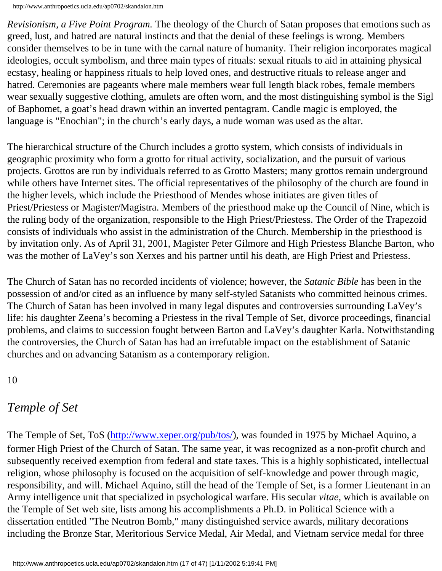http://www.anthropoetics.ucla.edu/ap0702/skandalon.htm

*Revisionism, a Five Point Program.* The theology of the Church of Satan proposes that emotions such as greed, lust, and hatred are natural instincts and that the denial of these feelings is wrong. Members consider themselves to be in tune with the carnal nature of humanity. Their religion incorporates magical ideologies, occult symbolism, and three main types of rituals: sexual rituals to aid in attaining physical ecstasy, healing or happiness rituals to help loved ones, and destructive rituals to release anger and hatred. Ceremonies are pageants where male members wear full length black robes, female members wear sexually suggestive clothing, amulets are often worn, and the most distinguishing symbol is the Sigl of Baphomet, a goat's head drawn within an inverted pentagram. Candle magic is employed, the language is "Enochian"; in the church's early days, a nude woman was used as the altar.

The hierarchical structure of the Church includes a grotto system, which consists of individuals in geographic proximity who form a grotto for ritual activity, socialization, and the pursuit of various projects. Grottos are run by individuals referred to as Grotto Masters; many grottos remain underground while others have Internet sites. The official representatives of the philosophy of the church are found in the higher levels, which include the Priesthood of Mendes whose initiates are given titles of Priest/Priestess or Magister/Magistra. Members of the priesthood make up the Council of Nine, which is the ruling body of the organization, responsible to the High Priest/Priestess. The Order of the Trapezoid consists of individuals who assist in the administration of the Church. Membership in the priesthood is by invitation only. As of April 31, 2001, Magister Peter Gilmore and High Priestess Blanche Barton, who was the mother of LaVey's son Xerxes and his partner until his death, are High Priest and Priestess.

The Church of Satan has no recorded incidents of violence; however, the *Satanic Bible* has been in the possession of and/or cited as an influence by many self-styled Satanists who committed heinous crimes. The Church of Satan has been involved in many legal disputes and controversies surrounding LaVey's life: his daughter Zeena's becoming a Priestess in the rival Temple of Set, divorce proceedings, financial problems, and claims to succession fought between Barton and LaVey's daughter Karla. Notwithstanding the controversies, the Church of Satan has had an irrefutable impact on the establishment of Satanic churches and on advancing Satanism as a contemporary religion.

10

### *Temple of Set*

The Temple of Set, ToS [\(http://www.xeper.org/pub/tos/\)](http://www.xeper.org/pub/tos/), was founded in 1975 by Michael Aquino, a former High Priest of the Church of Satan. The same year, it was recognized as a non-profit church and subsequently received exemption from federal and state taxes. This is a highly sophisticated, intellectual religion, whose philosophy is focused on the acquisition of self-knowledge and power through magic, responsibility, and will. Michael Aquino, still the head of the Temple of Set, is a former Lieutenant in an Army intelligence unit that specialized in psychological warfare. His secular *vitae,* which is available on the Temple of Set web site, lists among his accomplishments a Ph.D. in Political Science with a dissertation entitled "The Neutron Bomb," many distinguished service awards, military decorations including the Bronze Star, Meritorious Service Medal, Air Medal, and Vietnam service medal for three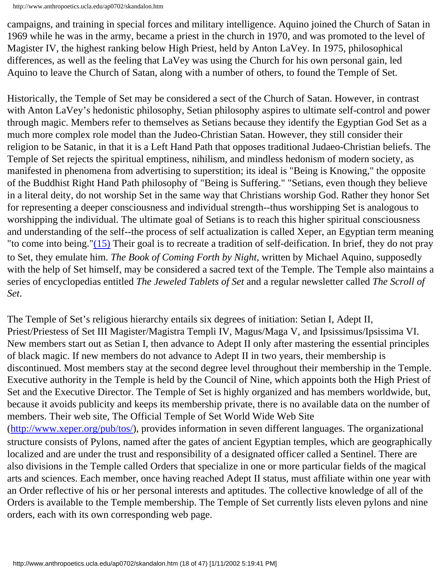http://www.anthropoetics.ucla.edu/ap0702/skandalon.htm

campaigns, and training in special forces and military intelligence. Aquino joined the Church of Satan in 1969 while he was in the army, became a priest in the church in 1970, and was promoted to the level of Magister IV, the highest ranking below High Priest, held by Anton LaVey. In 1975, philosophical differences, as well as the feeling that LaVey was using the Church for his own personal gain, led Aquino to leave the Church of Satan, along with a number of others, to found the Temple of Set.

Historically, the Temple of Set may be considered a sect of the Church of Satan. However, in contrast with Anton LaVey's hedonistic philosophy, Setian philosophy aspires to ultimate self-control and power through magic. Members refer to themselves as Setians because they identify the Egyptian God Set as a much more complex role model than the Judeo-Christian Satan. However, they still consider their religion to be Satanic, in that it is a Left Hand Path that opposes traditional Judaeo-Christian beliefs. The Temple of Set rejects the spiritual emptiness, nihilism, and mindless hedonism of modern society, as manifested in phenomena from advertising to superstition; its ideal is "Being is Knowing," the opposite of the Buddhist Right Hand Path philosophy of "Being is Suffering." "Setians, even though they believe in a literal deity, do not worship Set in the same way that Christians worship God. Rather they honor Set for representing a deeper consciousness and individual strength--thus worshipping Set is analogous to worshipping the individual. The ultimate goal of Setians is to reach this higher spiritual consciousness and understanding of the self--the process of self actualization is called Xeper, an Egyptian term meaning "to come into being."[\(15\)](#page-83-7) Their goal is to recreate a tradition of self-deification. In brief, they do not pray to Set, they emulate him. *The Book of Coming Forth by Night,* written by Michael Aquino, supposedly with the help of Set himself, may be considered a sacred text of the Temple. The Temple also maintains a series of encyclopedias entitled *The Jeweled Tablets of Set* and a regular newsletter called *The Scroll of Set*.

The Temple of Set's religious hierarchy entails six degrees of initiation: Setian I, Adept II, Priest/Priestess of Set III Magister/Magistra Templi IV, Magus/Maga V, and Ipsissimus/Ipsissima VI. New members start out as Setian I, then advance to Adept II only after mastering the essential principles of black magic. If new members do not advance to Adept II in two years, their membership is discontinued. Most members stay at the second degree level throughout their membership in the Temple. Executive authority in the Temple is held by the Council of Nine, which appoints both the High Priest of Set and the Executive Director. The Temple of Set is highly organized and has members worldwide, but, because it avoids publicity and keeps its membership private, there is no available data on the number of members. Their web site, The Official Temple of Set World Wide Web Site (<http://www.xeper.org/pub/tos/>), provides information in seven different languages. The organizational structure consists of Pylons, named after the gates of ancient Egyptian temples, which are geographically localized and are under the trust and responsibility of a designated officer called a Sentinel. There are also divisions in the Temple called Orders that specialize in one or more particular fields of the magical arts and sciences. Each member, once having reached Adept II status, must affiliate within one year with an Order reflective of his or her personal interests and aptitudes. The collective knowledge of all of the Orders is available to the Temple membership. The Temple of Set currently lists eleven pylons and nine orders, each with its own corresponding web page.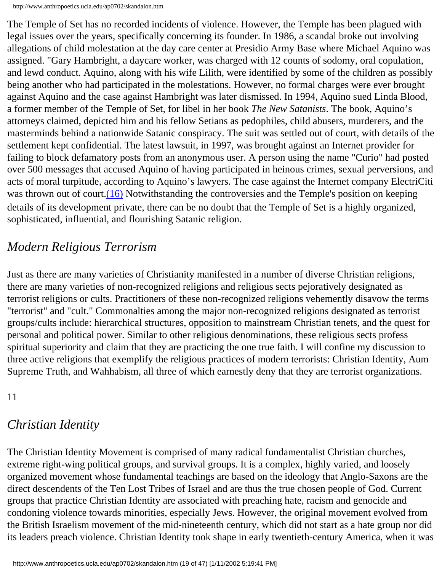```
http://www.anthropoetics.ucla.edu/ap0702/skandalon.htm
```
The Temple of Set has no recorded incidents of violence. However, the Temple has been plagued with legal issues over the years, specifically concerning its founder. In 1986, a scandal broke out involving allegations of child molestation at the day care center at Presidio Army Base where Michael Aquino was assigned. "Gary Hambright, a daycare worker, was charged with 12 counts of sodomy, oral copulation, and lewd conduct. Aquino, along with his wife Lilith, were identified by some of the children as possibly being another who had participated in the molestations. However, no formal charges were ever brought against Aquino and the case against Hambright was later dismissed. In 1994, Aquino sued Linda Blood, a former member of the Temple of Set, for libel in her book *The New Satanists*. The book, Aquino's attorneys claimed, depicted him and his fellow Setians as pedophiles, child abusers, murderers, and the masterminds behind a nationwide Satanic conspiracy. The suit was settled out of court, with details of the settlement kept confidential. The latest lawsuit, in 1997, was brought against an Internet provider for failing to block defamatory posts from an anonymous user. A person using the name "Curio" had posted over 500 messages that accused Aquino of having participated in heinous crimes, sexual perversions, and acts of moral turpitude, according to Aquino's lawyers. The case against the Internet company ElectriCiti was thrown out of court. (16) Notwithstanding the controversies and the Temple's position on keeping details of its development private, there can be no doubt that the Temple of Set is a highly organized, sophisticated, influential, and flourishing Satanic religion.

### *Modern Religious Terrorism*

Just as there are many varieties of Christianity manifested in a number of diverse Christian religions, there are many varieties of non-recognized religions and religious sects pejoratively designated as terrorist religions or cults. Practitioners of these non-recognized religions vehemently disavow the terms "terrorist" and "cult." Commonalties among the major non-recognized religions designated as terrorist groups/cults include: hierarchical structures, opposition to mainstream Christian tenets, and the quest for personal and political power. Similar to other religious denominations, these religious sects profess spiritual superiority and claim that they are practicing the one true faith. I will confine my discussion to three active religions that exemplify the religious practices of modern terrorists: Christian Identity, Aum Supreme Truth, and Wahhabism, all three of which earnestly deny that they are terrorist organizations.

11

### *Christian Identity*

The Christian Identity Movement is comprised of many radical fundamentalist Christian churches, extreme right-wing political groups, and survival groups. It is a complex, highly varied, and loosely organized movement whose fundamental teachings are based on the ideology that Anglo-Saxons are the direct descendents of the Ten Lost Tribes of Israel and are thus the true chosen people of God. Current groups that practice Christian Identity are associated with preaching hate, racism and genocide and condoning violence towards minorities, especially Jews. However, the original movement evolved from the British Israelism movement of the mid-nineteenth century, which did not start as a hate group nor did its leaders preach violence. Christian Identity took shape in early twentieth-century America, when it was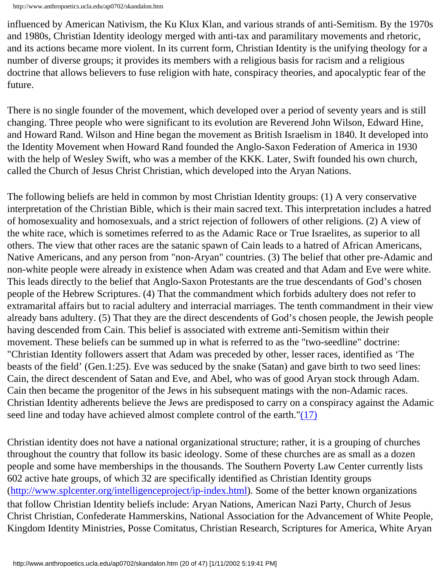influenced by American Nativism, the Ku Klux Klan, and various strands of anti-Semitism. By the 1970s and 1980s, Christian Identity ideology merged with anti-tax and paramilitary movements and rhetoric, and its actions became more violent. In its current form, Christian Identity is the unifying theology for a number of diverse groups; it provides its members with a religious basis for racism and a religious doctrine that allows believers to fuse religion with hate, conspiracy theories, and apocalyptic fear of the future.

There is no single founder of the movement, which developed over a period of seventy years and is still changing. Three people who were significant to its evolution are Reverend John Wilson, Edward Hine, and Howard Rand. Wilson and Hine began the movement as British Israelism in 1840. It developed into the Identity Movement when Howard Rand founded the Anglo-Saxon Federation of America in 1930 with the help of Wesley Swift, who was a member of the KKK. Later, Swift founded his own church, called the Church of Jesus Christ Christian, which developed into the Aryan Nations.

The following beliefs are held in common by most Christian Identity groups: (1) A very conservative interpretation of the Christian Bible, which is their main sacred text. This interpretation includes a hatred of homosexuality and homosexuals, and a strict rejection of followers of other religions. (2) A view of the white race, which is sometimes referred to as the Adamic Race or True Israelites, as superior to all others. The view that other races are the satanic spawn of Cain leads to a hatred of African Americans, Native Americans, and any person from "non-Aryan" countries. (3) The belief that other pre-Adamic and non-white people were already in existence when Adam was created and that Adam and Eve were white. This leads directly to the belief that Anglo-Saxon Protestants are the true descendants of God's chosen people of the Hebrew Scriptures. (4) That the commandment which forbids adultery does not refer to extramarital affairs but to racial adultery and interracial marriages. The tenth commandment in their view already bans adultery. (5) That they are the direct descendents of God's chosen people, the Jewish people having descended from Cain. This belief is associated with extreme anti-Semitism within their movement. These beliefs can be summed up in what is referred to as the "two-seedline" doctrine: "Christian Identity followers assert that Adam was preceded by other, lesser races, identified as 'The beasts of the field' (Gen.1:25). Eve was seduced by the snake (Satan) and gave birth to two seed lines: Cain, the direct descendent of Satan and Eve, and Abel, who was of good Aryan stock through Adam. Cain then became the progenitor of the Jews in his subsequent matings with the non-Adamic races. Christian Identity adherents believe the Jews are predisposed to carry on a conspiracy against the Adamic seed line and today have achieved almost complete control of the earth.["\(17\)](#page-83-9)

Christian identity does not have a national organizational structure; rather, it is a grouping of churches throughout the country that follow its basic ideology. Some of these churches are as small as a dozen people and some have memberships in the thousands. The Southern Poverty Law Center currently lists 602 active hate groups, of which 32 are specifically identified as Christian Identity groups (<http://www.splcenter.org/intelligenceproject/ip-index.html>). Some of the better known organizations that follow Christian Identity beliefs include: Aryan Nations, American Nazi Party, Church of Jesus Christ Christian, Confederate Hammerskins, National Association for the Advancement of White People, Kingdom Identity Ministries, Posse Comitatus, Christian Research, Scriptures for America, White Aryan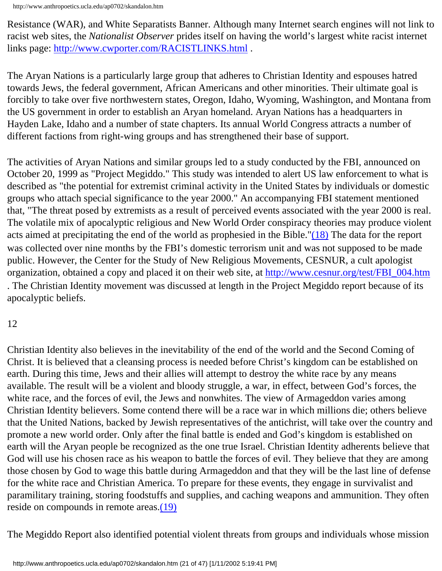http://www.anthropoetics.ucla.edu/ap0702/skandalon.htm

Resistance (WAR), and White Separatists Banner. Although many Internet search engines will not link to racist web sites, the *Nationalist Observer* prides itself on having the world's largest white racist internet links page: <http://www.cwporter.com/RACISTLINKS.html> .

The Aryan Nations is a particularly large group that adheres to Christian Identity and espouses hatred towards Jews, the federal government, African Americans and other minorities. Their ultimate goal is forcibly to take over five northwestern states, Oregon, Idaho, Wyoming, Washington, and Montana from the US government in order to establish an Aryan homeland. Aryan Nations has a headquarters in Hayden Lake, Idaho and a number of state chapters. Its annual World Congress attracts a number of different factions from right-wing groups and has strengthened their base of support.

The activities of Aryan Nations and similar groups led to a study conducted by the FBI, announced on October 20, 1999 as "Project Megiddo." This study was intended to alert US law enforcement to what is described as "the potential for extremist criminal activity in the United States by individuals or domestic groups who attach special significance to the year 2000." An accompanying FBI statement mentioned that, "The threat posed by extremists as a result of perceived events associated with the year 2000 is real. The volatile mix of apocalyptic religious and New World Order conspiracy theories may produce violent acts aimed at precipitating the end of the world as prophesied in the Bible."[\(18\)](#page-83-10) The data for the report was collected over nine months by the FBI's domestic terrorism unit and was not supposed to be made public. However, the Center for the Study of New Religious Movements, CESNUR, a cult apologist organization, obtained a copy and placed it on their web site, at [http://www.cesnur.org/test/FBI\\_004.htm](http://www.cesnur.org/test/FBI_004.htm) . The Christian Identity movement was discussed at length in the Project Megiddo report because of its apocalyptic beliefs.

#### 12

Christian Identity also believes in the inevitability of the end of the world and the Second Coming of Christ. It is believed that a cleansing process is needed before Christ's kingdom can be established on earth. During this time, Jews and their allies will attempt to destroy the white race by any means available. The result will be a violent and bloody struggle, a war, in effect, between God's forces, the white race, and the forces of evil, the Jews and nonwhites. The view of Armageddon varies among Christian Identity believers. Some contend there will be a race war in which millions die; others believe that the United Nations, backed by Jewish representatives of the antichrist, will take over the country and promote a new world order. Only after the final battle is ended and God's kingdom is established on earth will the Aryan people be recognized as the one true Israel. Christian Identity adherents believe that God will use his chosen race as his weapon to battle the forces of evil. They believe that they are among those chosen by God to wage this battle during Armageddon and that they will be the last line of defense for the white race and Christian America. To prepare for these events, they engage in survivalist and paramilitary training, storing foodstuffs and supplies, and caching weapons and ammunition. They often reside on compounds in remote areas.[\(19\)](#page-83-11)

The Megiddo Report also identified potential violent threats from groups and individuals whose mission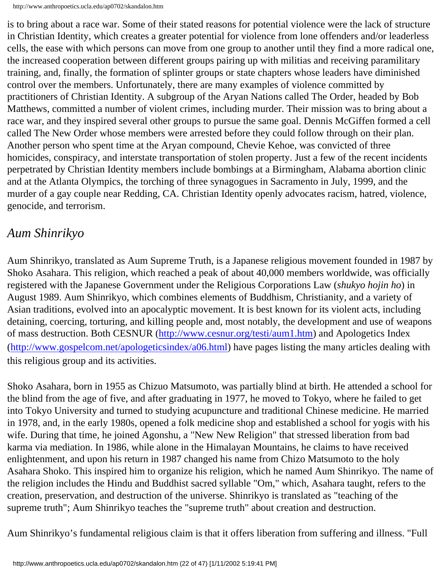is to bring about a race war. Some of their stated reasons for potential violence were the lack of structure in Christian Identity, which creates a greater potential for violence from lone offenders and/or leaderless cells, the ease with which persons can move from one group to another until they find a more radical one, the increased cooperation between different groups pairing up with militias and receiving paramilitary training, and, finally, the formation of splinter groups or state chapters whose leaders have diminished control over the members. Unfortunately, there are many examples of violence committed by practitioners of Christian Identity. A subgroup of the Aryan Nations called The Order, headed by Bob Matthews, committed a number of violent crimes, including murder. Their mission was to bring about a race war, and they inspired several other groups to pursue the same goal. Dennis McGiffen formed a cell called The New Order whose members were arrested before they could follow through on their plan. Another person who spent time at the Aryan compound, Chevie Kehoe, was convicted of three homicides, conspiracy, and interstate transportation of stolen property. Just a few of the recent incidents perpetrated by Christian Identity members include bombings at a Birmingham, Alabama abortion clinic and at the Atlanta Olympics, the torching of three synagogues in Sacramento in July, 1999, and the murder of a gay couple near Redding, CA. Christian Identity openly advocates racism, hatred, violence, genocide, and terrorism.

#### *Aum Shinrikyo*

Aum Shinrikyo, translated as Aum Supreme Truth, is a Japanese religious movement founded in 1987 by Shoko Asahara. This religion, which reached a peak of about 40,000 members worldwide, was officially registered with the Japanese Government under the Religious Corporations Law (*shukyo hojin ho*) in August 1989. Aum Shinrikyo, which combines elements of Buddhism, Christianity, and a variety of Asian traditions, evolved into an apocalyptic movement. It is best known for its violent acts, including detaining, coercing, torturing, and killing people and, most notably, the development and use of weapons of mass destruction. Both CESNUR ([http://www.cesnur.org/testi/aum1.htm\)](http://www.cesnur.org/testi/aum1.htm) and Apologetics Index (<http://www.gospelcom.net/apologeticsindex/a06.html>) have pages listing the many articles dealing with this religious group and its activities.

Shoko Asahara, born in 1955 as Chizuo Matsumoto, was partially blind at birth. He attended a school for the blind from the age of five, and after graduating in 1977, he moved to Tokyo, where he failed to get into Tokyo University and turned to studying acupuncture and traditional Chinese medicine. He married in 1978, and, in the early 1980s, opened a folk medicine shop and established a school for yogis with his wife. During that time, he joined Agonshu, a "New New Religion" that stressed liberation from bad karma via mediation. In 1986, while alone in the Himalayan Mountains, he claims to have received enlightenment, and upon his return in 1987 changed his name from Chizo Matsumoto to the holy Asahara Shoko. This inspired him to organize his religion, which he named Aum Shinrikyo. The name of the religion includes the Hindu and Buddhist sacred syllable "Om," which, Asahara taught, refers to the creation, preservation, and destruction of the universe. Shinrikyo is translated as "teaching of the supreme truth"; Aum Shinrikyo teaches the "supreme truth" about creation and destruction.

Aum Shinrikyo's fundamental religious claim is that it offers liberation from suffering and illness. "Full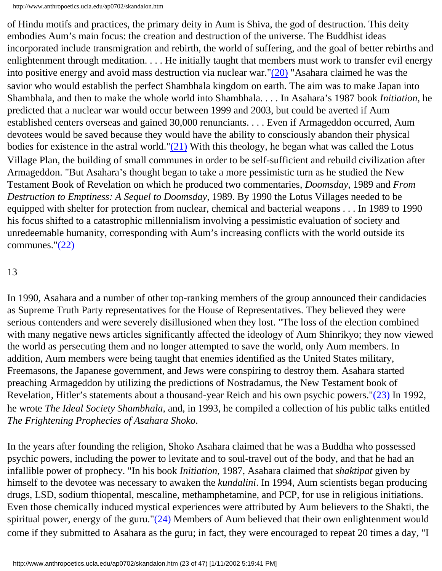```
http://www.anthropoetics.ucla.edu/ap0702/skandalon.htm
```
of Hindu motifs and practices, the primary deity in Aum is Shiva, the god of destruction. This deity embodies Aum's main focus: the creation and destruction of the universe. The Buddhist ideas incorporated include transmigration and rebirth, the world of suffering, and the goal of better rebirths and enlightenment through meditation. . . . He initially taught that members must work to transfer evil energy into positive energy and avoid mass destruction via nuclear war." $(20)$  "Asahara claimed he was the savior who would establish the perfect Shambhala kingdom on earth. The aim was to make Japan into Shambhala, and then to make the whole world into Shambhala. . . . In Asahara's 1987 book *Initiation*, he predicted that a nuclear war would occur between 1999 and 2003, but could be averted if Aum established centers overseas and gained 30,000 renunciants. . . . Even if Armageddon occurred, Aum devotees would be saved because they would have the ability to consciously abandon their physical bodies for existence in the astral world." $(21)$  With this theology, he began what was called the Lotus Village Plan, the building of small communes in order to be self-sufficient and rebuild civilization after Armageddon. "But Asahara's thought began to take a more pessimistic turn as he studied the New Testament Book of Revelation on which he produced two commentaries, *Doomsday*, 1989 and *From Destruction to Emptiness: A Sequel to Doomsday*, 1989. By 1990 the Lotus Villages needed to be equipped with shelter for protection from nuclear, chemical and bacterial weapons . . . In 1989 to 1990 his focus shifted to a catastrophic millennialism involving a pessimistic evaluation of society and unredeemable humanity, corresponding with Aum's increasing conflicts with the world outside its communes." $(22)$ 

#### 13

In 1990, Asahara and a number of other top-ranking members of the group announced their candidacies as Supreme Truth Party representatives for the House of Representatives. They believed they were serious contenders and were severely disillusioned when they lost. "The loss of the election combined with many negative news articles significantly affected the ideology of Aum Shinrikyo; they now viewed the world as persecuting them and no longer attempted to save the world, only Aum members. In addition, Aum members were being taught that enemies identified as the United States military, Freemasons, the Japanese government, and Jews were conspiring to destroy them. Asahara started preaching Armageddon by utilizing the predictions of Nostradamus, the New Testament book of Revelation, Hitler's statements about a thousand-year Reich and his own psychic powers."[\(23\)](#page-83-15) In 1992, he wrote *The Ideal Society Shambhala*, and, in 1993, he compiled a collection of his public talks entitled *The Frightening Prophecies of Asahara Shoko*.

In the years after founding the religion, Shoko Asahara claimed that he was a Buddha who possessed psychic powers, including the power to levitate and to soul-travel out of the body, and that he had an infallible power of prophecy. "In his book *Initiation*, 1987, Asahara claimed that *shaktipat* given by himself to the devotee was necessary to awaken the *kundalini*. In 1994, Aum scientists began producing drugs, LSD, sodium thiopental, mescaline, methamphetamine, and PCP, for use in religious initiations. Even those chemically induced mystical experiences were attributed by Aum believers to the Shakti, the spiritual power, energy of the guru." $(24)$  Members of Aum believed that their own enlightenment would come if they submitted to Asahara as the guru; in fact, they were encouraged to repeat 20 times a day, "I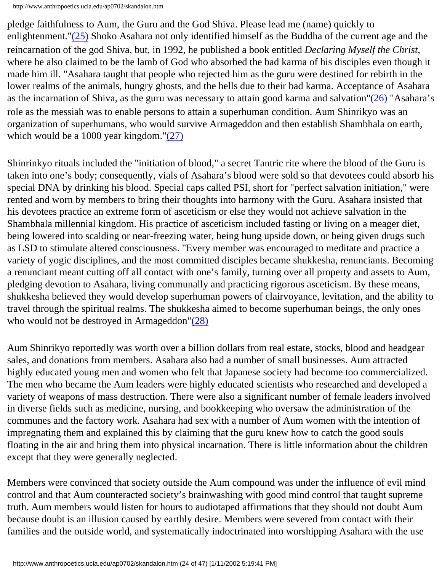```
http://www.anthropoetics.ucla.edu/ap0702/skandalon.htm
```
pledge faithfulness to Aum, the Guru and the God Shiva. Please lead me (name) quickly to enlightenment.["\(25\)](#page-84-1) Shoko Asahara not only identified himself as the Buddha of the current age and the reincarnation of the god Shiva, but, in 1992, he published a book entitled *Declaring Myself the Christ*, where he also claimed to be the lamb of God who absorbed the bad karma of his disciples even though it made him ill. "Asahara taught that people who rejected him as the guru were destined for rebirth in the lower realms of the animals, hungry ghosts, and the hells due to their bad karma. Acceptance of Asahara as the incarnation of Shiva, as the guru was necessary to attain good karma and salvation["\(26\)](#page-84-2) "Asahara's role as the messiah was to enable persons to attain a superhuman condition. Aum Shinrikyo was an organization of superhumans, who would survive Armageddon and then establish Shambhala on earth, which would be a 1000 year kingdom."[\(27\)](#page-84-3)

Shinrinkyo rituals included the "initiation of blood," a secret Tantric rite where the blood of the Guru is taken into one's body; consequently, vials of Asahara's blood were sold so that devotees could absorb his special DNA by drinking his blood. Special caps called PSI, short for "perfect salvation initiation," were rented and worn by members to bring their thoughts into harmony with the Guru. Asahara insisted that his devotees practice an extreme form of asceticism or else they would not achieve salvation in the Shambhala millennial kingdom. His practice of asceticism included fasting or living on a meager diet, being lowered into scalding or near-freezing water, being hung upside down, or being given drugs such as LSD to stimulate altered consciousness. "Every member was encouraged to meditate and practice a variety of yogic disciplines, and the most committed disciples became shukkesha, renunciants. Becoming a renunciant meant cutting off all contact with one's family, turning over all property and assets to Aum, pledging devotion to Asahara, living communally and practicing rigorous asceticism. By these means, shukkesha believed they would develop superhuman powers of clairvoyance, levitation, and the ability to travel through the spiritual realms. The shukkesha aimed to become superhuman beings, the only ones who would not be destroyed in Armageddon["\(28\)](#page-84-4)

Aum Shinrikyo reportedly was worth over a billion dollars from real estate, stocks, blood and headgear sales, and donations from members. Asahara also had a number of small businesses. Aum attracted highly educated young men and women who felt that Japanese society had become too commercialized. The men who became the Aum leaders were highly educated scientists who researched and developed a variety of weapons of mass destruction. There were also a significant number of female leaders involved in diverse fields such as medicine, nursing, and bookkeeping who oversaw the administration of the communes and the factory work. Asahara had sex with a number of Aum women with the intention of impregnating them and explained this by claiming that the guru knew how to catch the good souls floating in the air and bring them into physical incarnation. There is little information about the children except that they were generally neglected.

Members were convinced that society outside the Aum compound was under the influence of evil mind control and that Aum counteracted society's brainwashing with good mind control that taught supreme truth. Aum members would listen for hours to audiotaped affirmations that they should not doubt Aum because doubt is an illusion caused by earthly desire. Members were severed from contact with their families and the outside world, and systematically indoctrinated into worshipping Asahara with the use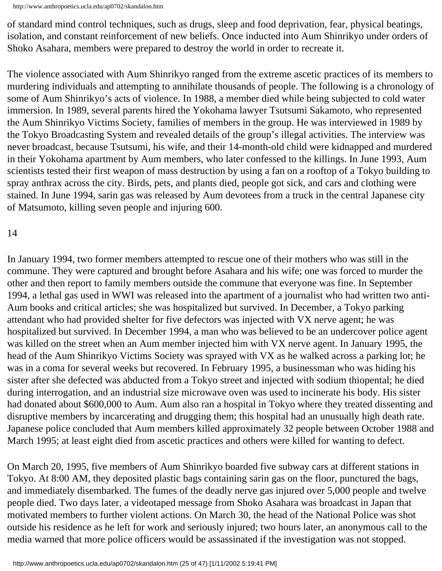http://www.anthropoetics.ucla.edu/ap0702/skandalon.htm

of standard mind control techniques, such as drugs, sleep and food deprivation, fear, physical beatings, isolation, and constant reinforcement of new beliefs. Once inducted into Aum Shinrikyo under orders of Shoko Asahara, members were prepared to destroy the world in order to recreate it.

The violence associated with Aum Shinrikyo ranged from the extreme ascetic practices of its members to murdering individuals and attempting to annihilate thousands of people. The following is a chronology of some of Aum Shinrikyo's acts of violence. In 1988, a member died while being subjected to cold water immersion. In 1989, several parents hired the Yokohama lawyer Tsutsumi Sakamoto, who represented the Aum Shinrikyo Victims Society, families of members in the group. He was interviewed in 1989 by the Tokyo Broadcasting System and revealed details of the group's illegal activities. The interview was never broadcast, because Tsutsumi, his wife, and their 14-month-old child were kidnapped and murdered in their Yokohama apartment by Aum members, who later confessed to the killings. In June 1993, Aum scientists tested their first weapon of mass destruction by using a fan on a rooftop of a Tokyo building to spray anthrax across the city. Birds, pets, and plants died, people got sick, and cars and clothing were stained. In June 1994, sarin gas was released by Aum devotees from a truck in the central Japanese city of Matsumoto, killing seven people and injuring 600.

#### 14

In January 1994, two former members attempted to rescue one of their mothers who was still in the commune. They were captured and brought before Asahara and his wife; one was forced to murder the other and then report to family members outside the commune that everyone was fine. In September 1994, a lethal gas used in WWI was released into the apartment of a journalist who had written two anti-Aum books and critical articles; she was hospitalized but survived. In December, a Tokyo parking attendant who had provided shelter for five defectors was injected with VX nerve agent; he was hospitalized but survived. In December 1994, a man who was believed to be an undercover police agent was killed on the street when an Aum member injected him with VX nerve agent. In January 1995, the head of the Aum Shinrikyo Victims Society was sprayed with VX as he walked across a parking lot; he was in a coma for several weeks but recovered. In February 1995, a businessman who was hiding his sister after she defected was abducted from a Tokyo street and injected with sodium thiopental; he died during interrogation, and an industrial size microwave oven was used to incinerate his body. His sister had donated about \$600,000 to Aum. Aum also ran a hospital in Tokyo where they treated dissenting and disruptive members by incarcerating and drugging them; this hospital had an unusually high death rate. Japanese police concluded that Aum members killed approximately 32 people between October 1988 and March 1995; at least eight died from ascetic practices and others were killed for wanting to defect.

On March 20, 1995, five members of Aum Shinrikyo boarded five subway cars at different stations in Tokyo. At 8:00 AM, they deposited plastic bags containing sarin gas on the floor, punctured the bags, and immediately disembarked. The fumes of the deadly nerve gas injured over 5,000 people and twelve people died. Two days later, a videotaped message from Shoko Asahara was broadcast in Japan that motivated members to further violent actions. On March 30, the head of the National Police was shot outside his residence as he left for work and seriously injured; two hours later, an anonymous call to the media warned that more police officers would be assassinated if the investigation was not stopped.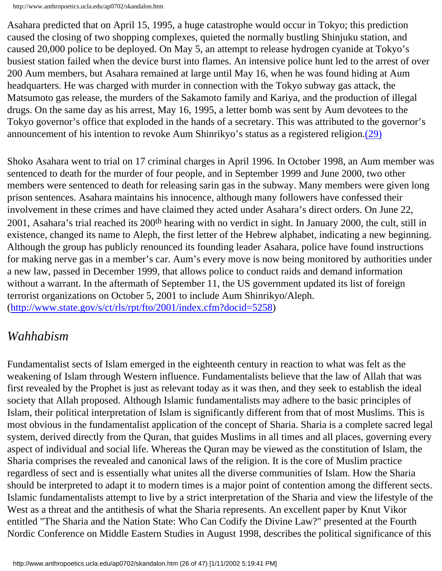```
http://www.anthropoetics.ucla.edu/ap0702/skandalon.htm
```
Asahara predicted that on April 15, 1995, a huge catastrophe would occur in Tokyo; this prediction caused the closing of two shopping complexes, quieted the normally bustling Shinjuku station, and caused 20,000 police to be deployed. On May 5, an attempt to release hydrogen cyanide at Tokyo's busiest station failed when the device burst into flames. An intensive police hunt led to the arrest of over 200 Aum members, but Asahara remained at large until May 16, when he was found hiding at Aum headquarters. He was charged with murder in connection with the Tokyo subway gas attack, the Matsumoto gas release, the murders of the Sakamoto family and Kariya, and the production of illegal drugs. On the same day as his arrest, May 16, 1995, a letter bomb was sent by Aum devotees to the Tokyo governor's office that exploded in the hands of a secretary. This was attributed to the governor's announcement of his intention to revoke Aum Shinrikyo's status as a registered religion.[\(29\)](#page-84-5)

Shoko Asahara went to trial on 17 criminal charges in April 1996. In October 1998, an Aum member was sentenced to death for the murder of four people, and in September 1999 and June 2000, two other members were sentenced to death for releasing sarin gas in the subway. Many members were given long prison sentences. Asahara maintains his innocence, although many followers have confessed their involvement in these crimes and have claimed they acted under Asahara's direct orders. On June 22, 2001, Asahara's trial reached its 200th hearing with no verdict in sight. In January 2000, the cult, still in existence, changed its name to Aleph, the first letter of the Hebrew alphabet, indicating a new beginning. Although the group has publicly renounced its founding leader Asahara, police have found instructions for making nerve gas in a member's car. Aum's every move is now being monitored by authorities under a new law, passed in December 1999, that allows police to conduct raids and demand information without a warrant. In the aftermath of September 11, the US government updated its list of foreign terrorist organizations on October 5, 2001 to include Aum Shinrikyo/Aleph. ([http://www.state.gov/s/ct/rls/rpt/fto/2001/index.cfm?docid=5258\)](http://www.state.gov/s/ct/rls/rpt/fto/2001/index.cfm?docid=5258)

### *Wahhabism*

Fundamentalist sects of Islam emerged in the eighteenth century in reaction to what was felt as the weakening of Islam through Western influence. Fundamentalists believe that the law of Allah that was first revealed by the Prophet is just as relevant today as it was then, and they seek to establish the ideal society that Allah proposed. Although Islamic fundamentalists may adhere to the basic principles of Islam, their political interpretation of Islam is significantly different from that of most Muslims. This is most obvious in the fundamentalist application of the concept of Sharia. Sharia is a complete sacred legal system, derived directly from the Quran, that guides Muslims in all times and all places, governing every aspect of individual and social life. Whereas the Quran may be viewed as the constitution of Islam, the Sharia comprises the revealed and canonical laws of the religion. It is the core of Muslim practice regardless of sect and is essentially what unites all the diverse communities of Islam. How the Sharia should be interpreted to adapt it to modern times is a major point of contention among the different sects. Islamic fundamentalists attempt to live by a strict interpretation of the Sharia and view the lifestyle of the West as a threat and the antithesis of what the Sharia represents. An excellent paper by Knut Vikor entitled "The Sharia and the Nation State: Who Can Codify the Divine Law?" presented at the Fourth Nordic Conference on Middle Eastern Studies in August 1998, describes the political significance of this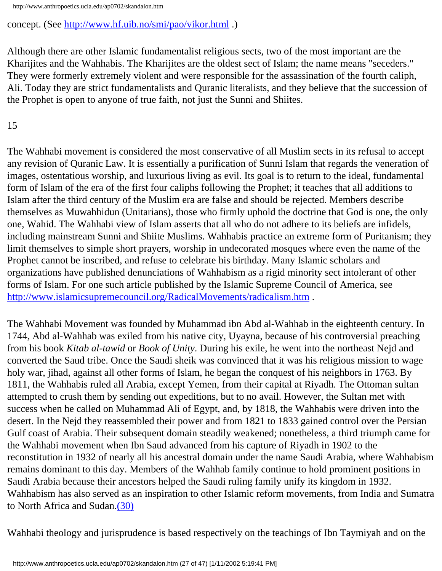http://www.anthropoetics.ucla.edu/ap0702/skandalon.htm

concept. (See <http://www.hf.uib.no/smi/pao/vikor.html>.)

Although there are other Islamic fundamentalist religious sects, two of the most important are the Kharijites and the Wahhabis. The Kharijites are the oldest sect of Islam; the name means "seceders." They were formerly extremely violent and were responsible for the assassination of the fourth caliph, Ali. Today they are strict fundamentalists and Quranic literalists, and they believe that the succession of the Prophet is open to anyone of true faith, not just the Sunni and Shiites.

#### 15

The Wahhabi movement is considered the most conservative of all Muslim sects in its refusal to accept any revision of Quranic Law. It is essentially a purification of Sunni Islam that regards the veneration of images, ostentatious worship, and luxurious living as evil. Its goal is to return to the ideal, fundamental form of Islam of the era of the first four caliphs following the Prophet; it teaches that all additions to Islam after the third century of the Muslim era are false and should be rejected. Members describe themselves as Muwahhidun (Unitarians), those who firmly uphold the doctrine that God is one, the only one, Wahid. The Wahhabi view of Islam asserts that all who do not adhere to its beliefs are infidels, including mainstream Sunni and Shiite Muslims. Wahhabis practice an extreme form of Puritanism; they limit themselves to simple short prayers, worship in undecorated mosques where even the name of the Prophet cannot be inscribed, and refuse to celebrate his birthday. Many Islamic scholars and organizations have published denunciations of Wahhabism as a rigid minority sect intolerant of other forms of Islam. For one such article published by the Islamic Supreme Council of America, see <http://www.islamicsupremecouncil.org/RadicalMovements/radicalism.htm>.

The Wahhabi Movement was founded by Muhammad ibn Abd al-Wahhab in the eighteenth century. In 1744, Abd al-Wahhab was exiled from his native city, Uyayna, because of his controversial preaching from his book *Kitab al-tawid* or *Book of Unity*. During his exile, he went into the northeast Nejd and converted the Saud tribe. Once the Saudi sheik was convinced that it was his religious mission to wage holy war, jihad, against all other forms of Islam, he began the conquest of his neighbors in 1763. By 1811, the Wahhabis ruled all Arabia, except Yemen, from their capital at Riyadh. The Ottoman sultan attempted to crush them by sending out expeditions, but to no avail. However, the Sultan met with success when he called on Muhammad Ali of Egypt, and, by 1818, the Wahhabis were driven into the desert. In the Nejd they reassembled their power and from 1821 to 1833 gained control over the Persian Gulf coast of Arabia. Their subsequent domain steadily weakened; nonetheless, a third triumph came for the Wahhabi movement when Ibn Saud advanced from his capture of Riyadh in 1902 to the reconstitution in 1932 of nearly all his ancestral domain under the name Saudi Arabia, where Wahhabism remains dominant to this day. Members of the Wahhab family continue to hold prominent positions in Saudi Arabia because their ancestors helped the Saudi ruling family unify its kingdom in 1932. Wahhabism has also served as an inspiration to other Islamic reform movements, from India and Sumatra to North Africa and Sudan[.\(30\)](#page-84-6)

Wahhabi theology and jurisprudence is based respectively on the teachings of Ibn Taymiyah and on the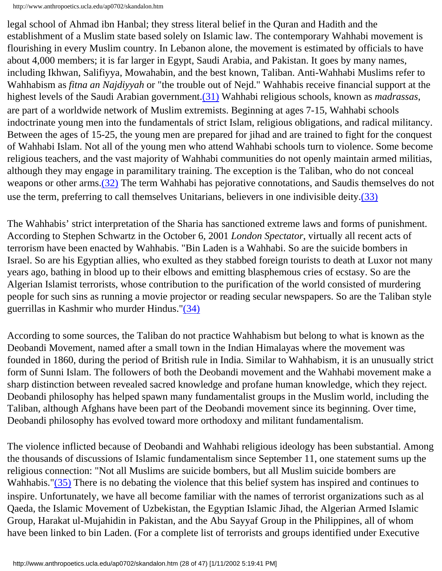```
http://www.anthropoetics.ucla.edu/ap0702/skandalon.htm
```
legal school of Ahmad ibn Hanbal; they stress literal belief in the Quran and Hadith and the establishment of a Muslim state based solely on Islamic law. The contemporary Wahhabi movement is flourishing in every Muslim country. In Lebanon alone, the movement is estimated by officials to have about 4,000 members; it is far larger in Egypt, Saudi Arabia, and Pakistan. It goes by many names, including Ikhwan, Salifiyya, Mowahabin, and the best known, Taliban. Anti-Wahhabi Muslims refer to Wahhabism as *fitna an Najdiyyah* or "the trouble out of Nejd." Wahhabis receive financial support at the highest levels of the Saudi Arabian government[.\(31\)](#page-84-7) Wahhabi religious schools, known as *madrassas*, are part of a worldwide network of Muslim extremists. Beginning at ages 7-15, Wahhabi schools indoctrinate young men into the fundamentals of strict Islam, religious obligations, and radical militancy. Between the ages of 15-25, the young men are prepared for jihad and are trained to fight for the conquest of Wahhabi Islam. Not all of the young men who attend Wahhabi schools turn to violence. Some become religious teachers, and the vast majority of Wahhabi communities do not openly maintain armed militias, although they may engage in paramilitary training. The exception is the Taliban, who do not conceal weapons or other arms.[\(32\)](#page-84-8) The term Wahhabi has pejorative connotations, and Saudis themselves do not use the term, preferring to call themselves Unitarians, believers in one indivisible deity[.\(33\)](#page-84-9)

The Wahhabis' strict interpretation of the Sharia has sanctioned extreme laws and forms of punishment. According to Stephen Schwartz in the October 6, 2001 *London Spectator*, virtually all recent acts of terrorism have been enacted by Wahhabis. "Bin Laden is a Wahhabi. So are the suicide bombers in Israel. So are his Egyptian allies, who exulted as they stabbed foreign tourists to death at Luxor not many years ago, bathing in blood up to their elbows and emitting blasphemous cries of ecstasy. So are the Algerian Islamist terrorists, whose contribution to the purification of the world consisted of murdering people for such sins as running a movie projector or reading secular newspapers. So are the Taliban style guerrillas in Kashmir who murder Hindus."[\(34\)](#page-84-10)

According to some sources, the Taliban do not practice Wahhabism but belong to what is known as the Deobandi Movement, named after a small town in the Indian Himalayas where the movement was founded in 1860, during the period of British rule in India. Similar to Wahhabism, it is an unusually strict form of Sunni Islam. The followers of both the Deobandi movement and the Wahhabi movement make a sharp distinction between revealed sacred knowledge and profane human knowledge, which they reject. Deobandi philosophy has helped spawn many fundamentalist groups in the Muslim world, including the Taliban, although Afghans have been part of the Deobandi movement since its beginning. Over time, Deobandi philosophy has evolved toward more orthodoxy and militant fundamentalism.

The violence inflicted because of Deobandi and Wahhabi religious ideology has been substantial. Among the thousands of discussions of Islamic fundamentalism since September 11, one statement sums up the religious connection: "Not all Muslims are suicide bombers, but all Muslim suicide bombers are Wahhabis.["\(35\)](#page-84-11) There is no debating the violence that this belief system has inspired and continues to inspire. Unfortunately, we have all become familiar with the names of terrorist organizations such as al Qaeda, the Islamic Movement of Uzbekistan, the Egyptian Islamic Jihad, the Algerian Armed Islamic Group, Harakat ul-Mujahidin in Pakistan, and the Abu Sayyaf Group in the Philippines, all of whom have been linked to bin Laden. (For a complete list of terrorists and groups identified under Executive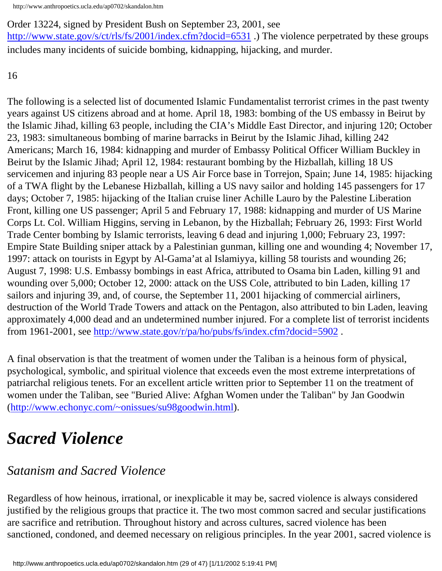http://www.anthropoetics.ucla.edu/ap0702/skandalon.htm

Order 13224, signed by President Bush on September 23, 2001, see <http://www.state.gov/s/ct/rls/fs/2001/index.cfm?docid=6531>. The violence perpetrated by these groups includes many incidents of suicide bombing, kidnapping, hijacking, and murder.

#### 16

The following is a selected list of documented Islamic Fundamentalist terrorist crimes in the past twenty years against US citizens abroad and at home. April 18, 1983: bombing of the US embassy in Beirut by the Islamic Jihad, killing 63 people, including the CIA's Middle East Director, and injuring 120; October 23, 1983: simultaneous bombing of marine barracks in Beirut by the Islamic Jihad, killing 242 Americans; March 16, 1984: kidnapping and murder of Embassy Political Officer William Buckley in Beirut by the Islamic Jihad; April 12, 1984: restaurant bombing by the Hizballah, killing 18 US servicemen and injuring 83 people near a US Air Force base in Torrejon, Spain; June 14, 1985: hijacking of a TWA flight by the Lebanese Hizballah, killing a US navy sailor and holding 145 passengers for 17 days; October 7, 1985: hijacking of the Italian cruise liner Achille Lauro by the Palestine Liberation Front, killing one US passenger; April 5 and February 17, 1988: kidnapping and murder of US Marine Corps Lt. Col. William Higgins, serving in Lebanon, by the Hizballah; February 26, 1993: First World Trade Center bombing by Islamic terrorists, leaving 6 dead and injuring 1,000; February 23, 1997: Empire State Building sniper attack by a Palestinian gunman, killing one and wounding 4; November 17, 1997: attack on tourists in Egypt by Al-Gama'at al Islamiyya, killing 58 tourists and wounding 26; August 7, 1998: U.S. Embassy bombings in east Africa, attributed to Osama bin Laden, killing 91 and wounding over 5,000; October 12, 2000: attack on the USS Cole, attributed to bin Laden, killing 17 sailors and injuring 39, and, of course, the September 11, 2001 hijacking of commercial airliners, destruction of the World Trade Towers and attack on the Pentagon, also attributed to bin Laden, leaving approximately 4,000 dead and an undetermined number injured. For a complete list of terrorist incidents from 1961-2001, see http://www.state.gov/r/pa/ho/pubs/fs/index.cfm?docid=5902.

A final observation is that the treatment of women under the Taliban is a heinous form of physical, psychological, symbolic, and spiritual violence that exceeds even the most extreme interpretations of patriarchal religious tenets. For an excellent article written prior to September 11 on the treatment of women under the Taliban, see "Buried Alive: Afghan Women under the Taliban" by Jan Goodwin ([http://www.echonyc.com/~onissues/su98goodwin.html\)](http://www.echonyc.com/%7Eonissues/su98goodwin.html).

## *Sacred Violence*

### *Satanism and Sacred Violence*

Regardless of how heinous, irrational, or inexplicable it may be, sacred violence is always considered justified by the religious groups that practice it. The two most common sacred and secular justifications are sacrifice and retribution. Throughout history and across cultures, sacred violence has been sanctioned, condoned, and deemed necessary on religious principles. In the year 2001, sacred violence is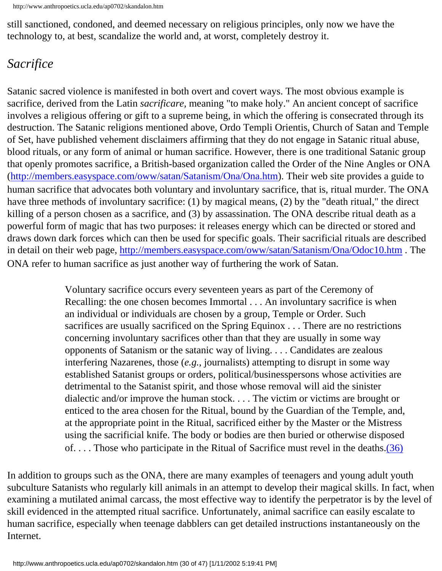still sanctioned, condoned, and deemed necessary on religious principles, only now we have the technology to, at best, scandalize the world and, at worst, completely destroy it.

## *Sacrifice*

Satanic sacred violence is manifested in both overt and covert ways. The most obvious example is sacrifice, derived from the Latin *sacrificare,* meaning "to make holy." An ancient concept of sacrifice involves a religious offering or gift to a supreme being, in which the offering is consecrated through its destruction. The Satanic religions mentioned above, Ordo Templi Orientis, Church of Satan and Temple of Set, have published vehement disclaimers affirming that they do not engage in Satanic ritual abuse, blood rituals, or any form of animal or human sacrifice. However, there is one traditional Satanic group that openly promotes sacrifice, a British-based organization called the Order of the Nine Angles or ONA (<http://members.easyspace.com/oww/satan/Satanism/Ona/Ona.htm>). Their web site provides a guide to human sacrifice that advocates both voluntary and involuntary sacrifice, that is, ritual murder. The ONA have three methods of involuntary sacrifice: (1) by magical means, (2) by the "death ritual," the direct killing of a person chosen as a sacrifice, and (3) by assassination. The ONA describe ritual death as a powerful form of magic that has two purposes: it releases energy which can be directed or stored and draws down dark forces which can then be used for specific goals. Their sacrificial rituals are described in detail on their web page, <http://members.easyspace.com/oww/satan/Satanism/Ona/Odoc10.htm> . The ONA refer to human sacrifice as just another way of furthering the work of Satan.

> Voluntary sacrifice occurs every seventeen years as part of the Ceremony of Recalling: the one chosen becomes Immortal . . . An involuntary sacrifice is when an individual or individuals are chosen by a group, Temple or Order. Such sacrifices are usually sacrificed on the Spring Equinox . . . There are no restrictions concerning involuntary sacrifices other than that they are usually in some way opponents of Satanism or the satanic way of living. . . . Candidates are zealous interfering Nazarenes, those (*e.g.*, journalists) attempting to disrupt in some way established Satanist groups or orders, political/businesspersons whose activities are detrimental to the Satanist spirit, and those whose removal will aid the sinister dialectic and/or improve the human stock. . . . The victim or victims are brought or enticed to the area chosen for the Ritual, bound by the Guardian of the Temple, and, at the appropriate point in the Ritual, sacrificed either by the Master or the Mistress using the sacrificial knife. The body or bodies are then buried or otherwise disposed of.... Those who participate in the Ritual of Sacrifice must revel in the deaths. $(36)$

In addition to groups such as the ONA, there are many examples of teenagers and young adult youth subculture Satanists who regularly kill animals in an attempt to develop their magical skills. In fact, when examining a mutilated animal carcass, the most effective way to identify the perpetrator is by the level of skill evidenced in the attempted ritual sacrifice. Unfortunately, animal sacrifice can easily escalate to human sacrifice, especially when teenage dabblers can get detailed instructions instantaneously on the Internet.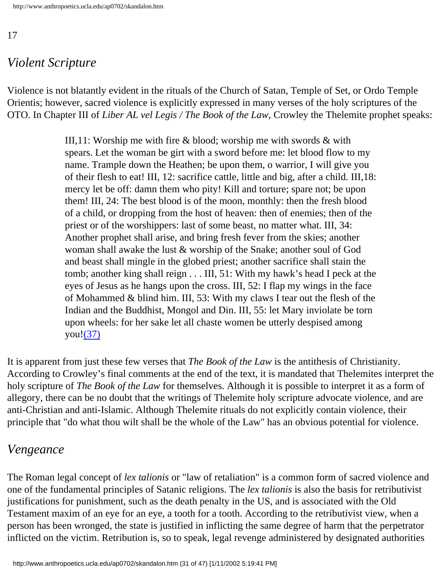#### 17

#### *Violent Scripture*

Violence is not blatantly evident in the rituals of the Church of Satan, Temple of Set, or Ordo Temple Orientis; however, sacred violence is explicitly expressed in many verses of the holy scriptures of the OTO. In Chapter III of *Liber AL vel Legis / The Book of the Law*, Crowley the Thelemite prophet speaks:

> III,11: Worship me with fire  $\&$  blood; worship me with swords  $\&$  with spears. Let the woman be girt with a sword before me: let blood flow to my name. Trample down the Heathen; be upon them, o warrior, I will give you of their flesh to eat! III, 12: sacrifice cattle, little and big, after a child. III,18: mercy let be off: damn them who pity! Kill and torture; spare not; be upon them! III, 24: The best blood is of the moon, monthly: then the fresh blood of a child, or dropping from the host of heaven: then of enemies; then of the priest or of the worshippers: last of some beast, no matter what. III, 34: Another prophet shall arise, and bring fresh fever from the skies; another woman shall awake the lust & worship of the Snake; another soul of God and beast shall mingle in the globed priest; another sacrifice shall stain the tomb; another king shall reign . . . III, 51: With my hawk's head I peck at the eyes of Jesus as he hangs upon the cross. III, 52: I flap my wings in the face of Mohammed & blind him. III, 53: With my claws I tear out the flesh of the Indian and the Buddhist, Mongol and Din. III, 55: let Mary inviolate be torn upon wheels: for her sake let all chaste women be utterly despised among you![\(37\)](#page-84-13)

It is apparent from just these few verses that *The Book of the Law* is the antithesis of Christianity. According to Crowley's final comments at the end of the text, it is mandated that Thelemites interpret the holy scripture of *The Book of the Law* for themselves. Although it is possible to interpret it as a form of allegory, there can be no doubt that the writings of Thelemite holy scripture advocate violence, and are anti-Christian and anti-Islamic. Although Thelemite rituals do not explicitly contain violence, their principle that "do what thou wilt shall be the whole of the Law" has an obvious potential for violence.

#### *Vengeance*

The Roman legal concept of *lex talionis* or "law of retaliation" is a common form of sacred violence and one of the fundamental principles of Satanic religions. The *lex talionis* is also the basis for retributivist justifications for punishment, such as the death penalty in the US, and is associated with the Old Testament maxim of an eye for an eye, a tooth for a tooth. According to the retributivist view, when a person has been wronged, the state is justified in inflicting the same degree of harm that the perpetrator inflicted on the victim. Retribution is, so to speak, legal revenge administered by designated authorities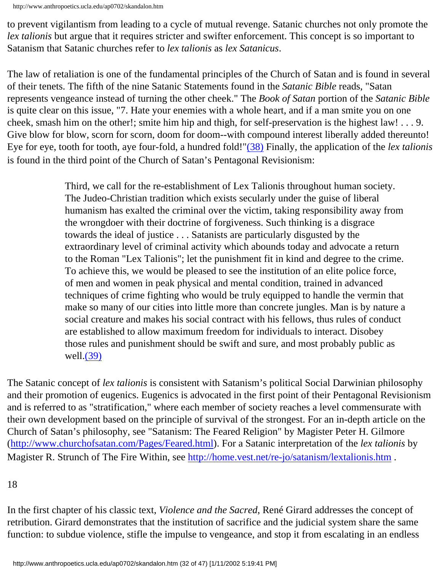http://www.anthropoetics.ucla.edu/ap0702/skandalon.htm

to prevent vigilantism from leading to a cycle of mutual revenge. Satanic churches not only promote the *lex talionis* but argue that it requires stricter and swifter enforcement. This concept is so important to Satanism that Satanic churches refer to *lex talionis* as *lex Satanicus*.

The law of retaliation is one of the fundamental principles of the Church of Satan and is found in several of their tenets. The fifth of the nine Satanic Statements found in the *Satanic Bible* reads, "Satan represents vengeance instead of turning the other cheek." The *Book of Satan* portion of the *Satanic Bible* is quite clear on this issue, "7. Hate your enemies with a whole heart, and if a man smite you on one cheek, smash him on the other!; smite him hip and thigh, for self-preservation is the highest law! . . . 9. Give blow for blow, scorn for scorn, doom for doom--with compound interest liberally added thereunto! Eye for eye, tooth for tooth, aye four-fold, a hundred fold!"[\(38\)](#page-84-14) Finally, the application of the *lex talionis* is found in the third point of the Church of Satan's Pentagonal Revisionism:

> Third, we call for the re-establishment of Lex Talionis throughout human society. The Judeo-Christian tradition which exists secularly under the guise of liberal humanism has exalted the criminal over the victim, taking responsibility away from the wrongdoer with their doctrine of forgiveness. Such thinking is a disgrace towards the ideal of justice . . . Satanists are particularly disgusted by the extraordinary level of criminal activity which abounds today and advocate a return to the Roman "Lex Talionis"; let the punishment fit in kind and degree to the crime. To achieve this, we would be pleased to see the institution of an elite police force, of men and women in peak physical and mental condition, trained in advanced techniques of crime fighting who would be truly equipped to handle the vermin that make so many of our cities into little more than concrete jungles. Man is by nature a social creature and makes his social contract with his fellows, thus rules of conduct are established to allow maximum freedom for individuals to interact. Disobey those rules and punishment should be swift and sure, and most probably public as well.[\(39\)](#page-84-15)

The Satanic concept of *lex talionis* is consistent with Satanism's political Social Darwinian philosophy and their promotion of eugenics. Eugenics is advocated in the first point of their Pentagonal Revisionism and is referred to as "stratification," where each member of society reaches a level commensurate with their own development based on the principle of survival of the strongest. For an in-depth article on the Church of Satan's philosophy, see "Satanism: The Feared Religion" by Magister Peter H. Gilmore ([http://www.churchofsatan.com/Pages/Feared.html\)](http://www.churchofsatan.com/Pages/Feared.html). For a Satanic interpretation of the *lex talionis* by Magister R. Strunch of The Fire Within, see<http://home.vest.net/re-jo/satanism/lextalionis.htm> .

18

In the first chapter of his classic text, *Violence and the Sacred*, René Girard addresses the concept of retribution. Girard demonstrates that the institution of sacrifice and the judicial system share the same function: to subdue violence, stifle the impulse to vengeance, and stop it from escalating in an endless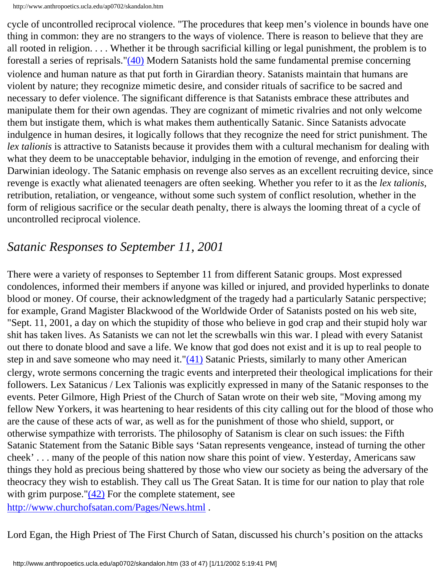<span id="page-72-0"></span>cycle of uncontrolled reciprocal violence. "The procedures that keep men's violence in bounds have one thing in common: they are no strangers to the ways of violence. There is reason to believe that they are all rooted in religion. . . . Whether it be through sacrificial killing or legal punishment, the problem is to forestall a series of reprisals.["\(40\)](#page-84-0) Modern Satanists hold the same fundamental premise concerning violence and human nature as that put forth in Girardian theory. Satanists maintain that humans are violent by nature; they recognize mimetic desire, and consider rituals of sacrifice to be sacred and necessary to defer violence. The significant difference is that Satanists embrace these attributes and manipulate them for their own agendas. They are cognizant of mimetic rivalries and not only welcome them but instigate them, which is what makes them authentically Satanic. Since Satanists advocate indulgence in human desires, it logically follows that they recognize the need for strict punishment. The *lex talionis* is attractive to Satanists because it provides them with a cultural mechanism for dealing with what they deem to be unacceptable behavior, indulging in the emotion of revenge, and enforcing their Darwinian ideology. The Satanic emphasis on revenge also serves as an excellent recruiting device, since revenge is exactly what alienated teenagers are often seeking. Whether you refer to it as the *lex talionis*, retribution, retaliation, or vengeance, without some such system of conflict resolution, whether in the form of religious sacrifice or the secular death penalty, there is always the looming threat of a cycle of uncontrolled reciprocal violence.

# *Satanic Responses to September 11, 2001*

<span id="page-72-1"></span>There were a variety of responses to September 11 from different Satanic groups. Most expressed condolences, informed their members if anyone was killed or injured, and provided hyperlinks to donate blood or money. Of course, their acknowledgment of the tragedy had a particularly Satanic perspective; for example, Grand Magister Blackwood of the Worldwide Order of Satanists posted on his web site, "Sept. 11, 2001, a day on which the stupidity of those who believe in god crap and their stupid holy war shit has taken lives. As Satanists we can not let the screwballs win this war. I plead with every Satanist out there to donate blood and save a life. We know that god does not exist and it is up to real people to step in and save someone who may need it." $(41)$  Satanic Priests, similarly to many other American clergy, wrote sermons concerning the tragic events and interpreted their theological implications for their followers. Lex Satanicus / Lex Talionis was explicitly expressed in many of the Satanic responses to the events. Peter Gilmore, High Priest of the Church of Satan wrote on their web site, "Moving among my fellow New Yorkers, it was heartening to hear residents of this city calling out for the blood of those who are the cause of these acts of war, as well as for the punishment of those who shield, support, or otherwise sympathize with terrorists. The philosophy of Satanism is clear on such issues: the Fifth Satanic Statement from the Satanic Bible says 'Satan represents vengeance, instead of turning the other cheek' . . . many of the people of this nation now share this point of view. Yesterday, Americans saw things they hold as precious being shattered by those who view our society as being the adversary of the theocracy they wish to establish. They call us The Great Satan. It is time for our nation to play that role with grim purpose." $(42)$  For the complete statement, see

<span id="page-72-2"></span><http://www.churchofsatan.com/Pages/News.html>.

Lord Egan, the High Priest of The First Church of Satan, discussed his church's position on the attacks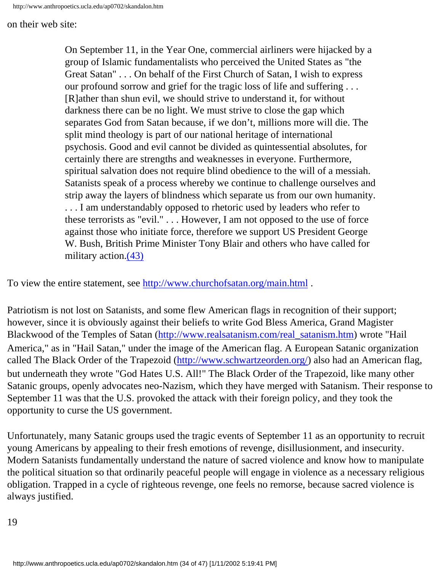#### on their web site:

On September 11, in the Year One, commercial airliners were hijacked by a group of Islamic fundamentalists who perceived the United States as "the Great Satan" . . . On behalf of the First Church of Satan, I wish to express our profound sorrow and grief for the tragic loss of life and suffering . . . [R]ather than shun evil, we should strive to understand it, for without darkness there can be no light. We must strive to close the gap which separates God from Satan because, if we don't, millions more will die. The split mind theology is part of our national heritage of international psychosis. Good and evil cannot be divided as quintessential absolutes, for certainly there are strengths and weaknesses in everyone. Furthermore, spiritual salvation does not require blind obedience to the will of a messiah. Satanists speak of a process whereby we continue to challenge ourselves and strip away the layers of blindness which separate us from our own humanity. ... I am understandably opposed to rhetoric used by leaders who refer to these terrorists as "evil." . . . However, I am not opposed to the use of force against those who initiate force, therefore we support US President George W. Bush, British Prime Minister Tony Blair and others who have called for military action.[\(43\)](#page-85-2)

<span id="page-73-0"></span>To view the entire statement, see <http://www.churchofsatan.org/main.html>.

Patriotism is not lost on Satanists, and some flew American flags in recognition of their support; however, since it is obviously against their beliefs to write God Bless America, Grand Magister Blackwood of the Temples of Satan [\(http://www.realsatanism.com/real\\_satanism.htm](http://www.realsatanism.com/real_satanism.htm)) wrote "Hail America," as in "Hail Satan," under the image of the American flag. A European Satanic organization called The Black Order of the Trapezoid [\(http://www.schwartzeorden.org/](http://www.schwartzeorden.org/)) also had an American flag, but underneath they wrote "God Hates U.S. All!" The Black Order of the Trapezoid, like many other Satanic groups, openly advocates neo-Nazism, which they have merged with Satanism. Their response to September 11 was that the U.S. provoked the attack with their foreign policy, and they took the opportunity to curse the US government.

Unfortunately, many Satanic groups used the tragic events of September 11 as an opportunity to recruit young Americans by appealing to their fresh emotions of revenge, disillusionment, and insecurity. Modern Satanists fundamentally understand the nature of sacred violence and know how to manipulate the political situation so that ordinarily peaceful people will engage in violence as a necessary religious obligation. Trapped in a cycle of righteous revenge, one feels no remorse, because sacred violence is always justified.

19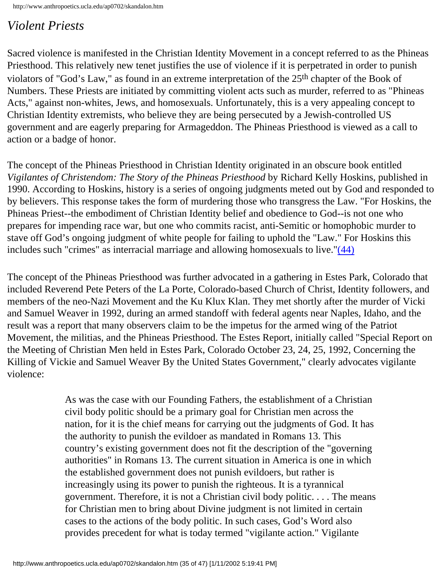# *Violent Priests*

Sacred violence is manifested in the Christian Identity Movement in a concept referred to as the Phineas Priesthood. This relatively new tenet justifies the use of violence if it is perpetrated in order to punish violators of "God's Law," as found in an extreme interpretation of the 25th chapter of the Book of Numbers. These Priests are initiated by committing violent acts such as murder, referred to as "Phineas Acts," against non-whites, Jews, and homosexuals. Unfortunately, this is a very appealing concept to Christian Identity extremists, who believe they are being persecuted by a Jewish-controlled US government and are eagerly preparing for Armageddon. The Phineas Priesthood is viewed as a call to action or a badge of honor.

The concept of the Phineas Priesthood in Christian Identity originated in an obscure book entitled *Vigilantes of Christendom: The Story of the Phineas Priesthood* by Richard Kelly Hoskins, published in 1990. According to Hoskins, history is a series of ongoing judgments meted out by God and responded to by believers. This response takes the form of murdering those who transgress the Law. "For Hoskins, the Phineas Priest--the embodiment of Christian Identity belief and obedience to God--is not one who prepares for impending race war, but one who commits racist, anti-Semitic or homophobic murder to stave off God's ongoing judgment of white people for failing to uphold the "Law." For Hoskins this includes such "crimes" as interracial marriage and allowing homosexuals to live."[\(44\)](#page-85-3)

<span id="page-74-0"></span>The concept of the Phineas Priesthood was further advocated in a gathering in Estes Park, Colorado that included Reverend Pete Peters of the La Porte, Colorado-based Church of Christ, Identity followers, and members of the neo-Nazi Movement and the Ku Klux Klan. They met shortly after the murder of Vicki and Samuel Weaver in 1992, during an armed standoff with federal agents near Naples, Idaho, and the result was a report that many observers claim to be the impetus for the armed wing of the Patriot Movement, the militias, and the Phineas Priesthood. The Estes Report, initially called "Special Report on the Meeting of Christian Men held in Estes Park, Colorado October 23, 24, 25, 1992, Concerning the Killing of Vickie and Samuel Weaver By the United States Government," clearly advocates vigilante violence:

> As was the case with our Founding Fathers, the establishment of a Christian civil body politic should be a primary goal for Christian men across the nation, for it is the chief means for carrying out the judgments of God. It has the authority to punish the evildoer as mandated in Romans 13. This country's existing government does not fit the description of the "governing authorities" in Romans 13. The current situation in America is one in which the established government does not punish evildoers, but rather is increasingly using its power to punish the righteous. It is a tyrannical government. Therefore, it is not a Christian civil body politic. . . . The means for Christian men to bring about Divine judgment is not limited in certain cases to the actions of the body politic. In such cases, God's Word also provides precedent for what is today termed "vigilante action." Vigilante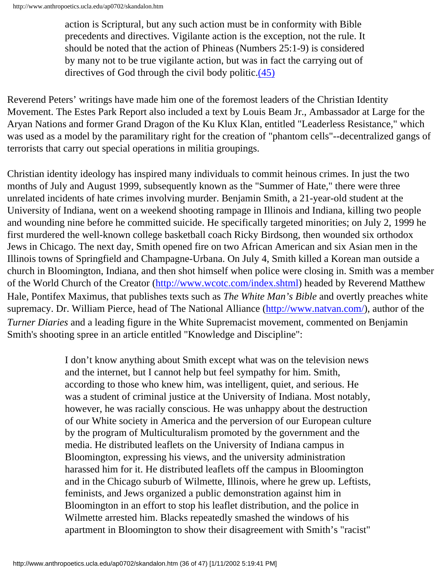action is Scriptural, but any such action must be in conformity with Bible precedents and directives. Vigilante action is the exception, not the rule. It should be noted that the action of Phineas (Numbers 25:1-9) is considered by many not to be true vigilante action, but was in fact the carrying out of directives of God through the civil body politic.[\(45\)](#page-85-4)

<span id="page-75-0"></span>Reverend Peters' writings have made him one of the foremost leaders of the Christian Identity Movement. The Estes Park Report also included a text by Louis Beam Jr., Ambassador at Large for the Aryan Nations and former Grand Dragon of the Ku Klux Klan, entitled "Leaderless Resistance," which was used as a model by the paramilitary right for the creation of "phantom cells"--decentralized gangs of terrorists that carry out special operations in militia groupings.

Christian identity ideology has inspired many individuals to commit heinous crimes. In just the two months of July and August 1999, subsequently known as the "Summer of Hate," there were three unrelated incidents of hate crimes involving murder. Benjamin Smith, a 21-year-old student at the University of Indiana, went on a weekend shooting rampage in Illinois and Indiana, killing two people and wounding nine before he committed suicide. He specifically targeted minorities; on July 2, 1999 he first murdered the well-known college basketball coach Ricky Birdsong, then wounded six orthodox Jews in Chicago. The next day, Smith opened fire on two African American and six Asian men in the Illinois towns of Springfield and Champagne-Urbana. On July 4, Smith killed a Korean man outside a church in Bloomington, Indiana, and then shot himself when police were closing in. Smith was a member of the World Church of the Creator ([http://www.wcotc.com/index.shtml\)](http://www.wcotc.com/index.shtml) headed by Reverend Matthew Hale, Pontifex Maximus, that publishes texts such as *The White Man's Bible* and overtly preaches white supremacy. Dr. William Pierce, head of The National Alliance [\(http://www.natvan.com/\)](http://www.natvan.com/), author of the *Turner Diaries* and a leading figure in the White Supremacist movement, commented on Benjamin Smith's shooting spree in an article entitled "Knowledge and Discipline":

> I don't know anything about Smith except what was on the television news and the internet, but I cannot help but feel sympathy for him. Smith, according to those who knew him, was intelligent, quiet, and serious. He was a student of criminal justice at the University of Indiana. Most notably, however, he was racially conscious. He was unhappy about the destruction of our White society in America and the perversion of our European culture by the program of Multiculturalism promoted by the government and the media. He distributed leaflets on the University of Indiana campus in Bloomington, expressing his views, and the university administration harassed him for it. He distributed leaflets off the campus in Bloomington and in the Chicago suburb of Wilmette, Illinois, where he grew up. Leftists, feminists, and Jews organized a public demonstration against him in Bloomington in an effort to stop his leaflet distribution, and the police in Wilmette arrested him. Blacks repeatedly smashed the windows of his apartment in Bloomington to show their disagreement with Smith's "racist"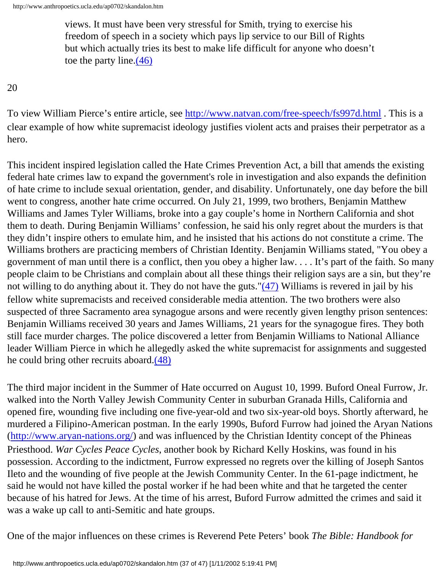views. It must have been very stressful for Smith, trying to exercise his freedom of speech in a society which pays lip service to our Bill of Rights but which actually tries its best to make life difficult for anyone who doesn't toe the party line.[\(46\)](#page-85-5)

#### <span id="page-76-0"></span>20

To view William Pierce's entire article, see<http://www.natvan.com/free-speech/fs997d.html> . This is a clear example of how white supremacist ideology justifies violent acts and praises their perpetrator as a hero.

This incident inspired legislation called the Hate Crimes Prevention Act, a bill that amends the existing federal hate crimes law to expand the government's role in investigation and also expands the definition of hate crime to include sexual orientation, gender, and disability. Unfortunately, one day before the bill went to congress, another hate crime occurred. On July 21, 1999, two brothers, Benjamin Matthew Williams and James Tyler Williams, broke into a gay couple's home in Northern California and shot them to death. During Benjamin Williams' confession, he said his only regret about the murders is that they didn't inspire others to emulate him, and he insisted that his actions do not constitute a crime. The Williams brothers are practicing members of Christian Identity. Benjamin Williams stated, "You obey a government of man until there is a conflict, then you obey a higher law. . . . It's part of the faith. So many people claim to be Christians and complain about all these things their religion says are a sin, but they're not willing to do anything about it. They do not have the guts."[\(47\)](#page-85-6) Williams is revered in jail by his fellow white supremacists and received considerable media attention. The two brothers were also suspected of three Sacramento area synagogue arsons and were recently given lengthy prison sentences: Benjamin Williams received 30 years and James Williams, 21 years for the synagogue fires. They both still face murder charges. The police discovered a letter from Benjamin Williams to National Alliance leader William Pierce in which he allegedly asked the white supremacist for assignments and suggested he could bring other recruits aboard.[\(48\)](#page-85-7)

<span id="page-76-2"></span><span id="page-76-1"></span>The third major incident in the Summer of Hate occurred on August 10, 1999. Buford Oneal Furrow, Jr. walked into the North Valley Jewish Community Center in suburban Granada Hills, California and opened fire, wounding five including one five-year-old and two six-year-old boys. Shortly afterward, he murdered a Filipino-American postman. In the early 1990s, Buford Furrow had joined the Aryan Nations (<http://www.aryan-nations.org/>) and was influenced by the Christian Identity concept of the Phineas Priesthood. *War Cycles Peace Cycles*, another book by Richard Kelly Hoskins, was found in his possession. According to the indictment, Furrow expressed no regrets over the killing of Joseph Santos Ileto and the wounding of five people at the Jewish Community Center. In the 61-page indictment, he said he would not have killed the postal worker if he had been white and that he targeted the center because of his hatred for Jews. At the time of his arrest, Buford Furrow admitted the crimes and said it was a wake up call to anti-Semitic and hate groups.

One of the major influences on these crimes is Reverend Pete Peters' book *The Bible: Handbook for*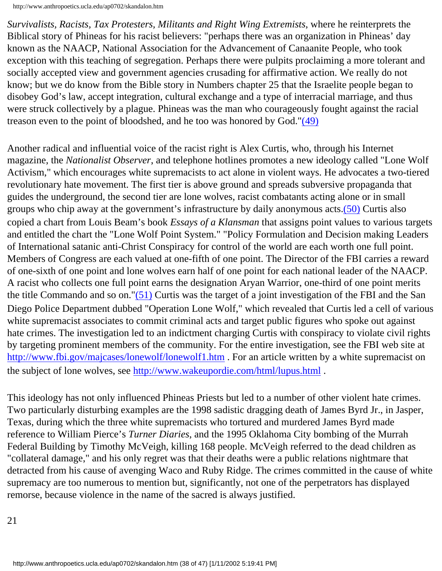*Survivalists, Racists, Tax Protesters, Militants and Right Wing Extremists*, where he reinterprets the Biblical story of Phineas for his racist believers: "perhaps there was an organization in Phineas' day known as the NAACP, National Association for the Advancement of Canaanite People, who took exception with this teaching of segregation. Perhaps there were pulpits proclaiming a more tolerant and socially accepted view and government agencies crusading for affirmative action. We really do not know; but we do know from the Bible story in Numbers chapter 25 that the Israelite people began to disobey God's law, accept integration, cultural exchange and a type of interracial marriage, and thus were struck collectively by a plague. Phineas was the man who courageously fought against the racial treason even to the point of bloodshed, and he too was honored by God.["\(49\)](#page-85-8)

<span id="page-77-1"></span><span id="page-77-0"></span>Another radical and influential voice of the racist right is Alex Curtis, who, through his Internet magazine, the *Nationalist Observer*, and telephone hotlines promotes a new ideology called "Lone Wolf Activism," which encourages white supremacists to act alone in violent ways. He advocates a two-tiered revolutionary hate movement. The first tier is above ground and spreads subversive propaganda that guides the underground, the second tier are lone wolves, racist combatants acting alone or in small groups who chip away at the government's infrastructure by daily anonymous acts.[\(50\)](#page-85-9) Curtis also copied a chart from Louis Beam's book *Essays of a Klansman* that assigns point values to various targets and entitled the chart the "Lone Wolf Point System." "Policy Formulation and Decision making Leaders of International satanic anti-Christ Conspiracy for control of the world are each worth one full point. Members of Congress are each valued at one-fifth of one point. The Director of the FBI carries a reward of one-sixth of one point and lone wolves earn half of one point for each national leader of the NAACP. A racist who collects one full point earns the designation Aryan Warrior, one-third of one point merits the title Commando and so on." $(51)$  Curtis was the target of a joint investigation of the FBI and the San Diego Police Department dubbed "Operation Lone Wolf," which revealed that Curtis led a cell of various white supremacist associates to commit criminal acts and target public figures who spoke out against hate crimes. The investigation led to an indictment charging Curtis with conspiracy to violate civil rights by targeting prominent members of the community. For the entire investigation, see the FBI web site at <http://www.fbi.gov/majcases/lonewolf/lonewolf1.htm> . For an article written by a white supremacist on the subject of lone wolves, see <http://www.wakeupordie.com/html/lupus.html>.

<span id="page-77-2"></span>This ideology has not only influenced Phineas Priests but led to a number of other violent hate crimes. Two particularly disturbing examples are the 1998 sadistic dragging death of James Byrd Jr., in Jasper, Texas, during which the three white supremacists who tortured and murdered James Byrd made reference to William Pierce's *Turner Diaries*, and the 1995 Oklahoma City bombing of the Murrah Federal Building by Timothy McVeigh, killing 168 people. McVeigh referred to the dead children as "collateral damage," and his only regret was that their deaths were a public relations nightmare that detracted from his cause of avenging Waco and Ruby Ridge. The crimes committed in the cause of white supremacy are too numerous to mention but, significantly, not one of the perpetrators has displayed remorse, because violence in the name of the sacred is always justified.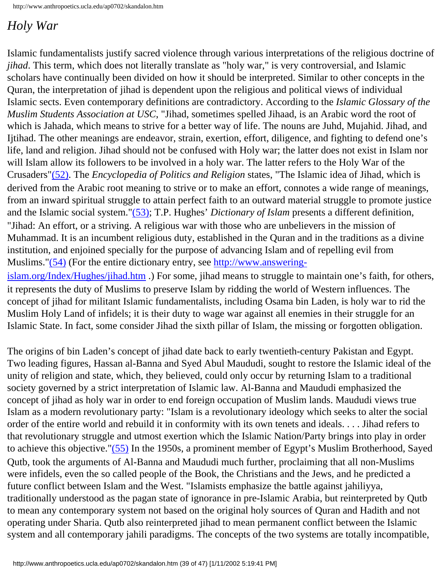# *Holy War*

Islamic fundamentalists justify sacred violence through various interpretations of the religious doctrine of *jihad*. This term, which does not literally translate as "holy war," is very controversial, and Islamic scholars have continually been divided on how it should be interpreted. Similar to other concepts in the Quran, the interpretation of jihad is dependent upon the religious and political views of individual Islamic sects. Even contemporary definitions are contradictory. According to the *Islamic Glossary of the Muslim Students Association at USC*, "Jihad, sometimes spelled Jihaad, is an Arabic word the root of which is Jahada, which means to strive for a better way of life. The nouns are Juhd, Mujahid. Jihad, and Ijtihad. The other meanings are endeavor, strain, exertion, effort, diligence, and fighting to defend one's life, land and religion. Jihad should not be confused with Holy war; the latter does not exist in Islam nor will Islam allow its followers to be involved in a holy war. The latter refers to the Holy War of the Crusaders"[\(52\)](#page-85-11). The *Encyclopedia of Politics and Religion* states, "The Islamic idea of Jihad, which is derived from the Arabic root meaning to strive or to make an effort, connotes a wide range of meanings, from an inward spiritual struggle to attain perfect faith to an outward material struggle to promote justice and the Islamic social system.["\(53\);](#page-85-12) T.P. Hughes' *Dictionary of Islam* presents a different definition, "Jihad: An effort, or a striving. A religious war with those who are unbelievers in the mission of Muhammad. It is an incumbent religious duty, established in the Quran and in the traditions as a divine institution, and enjoined specially for the purpose of advancing Islam and of repelling evil from Muslims.["\(54\)](#page-85-13) (For the entire dictionary entry, see [http://www.answering](http://www.answering-islam.org/Index/Hughes/jihad.htm)[islam.org/Index/Hughes/jihad.htm](http://www.answering-islam.org/Index/Hughes/jihad.htm) .) For some, jihad means to struggle to maintain one's faith, for others, it represents the duty of Muslims to preserve Islam by ridding the world of Western influences. The concept of jihad for militant Islamic fundamentalists, including Osama bin Laden, is holy war to rid the

<span id="page-78-2"></span><span id="page-78-1"></span><span id="page-78-0"></span>Muslim Holy Land of infidels; it is their duty to wage war against all enemies in their struggle for an Islamic State. In fact, some consider Jihad the sixth pillar of Islam, the missing or forgotten obligation.

<span id="page-78-3"></span>The origins of bin Laden's concept of jihad date back to early twentieth-century Pakistan and Egypt. Two leading figures, Hassan al-Banna and Syed Abul Maududi, sought to restore the Islamic ideal of the unity of religion and state, which, they believed, could only occur by returning Islam to a traditional society governed by a strict interpretation of Islamic law. Al-Banna and Maududi emphasized the concept of jihad as holy war in order to end foreign occupation of Muslim lands. Maududi views true Islam as a modern revolutionary party: "Islam is a revolutionary ideology which seeks to alter the social order of the entire world and rebuild it in conformity with its own tenets and ideals. . . . Jihad refers to that revolutionary struggle and utmost exertion which the Islamic Nation/Party brings into play in order to achieve this objective."[\(55\)](#page-85-14) In the 1950s, a prominent member of Egypt's Muslim Brotherhood, Sayed Qutb, took the arguments of Al-Banna and Maududi much further, proclaiming that all non-Muslims were infidels, even the so called people of the Book, the Christians and the Jews, and he predicted a future conflict between Islam and the West. "Islamists emphasize the battle against jahiliyya, traditionally understood as the pagan state of ignorance in pre-Islamic Arabia, but reinterpreted by Qutb to mean any contemporary system not based on the original holy sources of Quran and Hadith and not operating under Sharia. Qutb also reinterpreted jihad to mean permanent conflict between the Islamic system and all contemporary jahili paradigms. The concepts of the two systems are totally incompatible,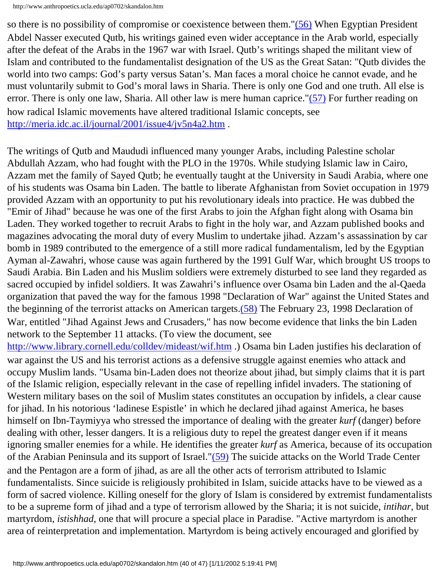http://www.anthropoetics.ucla.edu/ap0702/skandalon.htm

<span id="page-79-0"></span>so there is no possibility of compromise or coexistence between them."[\(56\)](#page-86-0) When Egyptian President Abdel Nasser executed Qutb, his writings gained even wider acceptance in the Arab world, especially after the defeat of the Arabs in the 1967 war with Israel. Qutb's writings shaped the militant view of Islam and contributed to the fundamentalist designation of the US as the Great Satan: "Qutb divides the world into two camps: God's party versus Satan's. Man faces a moral choice he cannot evade, and he must voluntarily submit to God's moral laws in Sharia. There is only one God and one truth. All else is error. There is only one law, Sharia. All other law is mere human caprice.["\(57\)](#page-86-1) For further reading on how radical Islamic movements have altered traditional Islamic concepts, see <http://meria.idc.ac.il/journal/2001/issue4/jv5n4a2.htm>.

<span id="page-79-1"></span>The writings of Qutb and Maududi influenced many younger Arabs, including Palestine scholar Abdullah Azzam, who had fought with the PLO in the 1970s. While studying Islamic law in Cairo, Azzam met the family of Sayed Qutb; he eventually taught at the University in Saudi Arabia, where one of his students was Osama bin Laden. The battle to liberate Afghanistan from Soviet occupation in 1979 provided Azzam with an opportunity to put his revolutionary ideals into practice. He was dubbed the "Emir of Jihad" because he was one of the first Arabs to join the Afghan fight along with Osama bin Laden. They worked together to recruit Arabs to fight in the holy war, and Azzam published books and magazines advocating the moral duty of every Muslim to undertake jihad. Azzam's assassination by car bomb in 1989 contributed to the emergence of a still more radical fundamentalism, led by the Egyptian Ayman al-Zawahri, whose cause was again furthered by the 1991 Gulf War, which brought US troops to Saudi Arabia. Bin Laden and his Muslim soldiers were extremely disturbed to see land they regarded as sacred occupied by infidel soldiers. It was Zawahri's influence over Osama bin Laden and the al-Qaeda organization that paved the way for the famous 1998 "Declaration of War" against the United States and the beginning of the terrorist attacks on American targets[.\(58\)](#page-86-2) The February 23, 1998 Declaration of War, entitled "Jihad Against Jews and Crusaders," has now become evidence that links the bin Laden network to the September 11 attacks. (To view the document, see

<span id="page-79-3"></span><span id="page-79-2"></span><http://www.library.cornell.edu/colldev/mideast/wif.htm> .) Osama bin Laden justifies his declaration of war against the US and his terrorist actions as a defensive struggle against enemies who attack and occupy Muslim lands. "Usama bin-Laden does not theorize about jihad, but simply claims that it is part of the Islamic religion, especially relevant in the case of repelling infidel invaders. The stationing of Western military bases on the soil of Muslim states constitutes an occupation by infidels, a clear cause for jihad. In his notorious 'ladinese Espistle' in which he declared jihad against America, he bases himself on Ibn-Taymiyya who stressed the importance of dealing with the greater *kurf* (danger) before dealing with other, lesser dangers. It is a religious duty to repel the greatest danger even if it means ignoring smaller enemies for a while. He identifies the greater *kurf* as America, because of its occupation of the Arabian Peninsula and its support of Israel."[\(59\)](#page-86-3) The suicide attacks on the World Trade Center and the Pentagon are a form of jihad, as are all the other acts of terrorism attributed to Islamic fundamentalists. Since suicide is religiously prohibited in Islam, suicide attacks have to be viewed as a form of sacred violence. Killing oneself for the glory of Islam is considered by extremist fundamentalists to be a supreme form of jihad and a type of terrorism allowed by the Sharia; it is not suicide, *intihar*, but martyrdom, *istishhad*, one that will procure a special place in Paradise. "Active martyrdom is another area of reinterpretation and implementation. Martyrdom is being actively encouraged and glorified by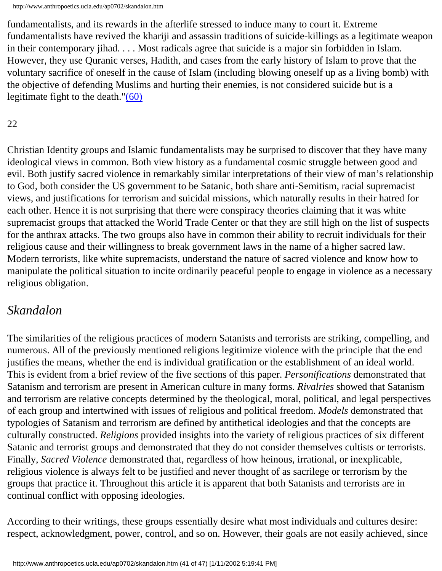fundamentalists, and its rewards in the afterlife stressed to induce many to court it. Extreme fundamentalists have revived the khariji and assassin traditions of suicide-killings as a legitimate weapon in their contemporary jihad. . . . Most radicals agree that suicide is a major sin forbidden in Islam. However, they use Quranic verses, Hadith, and cases from the early history of Islam to prove that the voluntary sacrifice of oneself in the cause of Islam (including blowing oneself up as a living bomb) with the objective of defending Muslims and hurting their enemies, is not considered suicide but is a legitimate fight to the death."[\(60\)](#page-86-4)

#### <span id="page-80-0"></span>22

Christian Identity groups and Islamic fundamentalists may be surprised to discover that they have many ideological views in common. Both view history as a fundamental cosmic struggle between good and evil. Both justify sacred violence in remarkably similar interpretations of their view of man's relationship to God, both consider the US government to be Satanic, both share anti-Semitism, racial supremacist views, and justifications for terrorism and suicidal missions, which naturally results in their hatred for each other. Hence it is not surprising that there were conspiracy theories claiming that it was white supremacist groups that attacked the World Trade Center or that they are still high on the list of suspects for the anthrax attacks. The two groups also have in common their ability to recruit individuals for their religious cause and their willingness to break government laws in the name of a higher sacred law. Modern terrorists, like white supremacists, understand the nature of sacred violence and know how to manipulate the political situation to incite ordinarily peaceful people to engage in violence as a necessary religious obligation.

# *Skandalon*

The similarities of the religious practices of modern Satanists and terrorists are striking, compelling, and numerous. All of the previously mentioned religions legitimize violence with the principle that the end justifies the means, whether the end is individual gratification or the establishment of an ideal world. This is evident from a brief review of the five sections of this paper. *Personifications* demonstrated that Satanism and terrorism are present in American culture in many forms. *Rivalries* showed that Satanism and terrorism are relative concepts determined by the theological, moral, political, and legal perspectives of each group and intertwined with issues of religious and political freedom. *Models* demonstrated that typologies of Satanism and terrorism are defined by antithetical ideologies and that the concepts are culturally constructed. *Religions* provided insights into the variety of religious practices of six different Satanic and terrorist groups and demonstrated that they do not consider themselves cultists or terrorists. Finally, *Sacred Violence* demonstrated that, regardless of how heinous, irrational, or inexplicable, religious violence is always felt to be justified and never thought of as sacrilege or terrorism by the groups that practice it. Throughout this article it is apparent that both Satanists and terrorists are in continual conflict with opposing ideologies.

According to their writings, these groups essentially desire what most individuals and cultures desire: respect, acknowledgment, power, control, and so on. However, their goals are not easily achieved, since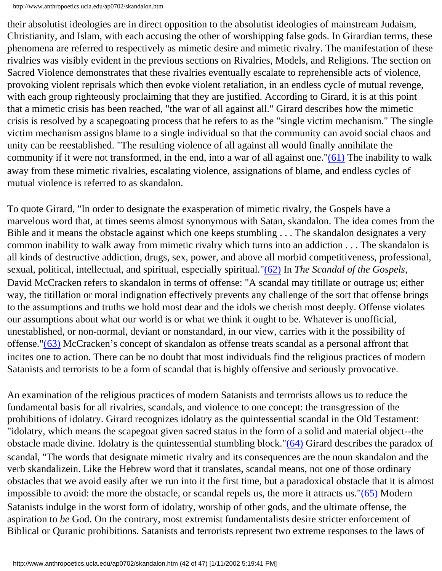http://www.anthropoetics.ucla.edu/ap0702/skandalon.htm

their absolutist ideologies are in direct opposition to the absolutist ideologies of mainstream Judaism, Christianity, and Islam, with each accusing the other of worshipping false gods. In Girardian terms, these phenomena are referred to respectively as mimetic desire and mimetic rivalry. The manifestation of these rivalries was visibly evident in the previous sections on Rivalries, Models, and Religions. The section on Sacred Violence demonstrates that these rivalries eventually escalate to reprehensible acts of violence, provoking violent reprisals which then evoke violent retaliation, in an endless cycle of mutual revenge, with each group righteously proclaiming that they are justified. According to Girard, it is at this point that a mimetic crisis has been reached, "the war of all against all." Girard describes how the mimetic crisis is resolved by a scapegoating process that he refers to as the "single victim mechanism." The single victim mechanism assigns blame to a single individual so that the community can avoid social chaos and unity can be reestablished. "The resulting violence of all against all would finally annihilate the community if it were not transformed, in the end, into a war of all against one." $(61)$  The inability to walk away from these mimetic rivalries, escalating violence, assignations of blame, and endless cycles of mutual violence is referred to as skandalon.

<span id="page-81-1"></span><span id="page-81-0"></span>To quote Girard, "In order to designate the exasperation of mimetic rivalry, the Gospels have a marvelous word that, at times seems almost synonymous with Satan, skandalon. The idea comes from the Bible and it means the obstacle against which one keeps stumbling . . . The skandalon designates a very common inability to walk away from mimetic rivalry which turns into an addiction . . . The skandalon is all kinds of destructive addiction, drugs, sex, power, and above all morbid competitiveness, professional, sexual, political, intellectual, and spiritual, especially spiritual.["\(62\)](#page-86-6) In *The Scandal of the Gospels*, David McCracken refers to skandalon in terms of offense: "A scandal may titillate or outrage us; either way, the titillation or moral indignation effectively prevents any challenge of the sort that offense brings to the assumptions and truths we hold most dear and the idols we cherish most deeply. Offense violates our assumptions about what our world is or what we think it ought to be. Whatever is unofficial, unestablished, or non-normal, deviant or nonstandard, in our view, carries with it the possibility of offense.["\(63\)](#page-86-7) McCracken's concept of skandalon as offense treats scandal as a personal affront that incites one to action. There can be no doubt that most individuals find the religious practices of modern Satanists and terrorists to be a form of scandal that is highly offensive and seriously provocative.

<span id="page-81-4"></span><span id="page-81-3"></span><span id="page-81-2"></span>An examination of the religious practices of modern Satanists and terrorists allows us to reduce the fundamental basis for all rivalries, scandals, and violence to one concept: the transgression of the prohibitions of idolatry. Girard recognizes idolatry as the quintessential scandal in the Old Testament: "idolatry, which means the scapegoat given sacred status in the form of a solid and material object--the obstacle made divine. Idolatry is the quintessential stumbling block."[\(64\)](#page-86-8) Girard describes the paradox of scandal, "The words that designate mimetic rivalry and its consequences are the noun skandalon and the verb skandalizein. Like the Hebrew word that it translates, scandal means, not one of those ordinary obstacles that we avoid easily after we run into it the first time, but a paradoxical obstacle that it is almost impossible to avoid: the more the obstacle, or scandal repels us, the more it attracts us.["\(65\)](#page-86-9) Modern Satanists indulge in the worst form of idolatry, worship of other gods, and the ultimate offense, the aspiration to *be* God. On the contrary, most extremist fundamentalists desire stricter enforcement of Biblical or Quranic prohibitions. Satanists and terrorists represent two extreme responses to the laws of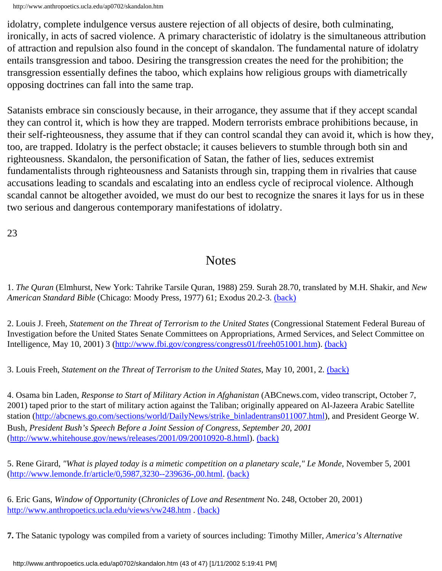idolatry, complete indulgence versus austere rejection of all objects of desire, both culminating, ironically, in acts of sacred violence. A primary characteristic of idolatry is the simultaneous attribution of attraction and repulsion also found in the concept of skandalon. The fundamental nature of idolatry entails transgression and taboo. Desiring the transgression creates the need for the prohibition; the transgression essentially defines the taboo, which explains how religious groups with diametrically opposing doctrines can fall into the same trap.

Satanists embrace sin consciously because, in their arrogance, they assume that if they accept scandal they can control it, which is how they are trapped. Modern terrorists embrace prohibitions because, in their self-righteousness, they assume that if they can control scandal they can avoid it, which is how they, too, are trapped. Idolatry is the perfect obstacle; it causes believers to stumble through both sin and righteousness. Skandalon, the personification of Satan, the father of lies, seduces extremist fundamentalists through righteousness and Satanists through sin, trapping them in rivalries that cause accusations leading to scandals and escalating into an endless cycle of reciprocal violence. Although scandal cannot be altogether avoided, we must do our best to recognize the snares it lays for us in these two serious and dangerous contemporary manifestations of idolatry.

23

# **Notes**

1. *The Quran* (Elmhurst, New York: Tahrike Tarsile Quran, 1988) 259. Surah 28.70, translated by M.H. Shakir, and *New American Standard Bible* (Chicago: Moody Press, 1977) 61; Exodus 20.2-3. [\(back\)](#page-41-0)

2. Louis J. Freeh, *Statement on the Threat of Terrorism to the United States* (Congressional Statement Federal Bureau of Investigation before the United States Senate Committees on Appropriations, Armed Services, and Select Committee on Intelligence, May 10, 2001) 3 ([http://www.fbi.gov/congress/congress01/freeh051001.htm\)](http://www.fbi.gov/congress/congress01/freeh051001.htm). [\(back\)](#page-42-0)

3. Louis Freeh, *Statement on the Threat of Terrorism to the United States,* May 10, 2001, 2*.* [\(back\)](#page-42-1)

4. Osama bin Laden, *Response to Start of Military Action in Afghanistan* (ABCnews.com, video transcript, October 7, 2001) taped prior to the start of military action against the Taliban; originally appeared on Al-Jazeera Arabic Satellite station ([http://abcnews.go.com/sections/world/DailyNews/strike\\_binladentrans011007.html\)](http://abcnews.go.com/sections/world/DailyNews/strike_binladentrans011007.html), and President George W. Bush, *President Bush's Speech Before a Joint Session of Congress, September 20, 2001* ([http://www.whitehouse.gov/news/releases/2001/09/20010920-8.html\)](http://http//www.whitehouse.gov/news/releases/2001/09/20010920-8.html). [\(back\)](#page-43-0)

5. Rene Girard, *"What is played today is a mimetic competition on a planetary scale," Le Monde*, November 5, 2001 ([http://www.lemonde.fr/article/0,5987,3230--239636-,00.html.](http://www.lemonde.fr/article/0,5987,3230--239636-,00.html) [\(back\)](#page-43-1)

6. Eric Gans, *Window of Opportunity* (*Chronicles of Love and Resentment* No. 248, October 20, 2001) <http://www.anthropoetics.ucla.edu/views/vw248.htm>. [\(back\)](#page-43-2)

**7.** The Satanic typology was compiled from a variety of sources including: Timothy Miller, *America's Alternative*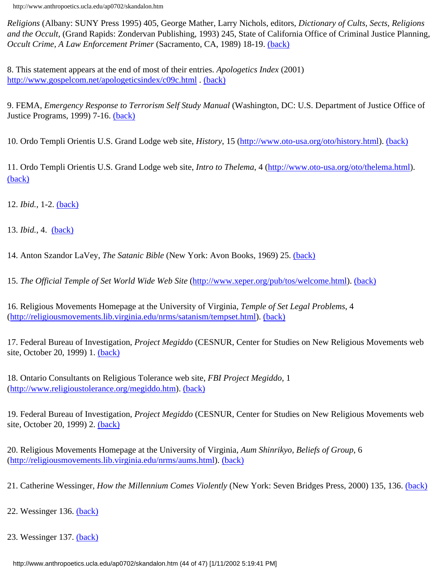*Religions* (Albany: SUNY Press 1995) 405, George Mather, Larry Nichols, editors, *Dictionary of Cults, Sects, Religions and the Occult*, (Grand Rapids: Zondervan Publishing, 1993) 245, State of California Office of Criminal Justice Planning, *Occult Crime, A Law Enforcement Primer* (Sacramento, CA, 1989) 18-19. [\(back\)](#page-44-0)

8. This statement appears at the end of most of their entries. *Apologetics Index* (2001) <http://www.gospelcom.net/apologeticsindex/c09c.html>. [\(back\)](#page-48-0)

9. FEMA, *Emergency Response to Terrorism Self Study Manual* (Washington, DC: U.S. Department of Justice Office of Justice Programs, 1999) 7-16. [\(back\)](#page-50-0)

10. Ordo Templi Orientis U.S. Grand Lodge web site, *History*, 15 ([http://www.oto-usa.org/oto/history.html\)](http://www.oto-usa.org/oto/history.html). [\(back\)](#page-53-0)

11. Ordo Templi Orientis U.S. Grand Lodge web site, *Intro to Thelema*, 4 [\(http://www.oto-usa.org/oto/thelema.html](http://www.oto-usa.org/oto/thelema.html)). [\(back\)](#page-53-1)

12. *Ibid.*, 1-2. [\(back\)](#page-53-2)

13. *Ibid.*, 4. [\(back\)](#page-54-0)

14. Anton Szandor LaVey, *The Satanic Bible* (New York: Avon Books, 1969) 25. [\(back\)](#page-55-0)

15. *The Official Temple of Set World Wide Web Site* ([http://www.xeper.org/pub/tos/welcome.html\)](http://www.xeper.org/pub/tos/welcome.html). [\(back\)](#page-57-0)

16. Religious Movements Homepage at the University of Virginia, *Temple of Set Legal Problems*, 4 ([http://religiousmovements.lib.virginia.edu/nrms/satanism/tempset.html\)](http://religiousmovements.lib.virginia.edu/nrms/satanism/tempset.html). [\(back\)](#page-58-0)

17. Federal Bureau of Investigation, *Project Megiddo* (CESNUR, Center for Studies on New Religious Movements web site, October 20, 1999) 1. [\(back\)](#page-59-0)

18. Ontario Consultants on Religious Tolerance web site, *FBI Project Megiddo,* 1 ([http://www.religioustolerance.org/megiddo.htm\)](http://www.religioustolerance.org/megiddo.htm). [\(back\)](#page-60-0)

19. Federal Bureau of Investigation, *Project Megiddo* (CESNUR, Center for Studies on New Religious Movements web site, October 20, 1999) 2. [\(back\)](#page-60-1)

20. Religious Movements Homepage at the University of Virginia, *Aum Shinrikyo, Beliefs of Group*, 6 (<http://religiousmovements.lib.virginia.edu/nrms/aums.html>). [\(back\)](#page-62-0)

21. Catherine Wessinger, *How the Millennium Comes Violently* (New York: Seven Bridges Press, 2000) 135, 136. [\(back\)](#page-62-1)

- 22. Wessinger 136. [\(back\)](#page-62-2)
- 23. Wessinger 137. [\(back\)](#page-62-3)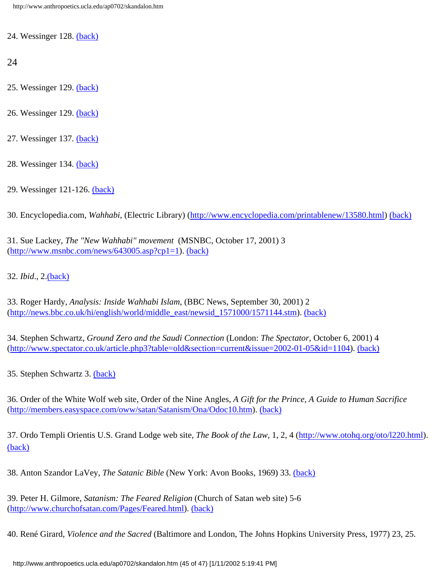24. Wessinger 128. [\(back\)](#page-62-4)

#### 24

- 25. Wessinger 129. [\(back\)](#page-63-0)
- 26. Wessinger 129. [\(back\)](#page-63-1)
- 27. Wessinger 137. [\(back\)](#page-63-2)
- 28. Wessinger 134. [\(back\)](#page-63-3)
- 29. Wessinger 121-126. [\(back\)](#page-65-0)

30. Encyclopedia.com, *Wahhabi,* (Electric Library) ([http://www.encyclopedia.com/printablenew/13580.html\)](http://www.encyclopedia.com/printablenew/13580.html) [\(back\)](#page-66-0)

31. Sue Lackey, *The "New Wahhabi" movement* (MSNBC, October 17, 2001) 3 (<http://www.msnbc.com/news/643005.asp?cp1=1>). [\(back\)](#page-67-0)

32. *Ibid*., 2[.\(back\)](#page-67-1)

33. Roger Hardy, *Analysis: Inside Wahhabi Islam*, (BBC News, September 30, 2001) 2 ([http://news.bbc.co.uk/hi/english/world/middle\\_east/newsid\\_1571000/1571144.stm](http://news.bbc.co.uk/hi/english/world/middle_east/newsid_1571000/1571144.stm)). [\(back\)](#page-67-2)

34. Stephen Schwartz, *Ground Zero and the Saudi Connection* (London: *The Spectator*, October 6, 2001) 4 ([http://www.spectator.co.uk/article.php3?table=old&section=current&issue=2002-01-05&id=1104](http://www.spectator.co.uk/article.php3?table=old§ion=current&issue=2002-01-05&id=1104)). [\(back\)](#page-67-3)

35. Stephen Schwartz 3. [\(back\)](#page-67-4)

36. Order of the White Wolf web site, Order of the Nine Angles, *A Gift for the Prince, A Guide to Human Sacrifice*  ([http://members.easyspace.com/oww/satan/Satanism/Ona/Odoc10.htm\)](http://members.easyspace.com/oww/satan/Satanism/Ona/Odoc10.htm). [\(back\)](#page-69-0)

37. Ordo Templi Orientis U.S. Grand Lodge web site, *The Book of the Law*, 1, 2, 4 (<http://www.otohq.org/oto/l220.html>). [\(back\)](#page-70-0)

38. Anton Szandor LaVey, *The Satanic Bible* (New York: Avon Books, 1969) 33. [\(back\)](#page-71-0)

39. Peter H. Gilmore, *Satanism: The Feared Religion* (Church of Satan web site) 5-6 ([http://www.churchofsatan.com/Pages/Feared.html\)](http://www.churchofsatan.com/Pages/Feared.html). [\(back\)](#page-71-1)

<span id="page-84-0"></span>40. René Girard, *Violence and the Sacred* (Baltimore and London, The Johns Hopkins University Press, 1977) 23, 25.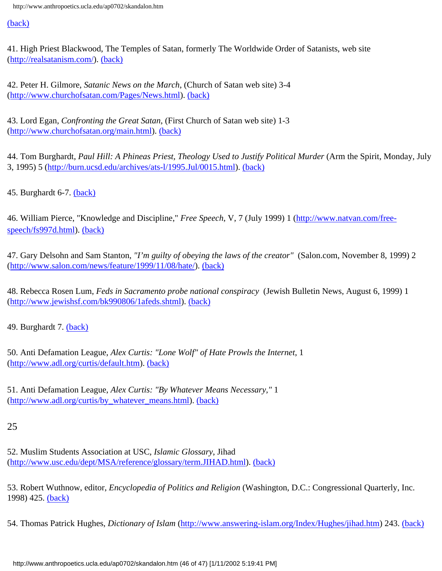[\(back\)](#page-72-0)

<span id="page-85-0"></span>41. High Priest Blackwood, The Temples of Satan, formerly The Worldwide Order of Satanists, web site ([http://realsatanism.com/\)](http://realsatanism.com/). [\(back\)](#page-72-1)

<span id="page-85-1"></span>42. Peter H. Gilmore, *Satanic News on the March*, (Church of Satan web site) 3-4 ([http://www.churchofsatan.com/Pages/News.html\)](http://www.churchofsatan.com/Pages/News.html). [\(back\)](#page-72-2)

<span id="page-85-2"></span>43. Lord Egan, *Confronting the Great Satan*, (First Church of Satan web site) 1-3 (<http://www.churchofsatan.org/main.html>). [\(back\)](#page-73-0)

<span id="page-85-3"></span>44. Tom Burghardt, *Paul Hill: A Phineas Priest, Theology Used to Justify Political Murder* (Arm the Spirit, Monday, July 3, 1995) 5 ([http://burn.ucsd.edu/archives/ats-l/1995.Jul/0015.html\)](http://burn.ucsd.edu/archives/ats-l/1995.Jul/0015.html). [\(back\)](#page-74-0)

<span id="page-85-4"></span>45. Burghardt 6-7. [\(back\)](#page-75-0)

<span id="page-85-5"></span>46. William Pierce, "Knowledge and Discipline," *Free Speech*, V, 7 (July 1999) 1 [\(http://www.natvan.com/free](http://www.natvan.com/free-speech/fs997d.html)[speech/fs997d.html\)](http://www.natvan.com/free-speech/fs997d.html). [\(back\)](#page-76-0)

<span id="page-85-6"></span>47. Gary Delsohn and Sam Stanton, *"I'm guilty of obeying the laws of the creator"* (Salon.com, November 8, 1999) 2 ([http://www.salon.com/news/feature/1999/11/08/hate/\)](http://www.salon.com/news/feature/1999/11/08/hate/). [\(back\)](#page-76-1)

<span id="page-85-7"></span>48. Rebecca Rosen Lum, *Feds in Sacramento probe national conspiracy* (Jewish Bulletin News, August 6, 1999) 1 ([http://www.jewishsf.com/bk990806/1afeds.shtml\)](http://www.jewishsf.com/bk990806/1afeds.shtml). [\(back\)](#page-76-2)

<span id="page-85-8"></span>49. Burghardt 7. [\(back\)](#page-77-0)

<span id="page-85-9"></span>50. Anti Defamation League, *Alex Curtis: "Lone Wolf" of Hate Prowls the Internet*, 1 ([http://www.adl.org/curtis/default.htm\)](http://www.adl.org/curtis/default.htm). [\(back\)](#page-77-1)

<span id="page-85-10"></span>51. Anti Defamation League, *Alex Curtis: "By Whatever Means Necessary,"* 1 ([http://www.adl.org/curtis/by\\_whatever\\_means.html](http://www.adl.org/curtis/by_whatever_means.html)). [\(back\)](#page-77-2)

25

<span id="page-85-11"></span>52. Muslim Students Association at USC*, Islamic Glossary*, Jihad ([http://www.usc.edu/dept/MSA/reference/glossary/term.JIHAD.html\)](http://www.usc.edu/dept/MSA/reference/glossary/term.JIHAD.html). [\(back\)](#page-78-0)

<span id="page-85-12"></span>53. Robert Wuthnow, editor, *Encyclopedia of Politics and Religion* (Washington, D.C.: Congressional Quarterly, Inc. 1998) 425. [\(back\)](#page-78-1)

<span id="page-85-14"></span><span id="page-85-13"></span>54. Thomas Patrick Hughes, *Dictionary of Islam* [\(http://www.answering-islam.org/Index/Hughes/jihad.htm\)](http://www.answering-islam.org/Index/Hughes/jihad.htm) 243. [\(back\)](#page-78-2)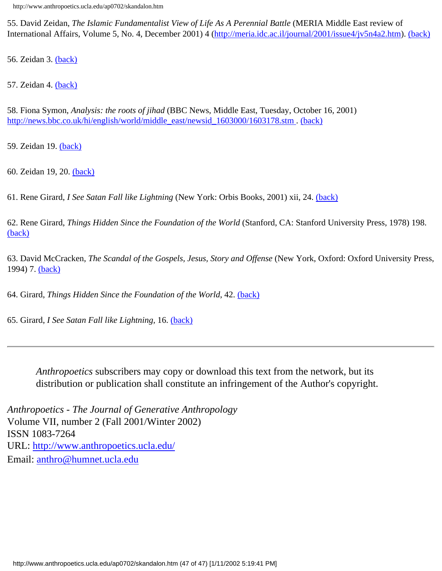55. David Zeidan, *The Islamic Fundamentalist View of Life As A Perennial Battle* (MERIA Middle East review of International Affairs, Volume 5, No. 4, December 2001) 4 ([http://meria.idc.ac.il/journal/2001/issue4/jv5n4a2.htm\)](http://meria.idc.ac.il/journal/2001/issue4/jv5n4a2.htm). [\(back\)](#page-78-3)

<span id="page-86-0"></span>56. Zeidan 3. [\(back\)](#page-79-0)

<span id="page-86-1"></span>57. Zeidan 4. [\(back\)](#page-79-1)

<span id="page-86-2"></span>58. Fiona Symon, *Analysis: the roots of jihad* (BBC News, Middle East, Tuesday, October 16, 2001) [http://news.bbc.co.uk/hi/english/world/middle\\_east/newsid\\_1603000/1603178.stm](http://news.bbc.co.uk/hi/english/world/middle_east/newsid_1603000/1603178.stm) . [\(back\)](#page-79-2)

<span id="page-86-3"></span>59. Zeidan 19. [\(back\)](#page-79-3)

<span id="page-86-4"></span>60. Zeidan 19, 20. [\(back\)](#page-80-0)

<span id="page-86-5"></span>61. Rene Girard, *I See Satan Fall like Lightning* (New York: Orbis Books, 2001) xii, 24. [\(back\)](#page-81-0)

<span id="page-86-6"></span>62. Rene Girard, *Things Hidden Since the Foundation of the World* (Stanford, CA: Stanford University Press, 1978) 198. [\(back\)](#page-81-1)

<span id="page-86-7"></span>63. David McCracken, *The Scandal of the Gospels, Jesus, Story and Offense* (New York, Oxford: Oxford University Press, 1994) 7. [\(back\)](#page-81-2)

<span id="page-86-8"></span>64. Girard, *Things Hidden Since the Foundation of the World*, 42. [\(back\)](#page-81-3)

<span id="page-86-9"></span>65. Girard, *I See Satan Fall like Lightning,* 16. [\(back\)](#page-81-4)

*Anthropoetics* subscribers may copy or download this text from the network, but its distribution or publication shall constitute an infringement of the Author's copyright.

*Anthropoetics - The Journal of Generative Anthropology* Volume VII, number 2 (Fall 2001/Winter 2002) ISSN 1083-7264 URL:<http://www.anthropoetics.ucla.edu/> Email: [anthro@humnet.ucla.edu](mailto:anthro@humnet.ucla.edu)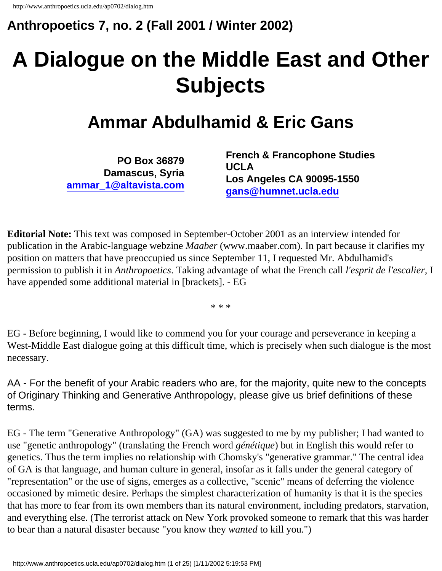# **Anthropoetics 7, no. 2 (Fall 2001 / Winter 2002)**

# **A Dialogue on the Middle East and Other Subjects**

# **Ammar Abdulhamid & Eric Gans**

**PO Box 36879 Damascus, Syria [ammar\\_1@altavista.com](mailto:ammar_1@altavista.com)** **French & Francophone Studies UCLA Los Angeles CA 90095-1550 [gans@humnet.ucla.edu](mailto:gans@humnet.ucla.edu)**

**Editorial Note:** This text was composed in September-October 2001 as an interview intended for publication in the Arabic-language webzine *Maaber* (www.maaber.com). In part because it clarifies my position on matters that have preoccupied us since September 11, I requested Mr. Abdulhamid's permission to publish it in *Anthropoetics*. Taking advantage of what the French call *l'esprit de l'escalier,* I have appended some additional material in [brackets]. - EG

\* \* \*

EG - Before beginning, I would like to commend you for your courage and perseverance in keeping a West-Middle East dialogue going at this difficult time, which is precisely when such dialogue is the most necessary.

AA - For the benefit of your Arabic readers who are, for the majority, quite new to the concepts of Originary Thinking and Generative Anthropology, please give us brief definitions of these terms.

EG - The term "Generative Anthropology" (GA) was suggested to me by my publisher; I had wanted to use "genetic anthropology" (translating the French word *génétique*) but in English this would refer to genetics. Thus the term implies no relationship with Chomsky's "generative grammar." The central idea of GA is that language, and human culture in general, insofar as it falls under the general category of "representation" or the use of signs, emerges as a collective, "scenic" means of deferring the violence occasioned by mimetic desire. Perhaps the simplest characterization of humanity is that it is the species that has more to fear from its own members than its natural environment, including predators, starvation, and everything else. (The terrorist attack on New York provoked someone to remark that this was harder to bear than a natural disaster because "you know they *wanted* to kill you.")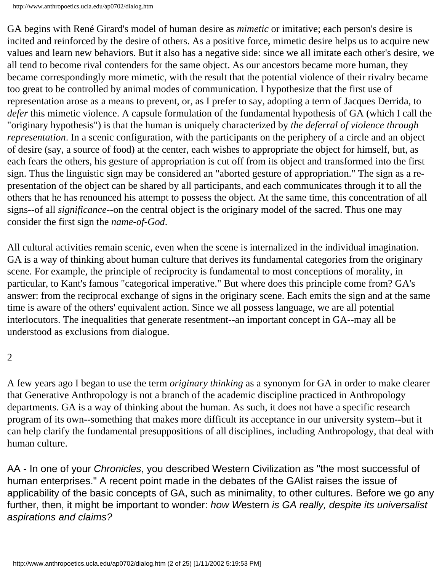GA begins with René Girard's model of human desire as *mimetic* or imitative; each person's desire is incited and reinforced by the desire of others. As a positive force, mimetic desire helps us to acquire new values and learn new behaviors. But it also has a negative side: since we all imitate each other's desire, we all tend to become rival contenders for the same object. As our ancestors became more human, they became correspondingly more mimetic, with the result that the potential violence of their rivalry became too great to be controlled by animal modes of communication. I hypothesize that the first use of representation arose as a means to prevent, or, as I prefer to say, adopting a term of Jacques Derrida, to *defer* this mimetic violence. A capsule formulation of the fundamental hypothesis of GA (which I call the "originary hypothesis") is that the human is uniquely characterized by *the deferral of violence through representation*. In a scenic configuration, with the participants on the periphery of a circle and an object of desire (say, a source of food) at the center, each wishes to appropriate the object for himself, but, as each fears the others, his gesture of appropriation is cut off from its object and transformed into the first sign. Thus the linguistic sign may be considered an "aborted gesture of appropriation." The sign as a representation of the object can be shared by all participants, and each communicates through it to all the others that he has renounced his attempt to possess the object. At the same time, this concentration of all signs--of all *significance*--on the central object is the originary model of the sacred. Thus one may consider the first sign the *name-of-God*.

All cultural activities remain scenic, even when the scene is internalized in the individual imagination. GA is a way of thinking about human culture that derives its fundamental categories from the originary scene. For example, the principle of reciprocity is fundamental to most conceptions of morality, in particular, to Kant's famous "categorical imperative." But where does this principle come from? GA's answer: from the reciprocal exchange of signs in the originary scene. Each emits the sign and at the same time is aware of the others' equivalent action. Since we all possess language, we are all potential interlocutors. The inequalities that generate resentment--an important concept in GA--may all be understood as exclusions from dialogue.

#### 2

A few years ago I began to use the term *originary thinking* as a synonym for GA in order to make clearer that Generative Anthropology is not a branch of the academic discipline practiced in Anthropology departments. GA is a way of thinking about the human. As such, it does not have a specific research program of its own--something that makes more difficult its acceptance in our university system--but it can help clarify the fundamental presuppositions of all disciplines, including Anthropology, that deal with human culture.

AA - In one of your *Chronicles*, you described Western Civilization as "the most successful of human enterprises." A recent point made in the debates of the GAlist raises the issue of applicability of the basic concepts of GA, such as minimality, to other cultures. Before we go any further, then, it might be important to wonder: *how W*estern *is GA really, despite its universalist aspirations and claims?*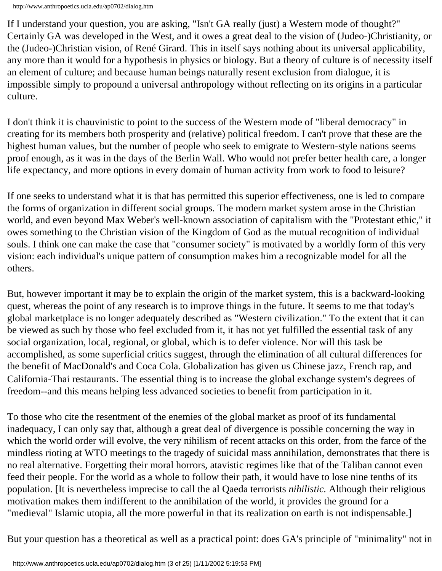If I understand your question, you are asking, "Isn't GA really (just) a Western mode of thought?" Certainly GA was developed in the West, and it owes a great deal to the vision of (Judeo-)Christianity, or the (Judeo-)Christian vision, of René Girard. This in itself says nothing about its universal applicability, any more than it would for a hypothesis in physics or biology. But a theory of culture is of necessity itself an element of culture; and because human beings naturally resent exclusion from dialogue, it is impossible simply to propound a universal anthropology without reflecting on its origins in a particular culture.

I don't think it is chauvinistic to point to the success of the Western mode of "liberal democracy" in creating for its members both prosperity and (relative) political freedom. I can't prove that these are the highest human values, but the number of people who seek to emigrate to Western-style nations seems proof enough, as it was in the days of the Berlin Wall. Who would not prefer better health care, a longer life expectancy, and more options in every domain of human activity from work to food to leisure?

If one seeks to understand what it is that has permitted this superior effectiveness, one is led to compare the forms of organization in different social groups. The modern market system arose in the Christian world, and even beyond Max Weber's well-known association of capitalism with the "Protestant ethic," it owes something to the Christian vision of the Kingdom of God as the mutual recognition of individual souls. I think one can make the case that "consumer society" is motivated by a worldly form of this very vision: each individual's unique pattern of consumption makes him a recognizable model for all the others.

But, however important it may be to explain the origin of the market system, this is a backward-looking quest, whereas the point of any research is to improve things in the future. It seems to me that today's global marketplace is no longer adequately described as "Western civilization." To the extent that it can be viewed as such by those who feel excluded from it, it has not yet fulfilled the essential task of any social organization, local, regional, or global, which is to defer violence. Nor will this task be accomplished, as some superficial critics suggest, through the elimination of all cultural differences for the benefit of MacDonald's and Coca Cola. Globalization has given us Chinese jazz, French rap, and California-Thai restaurants. The essential thing is to increase the global exchange system's degrees of freedom--and this means helping less advanced societies to benefit from participation in it.

To those who cite the resentment of the enemies of the global market as proof of its fundamental inadequacy, I can only say that, although a great deal of divergence is possible concerning the way in which the world order will evolve, the very nihilism of recent attacks on this order, from the farce of the mindless rioting at WTO meetings to the tragedy of suicidal mass annihilation, demonstrates that there is no real alternative. Forgetting their moral horrors, atavistic regimes like that of the Taliban cannot even feed their people. For the world as a whole to follow their path, it would have to lose nine tenths of its population. [It is nevertheless imprecise to call the al Qaeda terrorists *nihilistic.* Although their religious motivation makes them indifferent to the annihilation of the world, it provides the ground for a "medieval" Islamic utopia, all the more powerful in that its realization on earth is not indispensable.]

But your question has a theoretical as well as a practical point: does GA's principle of "minimality" not in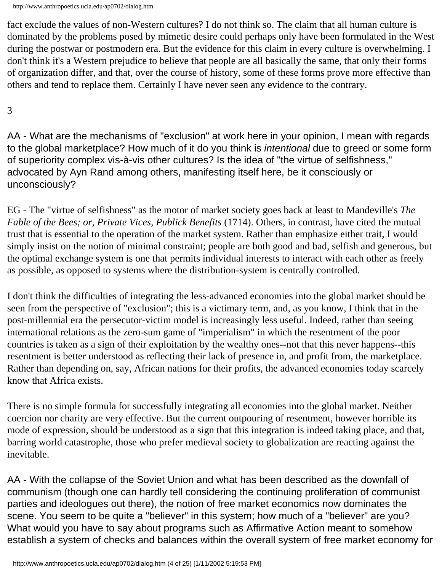fact exclude the values of non-Western cultures? I do not think so. The claim that all human culture is dominated by the problems posed by mimetic desire could perhaps only have been formulated in the West during the postwar or postmodern era. But the evidence for this claim in every culture is overwhelming. I don't think it's a Western prejudice to believe that people are all basically the same, that only their forms of organization differ, and that, over the course of history, some of these forms prove more effective than others and tend to replace them. Certainly I have never seen any evidence to the contrary.

3

AA - What are the mechanisms of "exclusion" at work here in your opinion, I mean with regards to the global marketplace? How much of it do you think is *intentional* due to greed or some form of superiority complex vis-à-vis other cultures? Is the idea of "the virtue of selfishness," advocated by Ayn Rand among others, manifesting itself here, be it consciously or unconsciously?

EG - The "virtue of selfishness" as the motor of market society goes back at least to Mandeville's *The Fable of the Bees; or, Private Vices, Publick Benefits* (1714). Others, in contrast, have cited the mutual trust that is essential to the operation of the market system. Rather than emphasize either trait, I would simply insist on the notion of minimal constraint; people are both good and bad, selfish and generous, but the optimal exchange system is one that permits individual interests to interact with each other as freely as possible, as opposed to systems where the distribution-system is centrally controlled.

I don't think the difficulties of integrating the less-advanced economies into the global market should be seen from the perspective of "exclusion"; this is a victimary term, and, as you know, I think that in the post-millennial era the persecutor-victim model is increasingly less useful. Indeed, rather than seeing international relations as the zero-sum game of "imperialism" in which the resentment of the poor countries is taken as a sign of their exploitation by the wealthy ones--not that this never happens--this resentment is better understood as reflecting their lack of presence in, and profit from, the marketplace. Rather than depending on, say, African nations for their profits, the advanced economies today scarcely know that Africa exists.

There is no simple formula for successfully integrating all economies into the global market. Neither coercion nor charity are very effective. But the current outpouring of resentment, however horrible its mode of expression, should be understood as a sign that this integration is indeed taking place, and that, barring world catastrophe, those who prefer medieval society to globalization are reacting against the inevitable.

AA - With the collapse of the Soviet Union and what has been described as the downfall of communism (though one can hardly tell considering the continuing proliferation of communist parties and ideologues out there), the notion of free market economics now dominates the scene. You seem to be quite a "believer" in this system; how much of a "believer" are you? What would you have to say about programs such as Affirmative Action meant to somehow establish a system of checks and balances within the overall system of free market economy for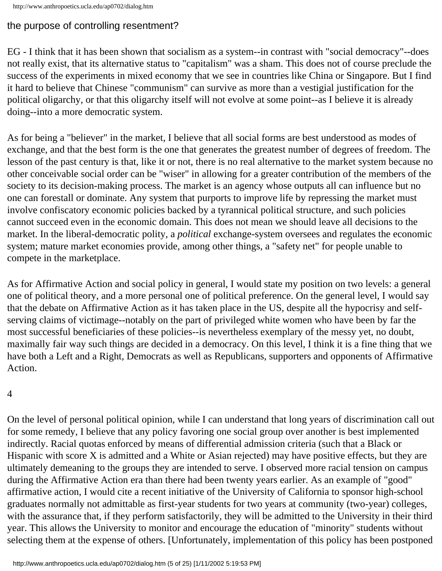#### the purpose of controlling resentment?

EG - I think that it has been shown that socialism as a system--in contrast with "social democracy"--does not really exist, that its alternative status to "capitalism" was a sham. This does not of course preclude the success of the experiments in mixed economy that we see in countries like China or Singapore. But I find it hard to believe that Chinese "communism" can survive as more than a vestigial justification for the political oligarchy, or that this oligarchy itself will not evolve at some point--as I believe it is already doing--into a more democratic system.

As for being a "believer" in the market, I believe that all social forms are best understood as modes of exchange, and that the best form is the one that generates the greatest number of degrees of freedom. The lesson of the past century is that, like it or not, there is no real alternative to the market system because no other conceivable social order can be "wiser" in allowing for a greater contribution of the members of the society to its decision-making process. The market is an agency whose outputs all can influence but no one can forestall or dominate. Any system that purports to improve life by repressing the market must involve confiscatory economic policies backed by a tyrannical political structure, and such policies cannot succeed even in the economic domain. This does not mean we should leave all decisions to the market. In the liberal-democratic polity, a *political* exchange-system oversees and regulates the economic system; mature market economies provide, among other things, a "safety net" for people unable to compete in the marketplace.

As for Affirmative Action and social policy in general, I would state my position on two levels: a general one of political theory, and a more personal one of political preference. On the general level, I would say that the debate on Affirmative Action as it has taken place in the US, despite all the hypocrisy and selfserving claims of victimage--notably on the part of privileged white women who have been by far the most successful beneficiaries of these policies--is nevertheless exemplary of the messy yet, no doubt, maximally fair way such things are decided in a democracy. On this level, I think it is a fine thing that we have both a Left and a Right, Democrats as well as Republicans, supporters and opponents of Affirmative Action.

#### 4

On the level of personal political opinion, while I can understand that long years of discrimination call out for some remedy, I believe that any policy favoring one social group over another is best implemented indirectly. Racial quotas enforced by means of differential admission criteria (such that a Black or Hispanic with score X is admitted and a White or Asian rejected) may have positive effects, but they are ultimately demeaning to the groups they are intended to serve. I observed more racial tension on campus during the Affirmative Action era than there had been twenty years earlier. As an example of "good" affirmative action, I would cite a recent initiative of the University of California to sponsor high-school graduates normally not admittable as first-year students for two years at community (two-year) colleges, with the assurance that, if they perform satisfactorily, they will be admitted to the University in their third year. This allows the University to monitor and encourage the education of "minority" students without selecting them at the expense of others. [Unfortunately, implementation of this policy has been postponed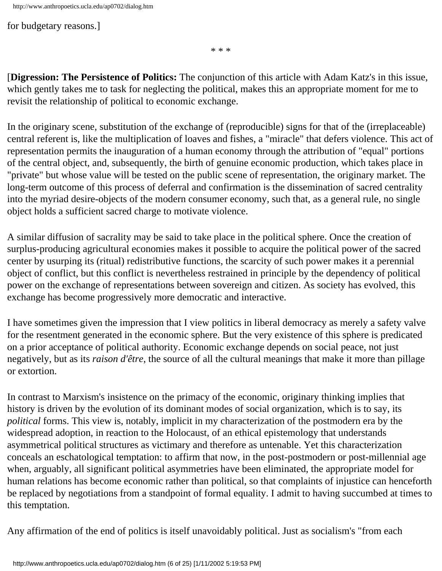for budgetary reasons.]

\* \* \*

[**Digression: The Persistence of Politics:** The conjunction of this article with Adam Katz's in this issue, which gently takes me to task for neglecting the political, makes this an appropriate moment for me to revisit the relationship of political to economic exchange.

In the originary scene, substitution of the exchange of (reproducible) signs for that of the (irreplaceable) central referent is, like the multiplication of loaves and fishes, a "miracle" that defers violence. This act of representation permits the inauguration of a human economy through the attribution of "equal" portions of the central object, and, subsequently, the birth of genuine economic production, which takes place in "private" but whose value will be tested on the public scene of representation, the originary market. The long-term outcome of this process of deferral and confirmation is the dissemination of sacred centrality into the myriad desire-objects of the modern consumer economy, such that, as a general rule, no single object holds a sufficient sacred charge to motivate violence.

A similar diffusion of sacrality may be said to take place in the political sphere. Once the creation of surplus-producing agricultural economies makes it possible to acquire the political power of the sacred center by usurping its (ritual) redistributive functions, the scarcity of such power makes it a perennial object of conflict, but this conflict is nevertheless restrained in principle by the dependency of political power on the exchange of representations between sovereign and citizen. As society has evolved, this exchange has become progressively more democratic and interactive.

I have sometimes given the impression that I view politics in liberal democracy as merely a safety valve for the resentment generated in the economic sphere. But the very existence of this sphere is predicated on a prior acceptance of political authority. Economic exchange depends on social peace, not just negatively, but as its *raison d'être*, the source of all the cultural meanings that make it more than pillage or extortion.

In contrast to Marxism's insistence on the primacy of the economic, originary thinking implies that history is driven by the evolution of its dominant modes of social organization, which is to say, its *political* forms. This view is, notably, implicit in my characterization of the postmodern era by the widespread adoption, in reaction to the Holocaust, of an ethical epistemology that understands asymmetrical political structures as victimary and therefore as untenable. Yet this characterization conceals an eschatological temptation: to affirm that now, in the post-postmodern or post-millennial age when, arguably, all significant political asymmetries have been eliminated, the appropriate model for human relations has become economic rather than political, so that complaints of injustice can henceforth be replaced by negotiations from a standpoint of formal equality. I admit to having succumbed at times to this temptation.

Any affirmation of the end of politics is itself unavoidably political. Just as socialism's "from each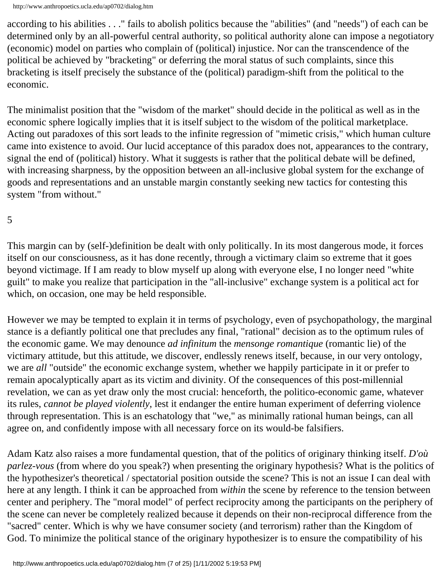according to his abilities . . ." fails to abolish politics because the "abilities" (and "needs") of each can be determined only by an all-powerful central authority, so political authority alone can impose a negotiatory (economic) model on parties who complain of (political) injustice. Nor can the transcendence of the political be achieved by "bracketing" or deferring the moral status of such complaints, since this bracketing is itself precisely the substance of the (political) paradigm-shift from the political to the economic.

The minimalist position that the "wisdom of the market" should decide in the political as well as in the economic sphere logically implies that it is itself subject to the wisdom of the political marketplace. Acting out paradoxes of this sort leads to the infinite regression of "mimetic crisis," which human culture came into existence to avoid. Our lucid acceptance of this paradox does not, appearances to the contrary, signal the end of (political) history. What it suggests is rather that the political debate will be defined, with increasing sharpness, by the opposition between an all-inclusive global system for the exchange of goods and representations and an unstable margin constantly seeking new tactics for contesting this system "from without."

## 5

This margin can by (self-)definition be dealt with only politically. In its most dangerous mode, it forces itself on our consciousness, as it has done recently, through a victimary claim so extreme that it goes beyond victimage. If I am ready to blow myself up along with everyone else, I no longer need "white guilt" to make you realize that participation in the "all-inclusive" exchange system is a political act for which, on occasion, one may be held responsible.

However we may be tempted to explain it in terms of psychology, even of psychopathology, the marginal stance is a defiantly political one that precludes any final, "rational" decision as to the optimum rules of the economic game. We may denounce *ad infinitum* the *mensonge romantique* (romantic lie) of the victimary attitude, but this attitude, we discover, endlessly renews itself, because, in our very ontology, we are *all* "outside" the economic exchange system, whether we happily participate in it or prefer to remain apocalyptically apart as its victim and divinity. Of the consequences of this post-millennial revelation, we can as yet draw only the most crucial: henceforth, the politico-economic game, whatever its rules, *cannot be played violently*, lest it endanger the entire human experiment of deferring violence through representation. This is an eschatology that "we," as minimally rational human beings, can all agree on, and confidently impose with all necessary force on its would-be falsifiers.

Adam Katz also raises a more fundamental question, that of the politics of originary thinking itself. *D'où parlez-vous* (from where do you speak?) when presenting the originary hypothesis? What is the politics of the hypothesizer's theoretical / spectatorial position outside the scene? This is not an issue I can deal with here at any length. I think it can be approached from *within* the scene by reference to the tension between center and periphery. The "moral model" of perfect reciprocity among the participants on the periphery of the scene can never be completely realized because it depends on their non-reciprocal difference from the "sacred" center. Which is why we have consumer society (and terrorism) rather than the Kingdom of God. To minimize the political stance of the originary hypothesizer is to ensure the compatibility of his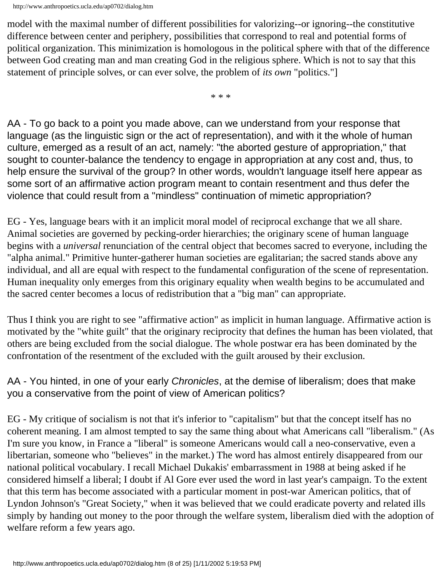```
http://www.anthropoetics.ucla.edu/ap0702/dialog.htm
```
model with the maximal number of different possibilities for valorizing--or ignoring--the constitutive difference between center and periphery, possibilities that correspond to real and potential forms of political organization. This minimization is homologous in the political sphere with that of the difference between God creating man and man creating God in the religious sphere. Which is not to say that this statement of principle solves, or can ever solve, the problem of *its own* "politics."]

\* \* \*

AA - To go back to a point you made above, can we understand from your response that language (as the linguistic sign or the act of representation), and with it the whole of human culture, emerged as a result of an act, namely: "the aborted gesture of appropriation," that sought to counter-balance the tendency to engage in appropriation at any cost and, thus, to help ensure the survival of the group? In other words, wouldn't language itself here appear as some sort of an affirmative action program meant to contain resentment and thus defer the violence that could result from a "mindless" continuation of mimetic appropriation?

EG - Yes, language bears with it an implicit moral model of reciprocal exchange that we all share. Animal societies are governed by pecking-order hierarchies; the originary scene of human language begins with a *universal* renunciation of the central object that becomes sacred to everyone, including the "alpha animal." Primitive hunter-gatherer human societies are egalitarian; the sacred stands above any individual, and all are equal with respect to the fundamental configuration of the scene of representation. Human inequality only emerges from this originary equality when wealth begins to be accumulated and the sacred center becomes a locus of redistribution that a "big man" can appropriate.

Thus I think you are right to see "affirmative action" as implicit in human language. Affirmative action is motivated by the "white guilt" that the originary reciprocity that defines the human has been violated, that others are being excluded from the social dialogue. The whole postwar era has been dominated by the confrontation of the resentment of the excluded with the guilt aroused by their exclusion.

## AA - You hinted, in one of your early *Chronicles*, at the demise of liberalism; does that make you a conservative from the point of view of American politics?

EG - My critique of socialism is not that it's inferior to "capitalism" but that the concept itself has no coherent meaning. I am almost tempted to say the same thing about what Americans call "liberalism." (As I'm sure you know, in France a "liberal" is someone Americans would call a neo-conservative, even a libertarian, someone who "believes" in the market.) The word has almost entirely disappeared from our national political vocabulary. I recall Michael Dukakis' embarrassment in 1988 at being asked if he considered himself a liberal; I doubt if Al Gore ever used the word in last year's campaign. To the extent that this term has become associated with a particular moment in post-war American politics, that of Lyndon Johnson's "Great Society," when it was believed that we could eradicate poverty and related ills simply by handing out money to the poor through the welfare system, liberalism died with the adoption of welfare reform a few years ago.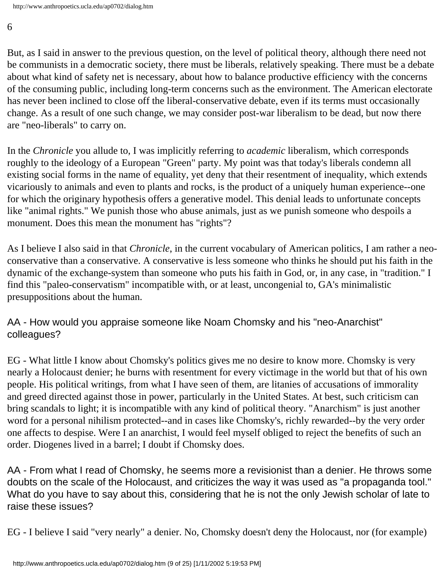But, as I said in answer to the previous question, on the level of political theory, although there need not be communists in a democratic society, there must be liberals, relatively speaking. There must be a debate about what kind of safety net is necessary, about how to balance productive efficiency with the concerns of the consuming public, including long-term concerns such as the environment. The American electorate has never been inclined to close off the liberal-conservative debate, even if its terms must occasionally change. As a result of one such change, we may consider post-war liberalism to be dead, but now there are "neo-liberals" to carry on.

In the *Chronicle* you allude to, I was implicitly referring to *academic* liberalism, which corresponds roughly to the ideology of a European "Green" party. My point was that today's liberals condemn all existing social forms in the name of equality, yet deny that their resentment of inequality, which extends vicariously to animals and even to plants and rocks, is the product of a uniquely human experience--one for which the originary hypothesis offers a generative model. This denial leads to unfortunate concepts like "animal rights." We punish those who abuse animals, just as we punish someone who despoils a monument. Does this mean the monument has "rights"?

As I believe I also said in that *Chronicle*, in the current vocabulary of American politics, I am rather a neoconservative than a conservative. A conservative is less someone who thinks he should put his faith in the dynamic of the exchange-system than someone who puts his faith in God, or, in any case, in "tradition." I find this "paleo-conservatism" incompatible with, or at least, uncongenial to, GA's minimalistic presuppositions about the human.

AA - How would you appraise someone like Noam Chomsky and his "neo-Anarchist" colleagues?

EG - What little I know about Chomsky's politics gives me no desire to know more. Chomsky is very nearly a Holocaust denier; he burns with resentment for every victimage in the world but that of his own people. His political writings, from what I have seen of them, are litanies of accusations of immorality and greed directed against those in power, particularly in the United States. At best, such criticism can bring scandals to light; it is incompatible with any kind of political theory. "Anarchism" is just another word for a personal nihilism protected--and in cases like Chomsky's, richly rewarded--by the very order one affects to despise. Were I an anarchist, I would feel myself obliged to reject the benefits of such an order. Diogenes lived in a barrel; I doubt if Chomsky does.

AA - From what I read of Chomsky, he seems more a revisionist than a denier. He throws some doubts on the scale of the Holocaust, and criticizes the way it was used as "a propaganda tool." What do you have to say about this, considering that he is not the only Jewish scholar of late to raise these issues?

EG - I believe I said "very nearly" a denier. No, Chomsky doesn't deny the Holocaust, nor (for example)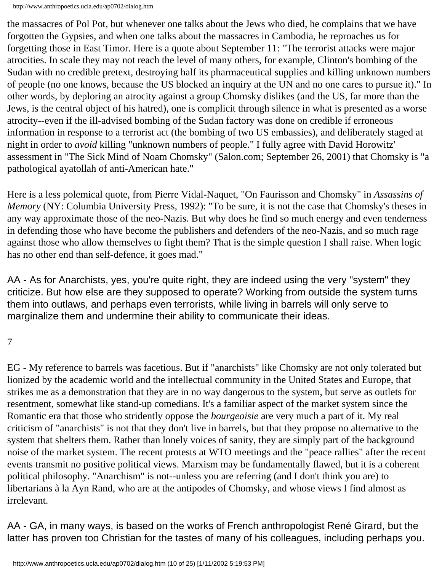the massacres of Pol Pot, but whenever one talks about the Jews who died, he complains that we have forgotten the Gypsies, and when one talks about the massacres in Cambodia, he reproaches us for forgetting those in East Timor. Here is a quote about September 11: "The terrorist attacks were major atrocities. In scale they may not reach the level of many others, for example, Clinton's bombing of the Sudan with no credible pretext, destroying half its pharmaceutical supplies and killing unknown numbers of people (no one knows, because the US blocked an inquiry at the UN and no one cares to pursue it)." In other words, by deploring an atrocity against a group Chomsky dislikes (and the US, far more than the Jews, is the central object of his hatred), one is complicit through silence in what is presented as a worse atrocity--even if the ill-advised bombing of the Sudan factory was done on credible if erroneous information in response to a terrorist act (the bombing of two US embassies), and deliberately staged at night in order to *avoid* killing "unknown numbers of people." I fully agree with David Horowitz' assessment in "The Sick Mind of Noam Chomsky" (Salon.com; September 26, 2001) that Chomsky is "a pathological ayatollah of anti-American hate."

Here is a less polemical quote, from Pierre Vidal-Naquet, "On Faurisson and Chomsky" in *Assassins of Memory* (NY: Columbia University Press, 1992): "To be sure, it is not the case that Chomsky's theses in any way approximate those of the neo-Nazis. But why does he find so much energy and even tenderness in defending those who have become the publishers and defenders of the neo-Nazis, and so much rage against those who allow themselves to fight them? That is the simple question I shall raise. When logic has no other end than self-defence, it goes mad."

AA - As for Anarchists, yes, you're quite right, they are indeed using the very "system" they criticize. But how else are they supposed to operate? Working from outside the system turns them into outlaws, and perhaps even terrorists, while living in barrels will only serve to marginalize them and undermine their ability to communicate their ideas.

#### 7

EG - My reference to barrels was facetious. But if "anarchists" like Chomsky are not only tolerated but lionized by the academic world and the intellectual community in the United States and Europe, that strikes me as a demonstration that they are in no way dangerous to the system, but serve as outlets for resentment, somewhat like stand-up comedians. It's a familiar aspect of the market system since the Romantic era that those who stridently oppose the *bourgeoisie* are very much a part of it. My real criticism of "anarchists" is not that they don't live in barrels, but that they propose no alternative to the system that shelters them. Rather than lonely voices of sanity, they are simply part of the background noise of the market system. The recent protests at WTO meetings and the "peace rallies" after the recent events transmit no positive political views. Marxism may be fundamentally flawed, but it is a coherent political philosophy. "Anarchism" is not--unless you are referring (and I don't think you are) to libertarians à la Ayn Rand, who are at the antipodes of Chomsky, and whose views I find almost as irrelevant.

AA - GA, in many ways, is based on the works of French anthropologist René Girard, but the latter has proven too Christian for the tastes of many of his colleagues, including perhaps you.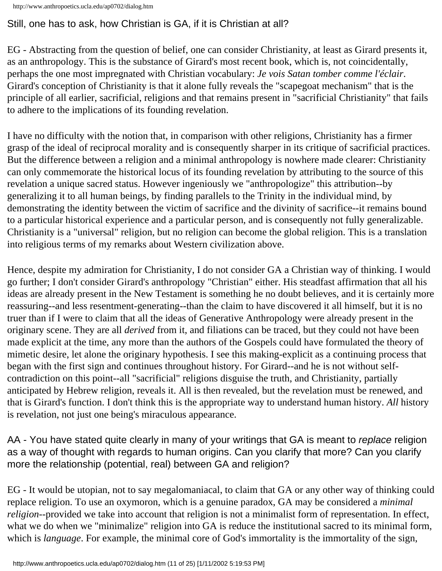Still, one has to ask, how Christian is GA, if it is Christian at all?

EG - Abstracting from the question of belief, one can consider Christianity, at least as Girard presents it, as an anthropology. This is the substance of Girard's most recent book, which is, not coincidentally, perhaps the one most impregnated with Christian vocabulary: *Je vois Satan tomber comme l'éclair*. Girard's conception of Christianity is that it alone fully reveals the "scapegoat mechanism" that is the principle of all earlier, sacrificial, religions and that remains present in "sacrificial Christianity" that fails to adhere to the implications of its founding revelation.

I have no difficulty with the notion that, in comparison with other religions, Christianity has a firmer grasp of the ideal of reciprocal morality and is consequently sharper in its critique of sacrificial practices. But the difference between a religion and a minimal anthropology is nowhere made clearer: Christianity can only commemorate the historical locus of its founding revelation by attributing to the source of this revelation a unique sacred status. However ingeniously we "anthropologize" this attribution--by generalizing it to all human beings, by finding parallels to the Trinity in the individual mind, by demonstrating the identity between the victim of sacrifice and the divinity of sacrifice--it remains bound to a particular historical experience and a particular person, and is consequently not fully generalizable. Christianity is a "universal" religion, but no religion can become the global religion. This is a translation into religious terms of my remarks about Western civilization above.

Hence, despite my admiration for Christianity, I do not consider GA a Christian way of thinking. I would go further; I don't consider Girard's anthropology "Christian" either. His steadfast affirmation that all his ideas are already present in the New Testament is something he no doubt believes, and it is certainly more reassuring--and less resentment-generating--than the claim to have discovered it all himself, but it is no truer than if I were to claim that all the ideas of Generative Anthropology were already present in the originary scene. They are all *derived* from it, and filiations can be traced, but they could not have been made explicit at the time, any more than the authors of the Gospels could have formulated the theory of mimetic desire, let alone the originary hypothesis. I see this making-explicit as a continuing process that began with the first sign and continues throughout history. For Girard--and he is not without selfcontradiction on this point--all "sacrificial" religions disguise the truth, and Christianity, partially anticipated by Hebrew religion, reveals it. All is then revealed, but the revelation must be renewed, and that is Girard's function. I don't think this is the appropriate way to understand human history. *All* history is revelation, not just one being's miraculous appearance.

AA - You have stated quite clearly in many of your writings that GA is meant to *replace* religion as a way of thought with regards to human origins. Can you clarify that more? Can you clarify more the relationship (potential, real) between GA and religion?

EG - It would be utopian, not to say megalomaniacal, to claim that GA or any other way of thinking could replace religion. To use an oxymoron, which is a genuine paradox, GA may be considered a *minimal religion*--provided we take into account that religion is not a minimalist form of representation. In effect, what we do when we "minimalize" religion into GA is reduce the institutional sacred to its minimal form, which is *language*. For example, the minimal core of God's immortality is the immortality of the sign,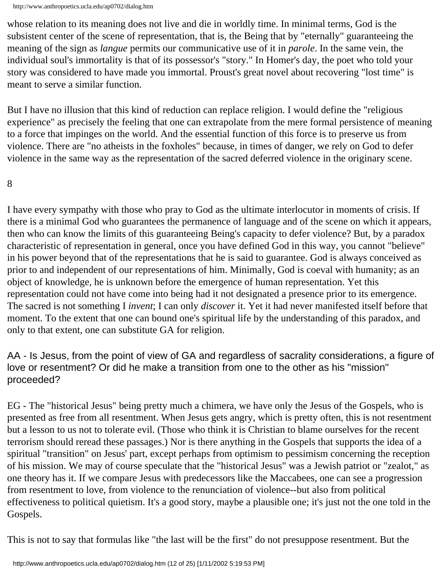whose relation to its meaning does not live and die in worldly time. In minimal terms, God is the subsistent center of the scene of representation, that is, the Being that by "eternally" guaranteeing the meaning of the sign as *langue* permits our communicative use of it in *parole*. In the same vein, the individual soul's immortality is that of its possessor's "story." In Homer's day, the poet who told your story was considered to have made you immortal. Proust's great novel about recovering "lost time" is meant to serve a similar function.

But I have no illusion that this kind of reduction can replace religion. I would define the "religious experience" as precisely the feeling that one can extrapolate from the mere formal persistence of meaning to a force that impinges on the world. And the essential function of this force is to preserve us from violence. There are "no atheists in the foxholes" because, in times of danger, we rely on God to defer violence in the same way as the representation of the sacred deferred violence in the originary scene.

8

I have every sympathy with those who pray to God as the ultimate interlocutor in moments of crisis. If there is a minimal God who guarantees the permanence of language and of the scene on which it appears, then who can know the limits of this guaranteeing Being's capacity to defer violence? But, by a paradox characteristic of representation in general, once you have defined God in this way, you cannot "believe" in his power beyond that of the representations that he is said to guarantee. God is always conceived as prior to and independent of our representations of him. Minimally, God is coeval with humanity; as an object of knowledge, he is unknown before the emergence of human representation. Yet this representation could not have come into being had it not designated a presence prior to its emergence. The sacred is not something I *invent*; I can only *discover* it. Yet it had never manifested itself before that moment. To the extent that one can bound one's spiritual life by the understanding of this paradox, and only to that extent, one can substitute GA for religion.

AA - Is Jesus, from the point of view of GA and regardless of sacrality considerations, a figure of love or resentment? Or did he make a transition from one to the other as his "mission" proceeded?

EG - The "historical Jesus" being pretty much a chimera, we have only the Jesus of the Gospels, who is presented as free from all resentment. When Jesus gets angry, which is pretty often, this is not resentment but a lesson to us not to tolerate evil. (Those who think it is Christian to blame ourselves for the recent terrorism should reread these passages.) Nor is there anything in the Gospels that supports the idea of a spiritual "transition" on Jesus' part, except perhaps from optimism to pessimism concerning the reception of his mission. We may of course speculate that the "historical Jesus" was a Jewish patriot or "zealot," as one theory has it. If we compare Jesus with predecessors like the Maccabees, one can see a progression from resentment to love, from violence to the renunciation of violence--but also from political effectiveness to political quietism. It's a good story, maybe a plausible one; it's just not the one told in the Gospels.

This is not to say that formulas like "the last will be the first" do not presuppose resentment. But the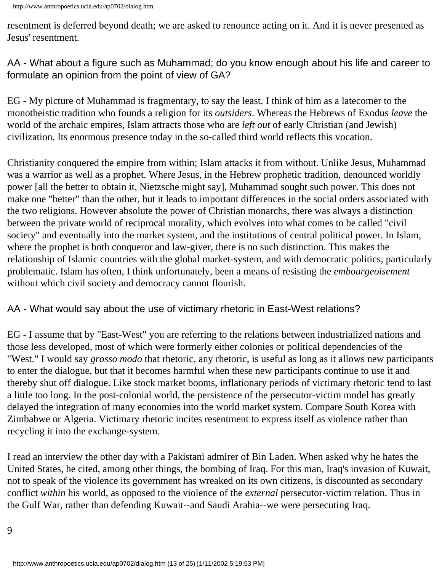resentment is deferred beyond death; we are asked to renounce acting on it. And it is never presented as Jesus' resentment.

AA - What about a figure such as Muhammad; do you know enough about his life and career to formulate an opinion from the point of view of GA?

EG - My picture of Muhammad is fragmentary, to say the least. I think of him as a latecomer to the monotheistic tradition who founds a religion for its *outsiders*. Whereas the Hebrews of Exodus *leave* the world of the archaic empires, Islam attracts those who are *left out* of early Christian (and Jewish) civilization. Its enormous presence today in the so-called third world reflects this vocation.

Christianity conquered the empire from within; Islam attacks it from without. Unlike Jesus, Muhammad was a warrior as well as a prophet. Where Jesus, in the Hebrew prophetic tradition, denounced worldly power [all the better to obtain it, Nietzsche might say], Muhammad sought such power. This does not make one "better" than the other, but it leads to important differences in the social orders associated with the two religions. However absolute the power of Christian monarchs, there was always a distinction between the private world of reciprocal morality, which evolves into what comes to be called "civil society" and eventually into the market system, and the institutions of central political power. In Islam, where the prophet is both conqueror and law-giver, there is no such distinction. This makes the relationship of Islamic countries with the global market-system, and with democratic politics, particularly problematic. Islam has often, I think unfortunately, been a means of resisting the *embourgeoisement* without which civil society and democracy cannot flourish.

## AA - What would say about the use of victimary rhetoric in East-West relations?

EG - I assume that by "East-West" you are referring to the relations between industrialized nations and those less developed, most of which were formerly either colonies or political dependencies of the "West." I would say *grosso modo* that rhetoric, any rhetoric, is useful as long as it allows new participants to enter the dialogue, but that it becomes harmful when these new participants continue to use it and thereby shut off dialogue. Like stock market booms, inflationary periods of victimary rhetoric tend to last a little too long. In the post-colonial world, the persistence of the persecutor-victim model has greatly delayed the integration of many economies into the world market system. Compare South Korea with Zimbabwe or Algeria. Victimary rhetoric incites resentment to express itself as violence rather than recycling it into the exchange-system.

I read an interview the other day with a Pakistani admirer of Bin Laden. When asked why he hates the United States, he cited, among other things, the bombing of Iraq. For this man, Iraq's invasion of Kuwait, not to speak of the violence its government has wreaked on its own citizens, is discounted as secondary conflict *within* his world, as opposed to the violence of the *external* persecutor-victim relation. Thus in the Gulf War, rather than defending Kuwait--and Saudi Arabia--we were persecuting Iraq.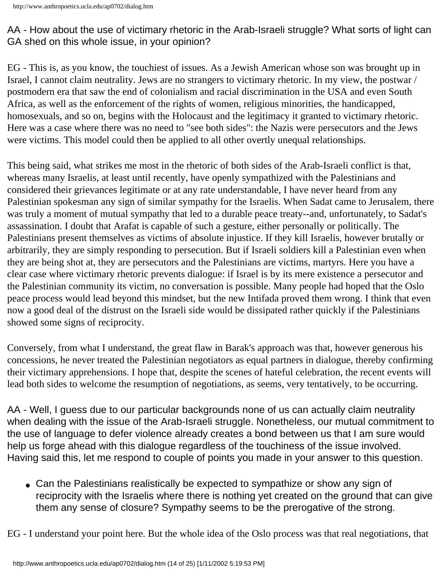AA - How about the use of victimary rhetoric in the Arab-Israeli struggle? What sorts of light can GA shed on this whole issue, in your opinion?

EG - This is, as you know, the touchiest of issues. As a Jewish American whose son was brought up in Israel, I cannot claim neutrality. Jews are no strangers to victimary rhetoric. In my view, the postwar / postmodern era that saw the end of colonialism and racial discrimination in the USA and even South Africa, as well as the enforcement of the rights of women, religious minorities, the handicapped, homosexuals, and so on, begins with the Holocaust and the legitimacy it granted to victimary rhetoric. Here was a case where there was no need to "see both sides": the Nazis were persecutors and the Jews were victims. This model could then be applied to all other overtly unequal relationships.

This being said, what strikes me most in the rhetoric of both sides of the Arab-Israeli conflict is that, whereas many Israelis, at least until recently, have openly sympathized with the Palestinians and considered their grievances legitimate or at any rate understandable, I have never heard from any Palestinian spokesman any sign of similar sympathy for the Israelis. When Sadat came to Jerusalem, there was truly a moment of mutual sympathy that led to a durable peace treaty--and, unfortunately, to Sadat's assassination. I doubt that Arafat is capable of such a gesture, either personally or politically. The Palestinians present themselves as victims of absolute injustice. If they kill Israelis, however brutally or arbitrarily, they are simply responding to persecution. But if Israeli soldiers kill a Palestinian even when they are being shot at, they are persecutors and the Palestinians are victims, martyrs. Here you have a clear case where victimary rhetoric prevents dialogue: if Israel is by its mere existence a persecutor and the Palestinian community its victim, no conversation is possible. Many people had hoped that the Oslo peace process would lead beyond this mindset, but the new Intifada proved them wrong. I think that even now a good deal of the distrust on the Israeli side would be dissipated rather quickly if the Palestinians showed some signs of reciprocity.

Conversely, from what I understand, the great flaw in Barak's approach was that, however generous his concessions, he never treated the Palestinian negotiators as equal partners in dialogue, thereby confirming their victimary apprehensions. I hope that, despite the scenes of hateful celebration, the recent events will lead both sides to welcome the resumption of negotiations, as seems, very tentatively, to be occurring.

AA - Well, I guess due to our particular backgrounds none of us can actually claim neutrality when dealing with the issue of the Arab-Israeli struggle. Nonetheless, our mutual commitment to the use of language to defer violence already creates a bond between us that I am sure would help us forge ahead with this dialogue regardless of the touchiness of the issue involved. Having said this, let me respond to couple of points you made in your answer to this question.

• Can the Palestinians realistically be expected to sympathize or show any sign of reciprocity with the Israelis where there is nothing yet created on the ground that can give them any sense of closure? Sympathy seems to be the prerogative of the strong.

EG - I understand your point here. But the whole idea of the Oslo process was that real negotiations, that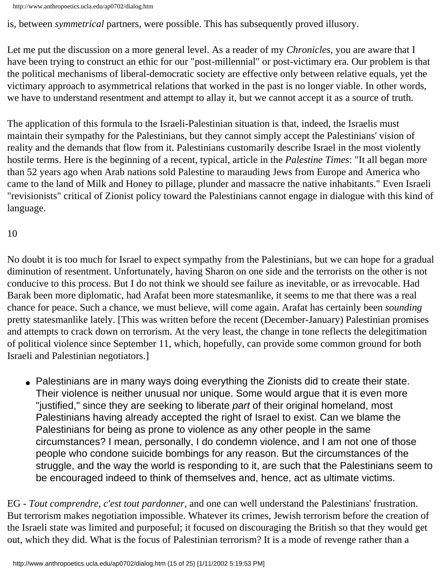is, between *symmetrical* partners, were possible. This has subsequently proved illusory.

Let me put the discussion on a more general level. As a reader of my *Chronicles*, you are aware that I have been trying to construct an ethic for our "post-millennial" or post-victimary era. Our problem is that the political mechanisms of liberal-democratic society are effective only between relative equals, yet the victimary approach to asymmetrical relations that worked in the past is no longer viable. In other words, we have to understand resentment and attempt to allay it, but we cannot accept it as a source of truth.

The application of this formula to the Israeli-Palestinian situation is that, indeed, the Israelis must maintain their sympathy for the Palestinians, but they cannot simply accept the Palestinians' vision of reality and the demands that flow from it. Palestinians customarily describe Israel in the most violently hostile terms. Here is the beginning of a recent, typical, article in the *Palestine Times*: "It all began more than 52 years ago when Arab nations sold Palestine to marauding Jews from Europe and America who came to the land of Milk and Honey to pillage, plunder and massacre the native inhabitants." Even Israeli "revisionists" critical of Zionist policy toward the Palestinians cannot engage in dialogue with this kind of language.

## 10

No doubt it is too much for Israel to expect sympathy from the Palestinians, but we can hope for a gradual diminution of resentment. Unfortunately, having Sharon on one side and the terrorists on the other is not conducive to this process. But I do not think we should see failure as inevitable, or as irrevocable. Had Barak been more diplomatic, had Arafat been more statesmanlike, it seems to me that there was a real chance for peace. Such a chance, we must believe, will come again. Arafat has certainly been *sounding* pretty statesmanlike lately. [This was written before the recent (December-January) Palestinian promises and attempts to crack down on terrorism. At the very least, the change in tone reflects the delegitimation of political violence since September 11, which, hopefully, can provide some common ground for both Israeli and Palestinian negotiators.]

• Palestinians are in many ways doing everything the Zionists did to create their state. Their violence is neither unusual nor unique. Some would argue that it is even more "justified," since they are seeking to liberate *part* of their original homeland, most Palestinians having already accepted the right of Israel to exist. Can we blame the Palestinians for being as prone to violence as any other people in the same circumstances? I mean, personally, I do condemn violence, and I am not one of those people who condone suicide bombings for any reason. But the circumstances of the struggle, and the way the world is responding to it, are such that the Palestinians seem to be encouraged indeed to think of themselves and, hence, act as ultimate victims.

EG - *Tout comprendre, c'est tout pardonner,* and one can well understand the Palestinians' frustration. But terrorism makes negotiation impossible. Whatever its crimes, Jewish terrorism before the creation of the Israeli state was limited and purposeful; it focused on discouraging the British so that they would get out, which they did. What is the focus of Palestinian terrorism? It is a mode of revenge rather than a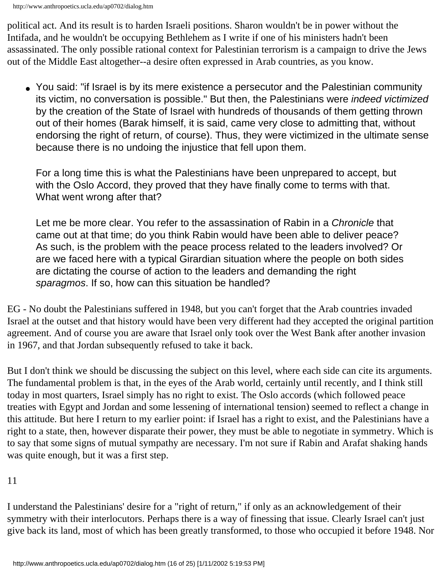political act. And its result is to harden Israeli positions. Sharon wouldn't be in power without the Intifada, and he wouldn't be occupying Bethlehem as I write if one of his ministers hadn't been assassinated. The only possible rational context for Palestinian terrorism is a campaign to drive the Jews out of the Middle East altogether--a desire often expressed in Arab countries, as you know.

• You said: "if Israel is by its mere existence a persecutor and the Palestinian community its victim, no conversation is possible." But then, the Palestinians were *indeed victimized* by the creation of the State of Israel with hundreds of thousands of them getting thrown out of their homes (Barak himself, it is said, came very close to admitting that, without endorsing the right of return, of course). Thus, they were victimized in the ultimate sense because there is no undoing the injustice that fell upon them.

For a long time this is what the Palestinians have been unprepared to accept, but with the Oslo Accord, they proved that they have finally come to terms with that. What went wrong after that?

Let me be more clear. You refer to the assassination of Rabin in a *Chronicle* that came out at that time; do you think Rabin would have been able to deliver peace? As such, is the problem with the peace process related to the leaders involved? Or are we faced here with a typical Girardian situation where the people on both sides are dictating the course of action to the leaders and demanding the right *sparagmos*. If so, how can this situation be handled?

EG - No doubt the Palestinians suffered in 1948, but you can't forget that the Arab countries invaded Israel at the outset and that history would have been very different had they accepted the original partition agreement. And of course you are aware that Israel only took over the West Bank after another invasion in 1967, and that Jordan subsequently refused to take it back.

But I don't think we should be discussing the subject on this level, where each side can cite its arguments. The fundamental problem is that, in the eyes of the Arab world, certainly until recently, and I think still today in most quarters, Israel simply has no right to exist. The Oslo accords (which followed peace treaties with Egypt and Jordan and some lessening of international tension) seemed to reflect a change in this attitude. But here I return to my earlier point: if Israel has a right to exist, and the Palestinians have a right to a state, then, however disparate their power, they must be able to negotiate in symmetry. Which is to say that some signs of mutual sympathy are necessary. I'm not sure if Rabin and Arafat shaking hands was quite enough, but it was a first step.

#### 11

I understand the Palestinians' desire for a "right of return," if only as an acknowledgement of their symmetry with their interlocutors. Perhaps there is a way of finessing that issue. Clearly Israel can't just give back its land, most of which has been greatly transformed, to those who occupied it before 1948. Nor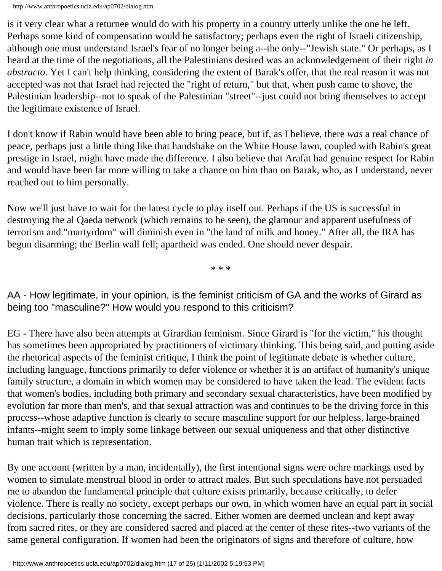is it very clear what a returnee would do with his property in a country utterly unlike the one he left. Perhaps some kind of compensation would be satisfactory; perhaps even the right of Israeli citizenship, although one must understand Israel's fear of no longer being a--the only--"Jewish state." Or perhaps, as I heard at the time of the negotiations, all the Palestinians desired was an acknowledgement of their right *in abstracto*. Yet I can't help thinking, considering the extent of Barak's offer, that the real reason it was not accepted was not that Israel had rejected the "right of return," but that, when push came to shove, the Palestinian leadership--not to speak of the Palestinian "street"--just could not bring themselves to accept the legitimate existence of Israel.

I don't know if Rabin would have been able to bring peace, but if, as I believe, there *was* a real chance of peace, perhaps just a little thing like that handshake on the White House lawn, coupled with Rabin's great prestige in Israel, might have made the difference. I also believe that Arafat had genuine respect for Rabin and would have been far more willing to take a chance on him than on Barak, who, as I understand, never reached out to him personally.

Now we'll just have to wait for the latest cycle to play itself out. Perhaps if the US is successful in destroying the al Qaeda network (which remains to be seen), the glamour and apparent usefulness of terrorism and "martyrdom" will diminish even in "the land of milk and honey." After all, the IRA has begun disarming; the Berlin wall fell; apartheid was ended. One should never despair.

\* \* \*

AA - How legitimate, in your opinion, is the feminist criticism of GA and the works of Girard as being too "masculine?" How would you respond to this criticism?

EG - There have also been attempts at Girardian feminism. Since Girard is "for the victim," his thought has sometimes been appropriated by practitioners of victimary thinking. This being said, and putting aside the rhetorical aspects of the feminist critique, I think the point of legitimate debate is whether culture, including language, functions primarily to defer violence or whether it is an artifact of humanity's unique family structure, a domain in which women may be considered to have taken the lead. The evident facts that women's bodies, including both primary and secondary sexual characteristics, have been modified by evolution far more than men's, and that sexual attraction was and continues to be the driving force in this process--whose adaptive function is clearly to secure masculine support for our helpless, large-brained infants--might seem to imply some linkage between our sexual uniqueness and that other distinctive human trait which is representation.

By one account (written by a man, incidentally), the first intentional signs were ochre markings used by women to simulate menstrual blood in order to attract males. But such speculations have not persuaded me to abandon the fundamental principle that culture exists primarily, because critically, to defer violence. There is really no society, except perhaps our own, in which women have an equal part in social decisions, particularly those concerning the sacred. Either women are deemed unclean and kept away from sacred rites, or they are considered sacred and placed at the center of these rites--two variants of the same general configuration. If women had been the originators of signs and therefore of culture, how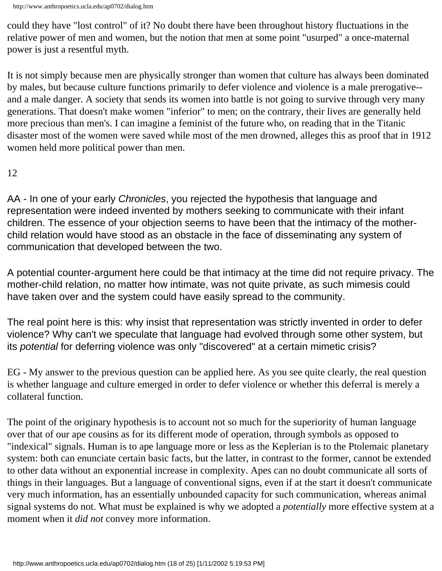could they have "lost control" of it? No doubt there have been throughout history fluctuations in the relative power of men and women, but the notion that men at some point "usurped" a once-maternal power is just a resentful myth.

It is not simply because men are physically stronger than women that culture has always been dominated by males, but because culture functions primarily to defer violence and violence is a male prerogative- and a male danger. A society that sends its women into battle is not going to survive through very many generations. That doesn't make women "inferior" to men; on the contrary, their lives are generally held more precious than men's. I can imagine a feminist of the future who, on reading that in the Titanic disaster most of the women were saved while most of the men drowned, alleges this as proof that in 1912 women held more political power than men.

12

AA - In one of your early *Chronicles*, you rejected the hypothesis that language and representation were indeed invented by mothers seeking to communicate with their infant children. The essence of your objection seems to have been that the intimacy of the motherchild relation would have stood as an obstacle in the face of disseminating any system of communication that developed between the two.

A potential counter-argument here could be that intimacy at the time did not require privacy. The mother-child relation, no matter how intimate, was not quite private, as such mimesis could have taken over and the system could have easily spread to the community.

The real point here is this: why insist that representation was strictly invented in order to defer violence? Why can't we speculate that language had evolved through some other system, but its *potential* for deferring violence was only "discovered" at a certain mimetic crisis?

EG - My answer to the previous question can be applied here. As you see quite clearly, the real question is whether language and culture emerged in order to defer violence or whether this deferral is merely a collateral function.

The point of the originary hypothesis is to account not so much for the superiority of human language over that of our ape cousins as for its different mode of operation, through symbols as opposed to "indexical" signals. Human is to ape language more or less as the Keplerian is to the Ptolemaic planetary system: both can enunciate certain basic facts, but the latter, in contrast to the former, cannot be extended to other data without an exponential increase in complexity. Apes can no doubt communicate all sorts of things in their languages. But a language of conventional signs, even if at the start it doesn't communicate very much information, has an essentially unbounded capacity for such communication, whereas animal signal systems do not. What must be explained is why we adopted a *potentially* more effective system at a moment when it *did not* convey more information.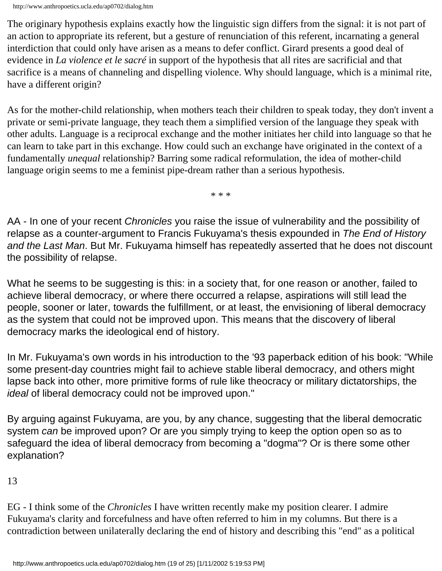The originary hypothesis explains exactly how the linguistic sign differs from the signal: it is not part of an action to appropriate its referent, but a gesture of renunciation of this referent, incarnating a general interdiction that could only have arisen as a means to defer conflict. Girard presents a good deal of evidence in *La violence et le sacré* in support of the hypothesis that all rites are sacrificial and that sacrifice is a means of channeling and dispelling violence. Why should language, which is a minimal rite, have a different origin?

As for the mother-child relationship, when mothers teach their children to speak today, they don't invent a private or semi-private language, they teach them a simplified version of the language they speak with other adults. Language is a reciprocal exchange and the mother initiates her child into language so that he can learn to take part in this exchange. How could such an exchange have originated in the context of a fundamentally *unequal* relationship? Barring some radical reformulation, the idea of mother-child language origin seems to me a feminist pipe-dream rather than a serious hypothesis.

\* \* \*

AA - In one of your recent *Chronicles* you raise the issue of vulnerability and the possibility of relapse as a counter-argument to Francis Fukuyama's thesis expounded in *The End of History and the Last Man*. But Mr. Fukuyama himself has repeatedly asserted that he does not discount the possibility of relapse.

What he seems to be suggesting is this: in a society that, for one reason or another, failed to achieve liberal democracy, or where there occurred a relapse, aspirations will still lead the people, sooner or later, towards the fulfillment, or at least, the envisioning of liberal democracy as the system that could not be improved upon. This means that the discovery of liberal democracy marks the ideological end of history.

In Mr. Fukuyama's own words in his introduction to the '93 paperback edition of his book: "While some present-day countries might fail to achieve stable liberal democracy, and others might lapse back into other, more primitive forms of rule like theocracy or military dictatorships, the *ideal* of liberal democracy could not be improved upon."

By arguing against Fukuyama, are you, by any chance, suggesting that the liberal democratic system *can* be improved upon? Or are you simply trying to keep the option open so as to safeguard the idea of liberal democracy from becoming a "dogma"? Or is there some other explanation?

13

EG - I think some of the *Chronicles* I have written recently make my position clearer. I admire Fukuyama's clarity and forcefulness and have often referred to him in my columns. But there is a contradiction between unilaterally declaring the end of history and describing this "end" as a political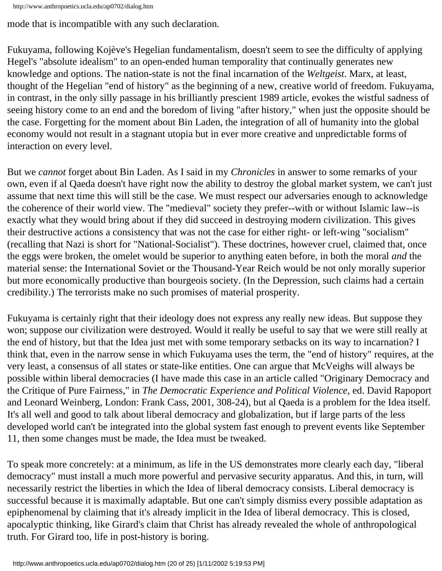http://www.anthropoetics.ucla.edu/ap0702/dialog.htm

mode that is incompatible with any such declaration.

Fukuyama, following Kojève's Hegelian fundamentalism, doesn't seem to see the difficulty of applying Hegel's "absolute idealism" to an open-ended human temporality that continually generates new knowledge and options. The nation-state is not the final incarnation of the *Weltgeist*. Marx, at least, thought of the Hegelian "end of history" as the beginning of a new, creative world of freedom. Fukuyama, in contrast, in the only silly passage in his brilliantly prescient 1989 article, evokes the wistful sadness of seeing history come to an end and the boredom of living "after history," when just the opposite should be the case. Forgetting for the moment about Bin Laden, the integration of all of humanity into the global economy would not result in a stagnant utopia but in ever more creative and unpredictable forms of interaction on every level.

But we *cannot* forget about Bin Laden. As I said in my *Chronicles* in answer to some remarks of your own, even if al Qaeda doesn't have right now the ability to destroy the global market system, we can't just assume that next time this will still be the case. We must respect our adversaries enough to acknowledge the coherence of their world view. The "medieval" society they prefer--with or without Islamic law--is exactly what they would bring about if they did succeed in destroying modern civilization. This gives their destructive actions a consistency that was not the case for either right- or left-wing "socialism" (recalling that Nazi is short for "National-Socialist"). These doctrines, however cruel, claimed that, once the eggs were broken, the omelet would be superior to anything eaten before, in both the moral *and* the material sense: the International Soviet or the Thousand-Year Reich would be not only morally superior but more economically productive than bourgeois society. (In the Depression, such claims had a certain credibility.) The terrorists make no such promises of material prosperity.

Fukuyama is certainly right that their ideology does not express any really new ideas. But suppose they won; suppose our civilization were destroyed. Would it really be useful to say that we were still really at the end of history, but that the Idea just met with some temporary setbacks on its way to incarnation? I think that, even in the narrow sense in which Fukuyama uses the term, the "end of history" requires, at the very least, a consensus of all states or state-like entities. One can argue that McVeighs will always be possible within liberal democracies (I have made this case in an article called "Originary Democracy and the Critique of Pure Fairness," in *The Democratic Experience and Political Violence,* ed. David Rapoport and Leonard Weinberg, London: Frank Cass, 2001, 308-24), but al Qaeda is a problem for the Idea itself. It's all well and good to talk about liberal democracy and globalization, but if large parts of the less developed world can't be integrated into the global system fast enough to prevent events like September 11, then some changes must be made, the Idea must be tweaked.

To speak more concretely: at a minimum, as life in the US demonstrates more clearly each day, "liberal democracy" must install a much more powerful and pervasive security apparatus. And this, in turn, will necessarily restrict the liberties in which the Idea of liberal democracy consists. Liberal democracy is successful because it is maximally adaptable. But one can't simply dismiss every possible adaptation as epiphenomenal by claiming that it's already implicit in the Idea of liberal democracy. This is closed, apocalyptic thinking, like Girard's claim that Christ has already revealed the whole of anthropological truth. For Girard too, life in post-history is boring.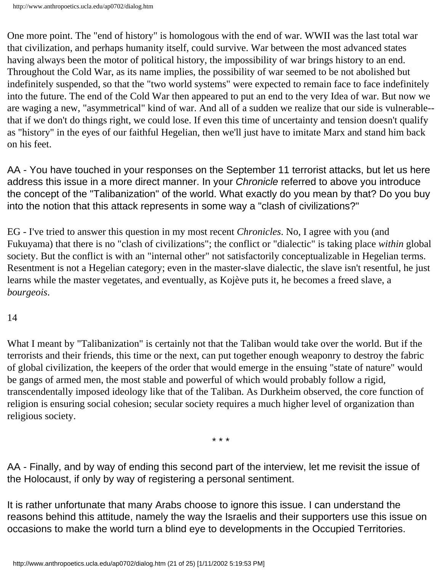One more point. The "end of history" is homologous with the end of war. WWII was the last total war that civilization, and perhaps humanity itself, could survive. War between the most advanced states having always been the motor of political history, the impossibility of war brings history to an end. Throughout the Cold War, as its name implies, the possibility of war seemed to be not abolished but indefinitely suspended, so that the "two world systems" were expected to remain face to face indefinitely into the future. The end of the Cold War then appeared to put an end to the very Idea of war. But now we are waging a new, "asymmetrical" kind of war. And all of a sudden we realize that our side is vulnerable- that if we don't do things right, we could lose. If even this time of uncertainty and tension doesn't qualify as "history" in the eyes of our faithful Hegelian, then we'll just have to imitate Marx and stand him back on his feet.

AA - You have touched in your responses on the September 11 terrorist attacks, but let us here address this issue in a more direct manner. In your *Chronicle* referred to above you introduce the concept of the "Talibanization" of the world. What exactly do you mean by that? Do you buy into the notion that this attack represents in some way a "clash of civilizations?"

EG - I've tried to answer this question in my most recent *Chronicles*. No, I agree with you (and Fukuyama) that there is no "clash of civilizations"; the conflict or "dialectic" is taking place *within* global society. But the conflict is with an "internal other" not satisfactorily conceptualizable in Hegelian terms. Resentment is not a Hegelian category; even in the master-slave dialectic, the slave isn't resentful, he just learns while the master vegetates, and eventually, as Kojève puts it, he becomes a freed slave, a *bourgeois*.

#### 14

What I meant by "Talibanization" is certainly not that the Taliban would take over the world. But if the terrorists and their friends, this time or the next, can put together enough weaponry to destroy the fabric of global civilization, the keepers of the order that would emerge in the ensuing "state of nature" would be gangs of armed men, the most stable and powerful of which would probably follow a rigid, transcendentally imposed ideology like that of the Taliban. As Durkheim observed, the core function of religion is ensuring social cohesion; secular society requires a much higher level of organization than religious society.

\* \* \*

AA - Finally, and by way of ending this second part of the interview, let me revisit the issue of the Holocaust, if only by way of registering a personal sentiment.

It is rather unfortunate that many Arabs choose to ignore this issue. I can understand the reasons behind this attitude, namely the way the Israelis and their supporters use this issue on occasions to make the world turn a blind eye to developments in the Occupied Territories.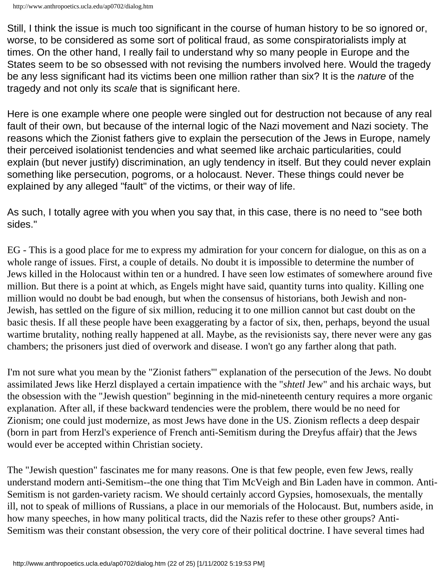Still, I think the issue is much too significant in the course of human history to be so ignored or, worse, to be considered as some sort of political fraud, as some conspiratorialists imply at times. On the other hand, I really fail to understand why so many people in Europe and the States seem to be so obsessed with not revising the numbers involved here. Would the tragedy be any less significant had its victims been one million rather than six? It is the *nature* of the tragedy and not only its *scale* that is significant here.

Here is one example where one people were singled out for destruction not because of any real fault of their own, but because of the internal logic of the Nazi movement and Nazi society. The reasons which the Zionist fathers give to explain the persecution of the Jews in Europe, namely their perceived isolationist tendencies and what seemed like archaic particularities, could explain (but never justify) discrimination, an ugly tendency in itself. But they could never explain something like persecution, pogroms, or a holocaust. Never. These things could never be explained by any alleged "fault" of the victims, or their way of life.

As such, I totally agree with you when you say that, in this case, there is no need to "see both sides."

EG - This is a good place for me to express my admiration for your concern for dialogue, on this as on a whole range of issues. First, a couple of details. No doubt it is impossible to determine the number of Jews killed in the Holocaust within ten or a hundred. I have seen low estimates of somewhere around five million. But there is a point at which, as Engels might have said, quantity turns into quality. Killing one million would no doubt be bad enough, but when the consensus of historians, both Jewish and non-Jewish, has settled on the figure of six million, reducing it to one million cannot but cast doubt on the basic thesis. If all these people have been exaggerating by a factor of six, then, perhaps, beyond the usual wartime brutality, nothing really happened at all. Maybe, as the revisionists say, there never were any gas chambers; the prisoners just died of overwork and disease. I won't go any farther along that path.

I'm not sure what you mean by the "Zionist fathers"' explanation of the persecution of the Jews. No doubt assimilated Jews like Herzl displayed a certain impatience with the "*shtetl* Jew" and his archaic ways, but the obsession with the "Jewish question" beginning in the mid-nineteenth century requires a more organic explanation. After all, if these backward tendencies were the problem, there would be no need for Zionism; one could just modernize, as most Jews have done in the US. Zionism reflects a deep despair (born in part from Herzl's experience of French anti-Semitism during the Dreyfus affair) that the Jews would ever be accepted within Christian society.

The "Jewish question" fascinates me for many reasons. One is that few people, even few Jews, really understand modern anti-Semitism--the one thing that Tim McVeigh and Bin Laden have in common. Anti-Semitism is not garden-variety racism. We should certainly accord Gypsies, homosexuals, the mentally ill, not to speak of millions of Russians, a place in our memorials of the Holocaust. But, numbers aside, in how many speeches, in how many political tracts, did the Nazis refer to these other groups? Anti-Semitism was their constant obsession, the very core of their political doctrine. I have several times had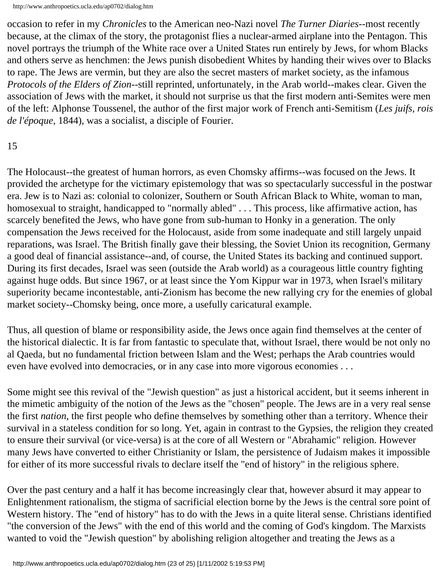http://www.anthropoetics.ucla.edu/ap0702/dialog.htm

occasion to refer in my *Chronicles* to the American neo-Nazi novel *The Turner Diaries--*most recently because, at the climax of the story, the protagonist flies a nuclear-armed airplane into the Pentagon. This novel portrays the triumph of the White race over a United States run entirely by Jews, for whom Blacks and others serve as henchmen: the Jews punish disobedient Whites by handing their wives over to Blacks to rape. The Jews are vermin, but they are also the secret masters of market society, as the infamous *Protocols of the Elders of Zion*--still reprinted, unfortunately, in the Arab world--makes clear. Given the association of Jews with the market, it should not surprise us that the first modern anti-Semites were men of the left: Alphonse Toussenel, the author of the first major work of French anti-Semitism (*Les juifs, rois de l'époque*, 1844), was a socialist, a disciple of Fourier.

## 15

The Holocaust--the greatest of human horrors, as even Chomsky affirms--was focused on the Jews. It provided the archetype for the victimary epistemology that was so spectacularly successful in the postwar era. Jew is to Nazi as: colonial to colonizer, Southern or South African Black to White, woman to man, homosexual to straight, handicapped to "normally abled" . . . This process, like affirmative action, has scarcely benefited the Jews, who have gone from sub-human to Honky in a generation. The only compensation the Jews received for the Holocaust, aside from some inadequate and still largely unpaid reparations, was Israel. The British finally gave their blessing, the Soviet Union its recognition, Germany a good deal of financial assistance--and, of course, the United States its backing and continued support. During its first decades, Israel was seen (outside the Arab world) as a courageous little country fighting against huge odds. But since 1967, or at least since the Yom Kippur war in 1973, when Israel's military superiority became incontestable, anti-Zionism has become the new rallying cry for the enemies of global market society--Chomsky being, once more, a usefully caricatural example.

Thus, all question of blame or responsibility aside, the Jews once again find themselves at the center of the historical dialectic. It is far from fantastic to speculate that, without Israel, there would be not only no al Qaeda, but no fundamental friction between Islam and the West; perhaps the Arab countries would even have evolved into democracies, or in any case into more vigorous economies . . .

Some might see this revival of the "Jewish question" as just a historical accident, but it seems inherent in the mimetic ambiguity of the notion of the Jews as the "chosen" people. The Jews are in a very real sense the first *nation*, the first people who define themselves by something other than a territory. Whence their survival in a stateless condition for so long. Yet, again in contrast to the Gypsies, the religion they created to ensure their survival (or vice-versa) is at the core of all Western or "Abrahamic" religion. However many Jews have converted to either Christianity or Islam, the persistence of Judaism makes it impossible for either of its more successful rivals to declare itself the "end of history" in the religious sphere.

Over the past century and a half it has become increasingly clear that, however absurd it may appear to Enlightenment rationalism, the stigma of sacrificial election borne by the Jews is the central sore point of Western history. The "end of history" has to do with the Jews in a quite literal sense. Christians identified "the conversion of the Jews" with the end of this world and the coming of God's kingdom. The Marxists wanted to void the "Jewish question" by abolishing religion altogether and treating the Jews as a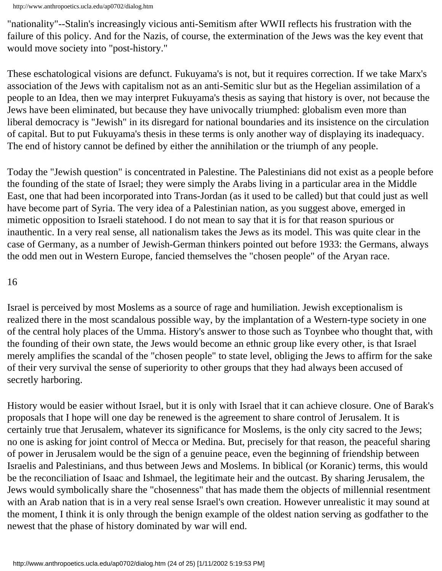"nationality"--Stalin's increasingly vicious anti-Semitism after WWII reflects his frustration with the failure of this policy. And for the Nazis, of course, the extermination of the Jews was the key event that would move society into "post-history."

These eschatological visions are defunct. Fukuyama's is not, but it requires correction. If we take Marx's association of the Jews with capitalism not as an anti-Semitic slur but as the Hegelian assimilation of a people to an Idea, then we may interpret Fukuyama's thesis as saying that history is over, not because the Jews have been eliminated, but because they have univocally triumphed: globalism even more than liberal democracy is "Jewish" in its disregard for national boundaries and its insistence on the circulation of capital. But to put Fukuyama's thesis in these terms is only another way of displaying its inadequacy. The end of history cannot be defined by either the annihilation or the triumph of any people.

Today the "Jewish question" is concentrated in Palestine. The Palestinians did not exist as a people before the founding of the state of Israel; they were simply the Arabs living in a particular area in the Middle East, one that had been incorporated into Trans-Jordan (as it used to be called) but that could just as well have become part of Syria. The very idea of a Palestinian nation, as you suggest above, emerged in mimetic opposition to Israeli statehood. I do not mean to say that it is for that reason spurious or inauthentic. In a very real sense, all nationalism takes the Jews as its model. This was quite clear in the case of Germany, as a number of Jewish-German thinkers pointed out before 1933: the Germans, always the odd men out in Western Europe, fancied themselves the "chosen people" of the Aryan race.

## 16

Israel is perceived by most Moslems as a source of rage and humiliation. Jewish exceptionalism is realized there in the most scandalous possible way, by the implantation of a Western-type society in one of the central holy places of the Umma. History's answer to those such as Toynbee who thought that, with the founding of their own state, the Jews would become an ethnic group like every other, is that Israel merely amplifies the scandal of the "chosen people" to state level, obliging the Jews to affirm for the sake of their very survival the sense of superiority to other groups that they had always been accused of secretly harboring.

History would be easier without Israel, but it is only with Israel that it can achieve closure. One of Barak's proposals that I hope will one day be renewed is the agreement to share control of Jerusalem. It is certainly true that Jerusalem, whatever its significance for Moslems, is the only city sacred to the Jews; no one is asking for joint control of Mecca or Medina. But, precisely for that reason, the peaceful sharing of power in Jerusalem would be the sign of a genuine peace, even the beginning of friendship between Israelis and Palestinians, and thus between Jews and Moslems. In biblical (or Koranic) terms, this would be the reconciliation of Isaac and Ishmael, the legitimate heir and the outcast. By sharing Jerusalem, the Jews would symbolically share the "chosenness" that has made them the objects of millennial resentment with an Arab nation that is in a very real sense Israel's own creation. However unrealistic it may sound at the moment, I think it is only through the benign example of the oldest nation serving as godfather to the newest that the phase of history dominated by war will end.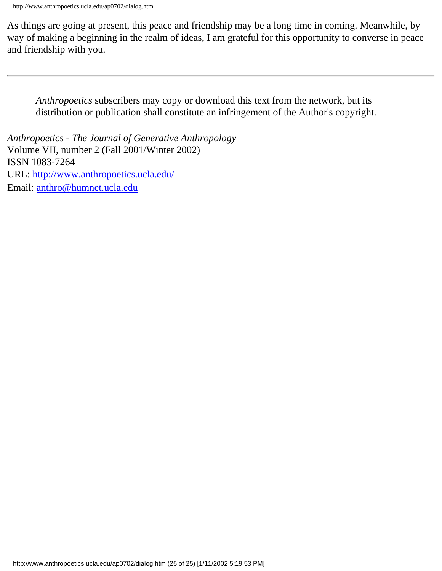As things are going at present, this peace and friendship may be a long time in coming. Meanwhile, by way of making a beginning in the realm of ideas, I am grateful for this opportunity to converse in peace and friendship with you.

*Anthropoetics* subscribers may copy or download this text from the network, but its distribution or publication shall constitute an infringement of the Author's copyright.

*Anthropoetics - The Journal of Generative Anthropology* Volume VII, number 2 (Fall 2001/Winter 2002) ISSN 1083-7264 URL:<http://www.anthropoetics.ucla.edu/> Email: [anthro@humnet.ucla.edu](mailto:anthro@humnet.ucla.edu)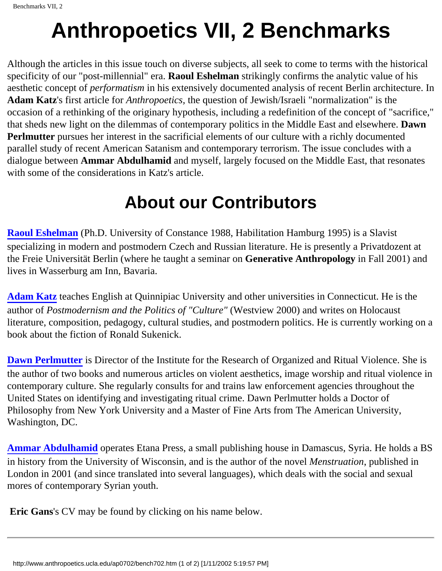## **Anthropoetics VII, 2 Benchmarks**

Although the articles in this issue touch on diverse subjects, all seek to come to terms with the historical specificity of our "post-millennial" era. **Raoul Eshelman** strikingly confirms the analytic value of his aesthetic concept of *performatism* in his extensively documented analysis of recent Berlin architecture. In **Adam Katz**'s first article for *Anthropoetics,* the question of Jewish/Israeli "normalization" is the occasion of a rethinking of the originary hypothesis, including a redefinition of the concept of "sacrifice," that sheds new light on the dilemmas of contemporary politics in the Middle East and elsewhere. **Dawn Perlmutter** pursues her interest in the sacrificial elements of our culture with a richly documented parallel study of recent American Satanism and contemporary terrorism. The issue concludes with a dialogue between **Ammar Abdulhamid** and myself, largely focused on the Middle East, that resonates with some of the considerations in Katz's article.

## **About our Contributors**

**[Raoul Eshelman](mailto:Reshelman@t-online.de)** (Ph.D. University of Constance 1988, Habilitation Hamburg 1995) is a Slavist specializing in modern and postmodern Czech and Russian literature. He is presently a Privatdozent at the Freie Universität Berlin (where he taught a seminar on **Generative Anthropology** in Fall 2001) and lives in Wasserburg am Inn, Bavaria.

**[Adam Katz](mailto:Adam.Katz@quinnipiac.edu)** teaches English at Quinnipiac University and other universities in Connecticut. He is the author of *Postmodernism and the Politics of "Culture"* (Westview 2000) and writes on Holocaust literature, composition, pedagogy, cultural studies, and postmodern politics. He is currently working on a book about the fiction of Ronald Sukenick.

**[Dawn Perlmutter](mailto:dperlmutter@ritualviolence.com)** is Director of the Institute for the Research of Organized and Ritual Violence. She is the author of two books and numerous articles on violent aesthetics, image worship and ritual violence in contemporary culture. She regularly consults for and trains law enforcement agencies throughout the United States on identifying and investigating ritual crime. Dawn Perlmutter holds a Doctor of Philosophy from New York University and a Master of Fine Arts from The American University, Washington, DC.

**[Ammar Abdulhamid](mailto:ammar_1@altavista.com)** operates Etana Press, a small publishing house in Damascus, Syria. He holds a BS in history from the University of Wisconsin, and is the author of the novel *Menstruation*, published in London in 2001 (and since translated into several languages), which deals with the social and sexual mores of contemporary Syrian youth.

**Eric Gans**'s CV may be found by clicking on his name below.